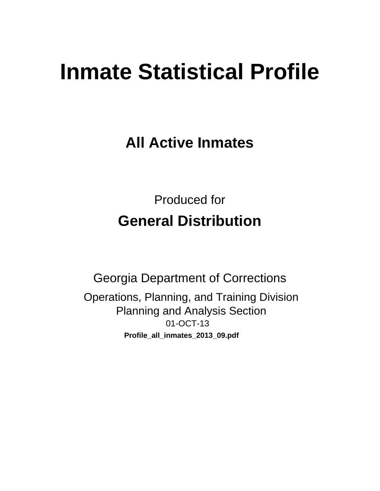# **Inmate Statistical Profile**

**All Active Inmates** 

**Produced for General Distribution** 

**Georgia Department of Corrections** Operations, Planning, and Training Division **Planning and Analysis Section** 01-OCT-13 Profile\_all\_inmates\_2013\_09.pdf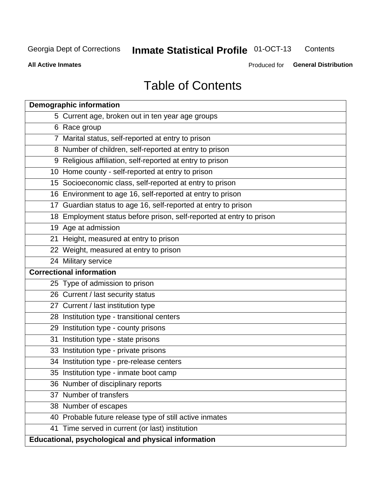#### **Inmate Statistical Profile 01-OCT-13** Contents

**All Active Inmates** 

Produced for General Distribution

# **Table of Contents**

|    | <b>Demographic information</b>                                       |
|----|----------------------------------------------------------------------|
|    | 5 Current age, broken out in ten year age groups                     |
|    | 6 Race group                                                         |
|    | 7 Marital status, self-reported at entry to prison                   |
|    | 8 Number of children, self-reported at entry to prison               |
|    | 9 Religious affiliation, self-reported at entry to prison            |
|    | 10 Home county - self-reported at entry to prison                    |
|    | 15 Socioeconomic class, self-reported at entry to prison             |
|    | 16 Environment to age 16, self-reported at entry to prison           |
|    | 17 Guardian status to age 16, self-reported at entry to prison       |
|    | 18 Employment status before prison, self-reported at entry to prison |
|    | 19 Age at admission                                                  |
|    | 21 Height, measured at entry to prison                               |
|    | 22 Weight, measured at entry to prison                               |
|    | 24 Military service                                                  |
|    | <b>Correctional information</b>                                      |
|    | 25 Type of admission to prison                                       |
|    | 26 Current / last security status                                    |
|    | 27 Current / last institution type                                   |
|    | 28 Institution type - transitional centers                           |
|    | 29 Institution type - county prisons                                 |
|    | 31 Institution type - state prisons                                  |
|    | 33 Institution type - private prisons                                |
|    | 34 Institution type - pre-release centers                            |
|    | 35 Institution type - inmate boot camp                               |
|    | 36 Number of disciplinary reports                                    |
| 37 | Number of transfers                                                  |
|    | 38 Number of escapes                                                 |
|    | 40 Probable future release type of still active inmates              |
|    | 41 Time served in current (or last) institution                      |
|    | Educational, psychological and physical information                  |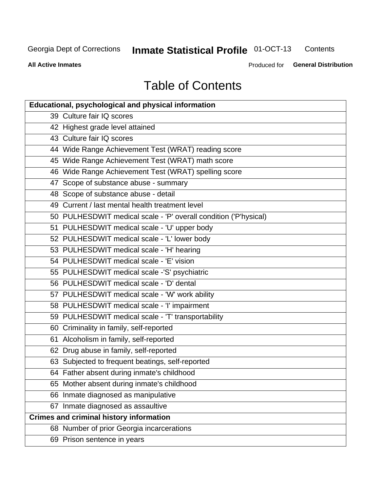#### **Inmate Statistical Profile 01-OCT-13** Contents

**All Active Inmates** 

Produced for General Distribution

# **Table of Contents**

| <b>Educational, psychological and physical information</b>       |
|------------------------------------------------------------------|
| 39 Culture fair IQ scores                                        |
| 42 Highest grade level attained                                  |
| 43 Culture fair IQ scores                                        |
| 44 Wide Range Achievement Test (WRAT) reading score              |
| 45 Wide Range Achievement Test (WRAT) math score                 |
| 46 Wide Range Achievement Test (WRAT) spelling score             |
| 47 Scope of substance abuse - summary                            |
| 48 Scope of substance abuse - detail                             |
| 49 Current / last mental health treatment level                  |
| 50 PULHESDWIT medical scale - 'P' overall condition ('P'hysical) |
| 51 PULHESDWIT medical scale - 'U' upper body                     |
| 52 PULHESDWIT medical scale - 'L' lower body                     |
| 53 PULHESDWIT medical scale - 'H' hearing                        |
| 54 PULHESDWIT medical scale - 'E' vision                         |
| 55 PULHESDWIT medical scale -'S' psychiatric                     |
| 56 PULHESDWIT medical scale - 'D' dental                         |
| 57 PULHESDWIT medical scale - 'W' work ability                   |
| 58 PULHESDWIT medical scale - 'I' impairment                     |
| 59 PULHESDWIT medical scale - 'T' transportability               |
| 60 Criminality in family, self-reported                          |
| 61 Alcoholism in family, self-reported                           |
| 62 Drug abuse in family, self-reported                           |
| 63 Subjected to frequent beatings, self-reported                 |
| 64 Father absent during inmate's childhood                       |
| 65 Mother absent during inmate's childhood                       |
| 66 Inmate diagnosed as manipulative                              |
| 67 Inmate diagnosed as assaultive                                |
| <b>Crimes and criminal history information</b>                   |
| 68 Number of prior Georgia incarcerations                        |
| 69 Prison sentence in years                                      |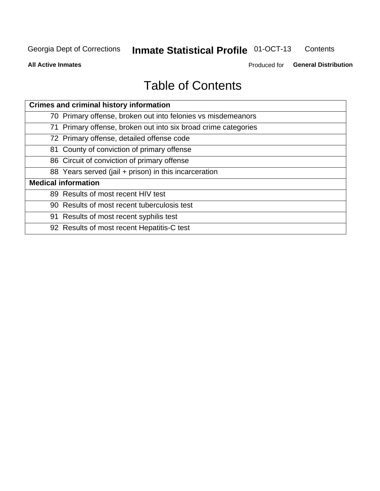#### **Inmate Statistical Profile 01-OCT-13** Contents

**All Active Inmates** 

Produced for General Distribution

# **Table of Contents**

| <b>Crimes and criminal history information</b>                 |
|----------------------------------------------------------------|
| 70 Primary offense, broken out into felonies vs misdemeanors   |
| 71 Primary offense, broken out into six broad crime categories |
| 72 Primary offense, detailed offense code                      |
| 81 County of conviction of primary offense                     |
| 86 Circuit of conviction of primary offense                    |
| 88 Years served (jail + prison) in this incarceration          |
| <b>Medical information</b>                                     |
| 89 Results of most recent HIV test                             |
| 90 Results of most recent tuberculosis test                    |
| 91 Results of most recent syphilis test                        |
| 92 Results of most recent Hepatitis-C test                     |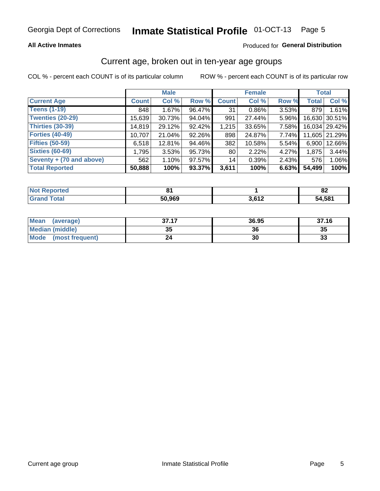### **All Active Inmates**

### Produced for General Distribution

### Current age, broken out in ten-year age groups

COL % - percent each COUNT is of its particular column

|                          |              | <b>Male</b> |        |              | <b>Female</b> |       | <b>Total</b> |               |
|--------------------------|--------------|-------------|--------|--------------|---------------|-------|--------------|---------------|
| <b>Current Age</b>       | <b>Count</b> | Col %       | Row %  | <b>Count</b> | Col %         | Row % | <b>Total</b> | Col %         |
| <b>Teens (1-19)</b>      | 848          | 1.67%       | 96.47% | 31           | $0.86\%$      | 3.53% | 879          | 1.61%         |
| <b>Twenties (20-29)</b>  | 15,639       | 30.73%      | 94.04% | 991          | 27.44%        | 5.96% |              | 16,630 30.51% |
| <b>Thirties (30-39)</b>  | 14,819       | 29.12%      | 92.42% | 1,215        | 33.65%        | 7.58% |              | 16,034 29.42% |
| <b>Forties (40-49)</b>   | 10,707       | 21.04%      | 92.26% | 898          | 24.87%        | 7.74% |              | 11,605 21.29% |
| <b>Fifties (50-59)</b>   | 6,518        | 12.81%      | 94.46% | 382          | 10.58%        | 5.54% | 6,900        | 12.66%        |
| <b>Sixties (60-69)</b>   | 1,795        | 3.53%       | 95.73% | 80           | 2.22%         | 4.27% | 1,875        | 3.44%         |
| Seventy + (70 and above) | 562          | 1.10%       | 97.57% | 14           | 0.39%         | 2.43% | 576          | 1.06%         |
| <b>Total Reported</b>    | 50,888       | 100%        | 93.37% | 3,611        | 100%          | 6.63% | 54,499       | 100%          |

| <b>Not Repo</b><br>orted | .      |                       | o۹<br>0Z |
|--------------------------|--------|-----------------------|----------|
| Total                    | 50,969 | <b>3 GAM</b><br>, , , | 54,581   |

| <b>Mean</b><br>(average)       | 27 17<br><i><b>JI.II</b></i> | 36.95 | 37.16 |
|--------------------------------|------------------------------|-------|-------|
| Median (middle)                | つん<br>vu                     | 36    | 35    |
| <b>Mode</b><br>(most frequent) | 24                           | 30    | 33    |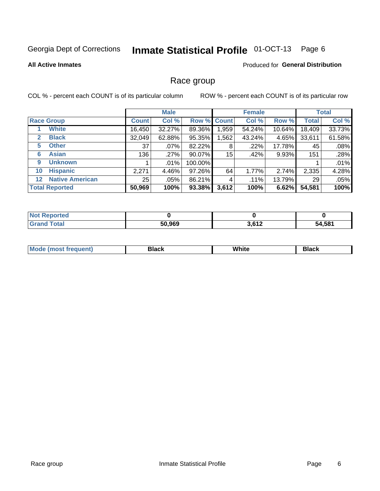#### Inmate Statistical Profile 01-OCT-13 Page 6

### **All Active Inmates**

### **Produced for General Distribution**

### Race group

COL % - percent each COUNT is of its particular column

|                                   |              | <b>Male</b> |         |             | <b>Female</b> |        |              | <b>Total</b> |
|-----------------------------------|--------------|-------------|---------|-------------|---------------|--------|--------------|--------------|
| <b>Race Group</b>                 | <b>Count</b> | Col %       |         | Row % Count | Col %         | Row %  | <b>Total</b> | Col %        |
| <b>White</b>                      | 16,450       | 32.27%      | 89.36%  | 1,959       | 54.24%        | 10.64% | 18,409       | 33.73%       |
| <b>Black</b><br>2                 | 32,049       | 62.88%      | 95.35%  | ,562        | 43.24%        | 4.65%  | 33,611       | 61.58%       |
| <b>Other</b><br>5.                | 37           | .07%        | 82.22%  | 8           | $.22\%$       | 17.78% | 45           | .08%         |
| <b>Asian</b><br>6                 | 136          | .27%        | 90.07%  | 15          | .42%          | 9.93%  | 151          | .28%         |
| <b>Unknown</b><br>9               |              | $.01\%$     | 100.00% |             |               |        |              | .01%         |
| <b>Hispanic</b><br>10             | 2,271        | 4.46%       | 97.26%  | 64          | 1.77%         | 2.74%  | 2,335        | 4.28%        |
| <b>Native American</b><br>$12 \,$ | 25           | $.05\%$     | 86.21%  | 4           | .11%          | 13.79% | 29           | .05%         |
| <b>Total Reported</b>             | 50,969       | 100%        | 93.38%  | 3,612       | 100%          | 6.62%  | 54,581       | 100%         |

| Reported<br><b>Not</b> |        |                |        |
|------------------------|--------|----------------|--------|
| Total<br>Grand         | 50,969 | 2.642<br>3.012 | 54,581 |

| M.<br>____ | . | ------- |
|------------|---|---------|
|            |   |         |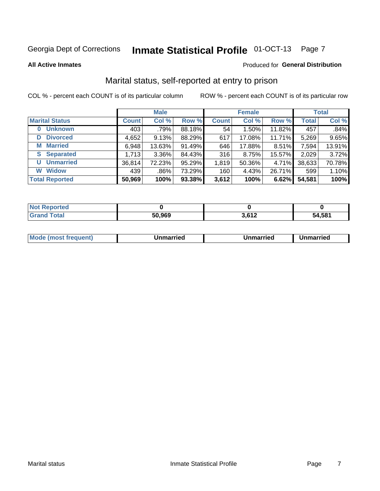#### Inmate Statistical Profile 01-OCT-13 Page 7

**All Active Inmates** 

### Produced for General Distribution

### Marital status, self-reported at entry to prison

COL % - percent each COUNT is of its particular column

|                            |              | <b>Male</b> |        |              | <b>Female</b> |        |              | <b>Total</b> |
|----------------------------|--------------|-------------|--------|--------------|---------------|--------|--------------|--------------|
| <b>Marital Status</b>      | <b>Count</b> | Col %       | Row %  | <b>Count</b> | Col %         | Row %  | <b>Total</b> | Col %        |
| <b>Unknown</b><br>$\bf{0}$ | 403          | .79%        | 88.18% | 54           | 1.50%         | 11.82% | 457          | .84%         |
| <b>Divorced</b><br>D       | 4,652        | 9.13%       | 88.29% | 617          | 17.08%        | 11.71% | 5,269        | 9.65%        |
| <b>Married</b><br>М        | 6,948        | 13.63%      | 91.49% | 646          | 17.88%        | 8.51%  | 7,594        | 13.91%       |
| <b>Separated</b><br>S.     | 1,713        | $3.36\%$    | 84.43% | 316          | 8.75%         | 15.57% | 2,029        | 3.72%        |
| <b>Unmarried</b><br>U      | 36,814       | 72.23%      | 95.29% | 1,819        | 50.36%        | 4.71%  | 38,633       | 70.78%       |
| <b>Widow</b><br>W          | 439          | .86%        | 73.29% | 160          | 4.43%         | 26.71% | 599          | 1.10%        |
| <b>Total Reported</b>      | 50,969       | 100%        | 93.38% | 3,612        | 100%          | 6.62%  | 54,581       | 100%         |

| $^{\dagger}$ Not.<br>norted |        |      |        |
|-----------------------------|--------|------|--------|
| Total                       | 50,969 | 0.42 | 54.581 |

|--|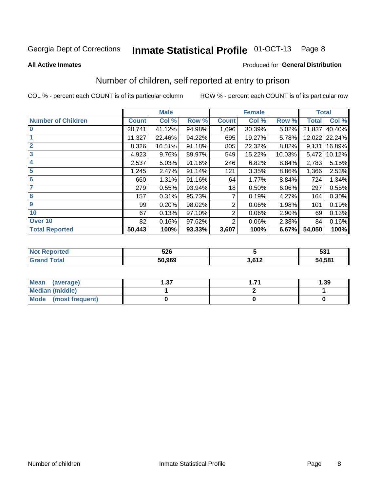#### Inmate Statistical Profile 01-OCT-13 Page 8

#### **All Active Inmates**

### Produced for General Distribution

### Number of children, self reported at entry to prison

COL % - percent each COUNT is of its particular column

|                           |              | <b>Male</b> |        | <b>Female</b> |        |        | <b>Total</b> |        |
|---------------------------|--------------|-------------|--------|---------------|--------|--------|--------------|--------|
| <b>Number of Children</b> | <b>Count</b> | Col %       | Row %  | <b>Count</b>  | Col %  | Row %  | <b>Total</b> | Col %  |
| $\bf{0}$                  | 20,741       | 41.12%      | 94.98% | 1,096         | 30.39% | 5.02%  | 21,837       | 40.40% |
|                           | 11,327       | 22.46%      | 94.22% | 695           | 19.27% | 5.78%  | 12,022       | 22.24% |
| $\overline{2}$            | 8,326        | 16.51%      | 91.18% | 805           | 22.32% | 8.82%  | 9,131        | 16.89% |
| 3                         | 4,923        | 9.76%       | 89.97% | 549           | 15.22% | 10.03% | 5,472        | 10.12% |
| 4                         | 2,537        | 5.03%       | 91.16% | 246           | 6.82%  | 8.84%  | 2,783        | 5.15%  |
| 5                         | 1,245        | 2.47%       | 91.14% | 121           | 3.35%  | 8.86%  | 1,366        | 2.53%  |
| 6                         | 660          | 1.31%       | 91.16% | 64            | 1.77%  | 8.84%  | 724          | 1.34%  |
|                           | 279          | 0.55%       | 93.94% | 18            | 0.50%  | 6.06%  | 297          | 0.55%  |
| 8                         | 157          | 0.31%       | 95.73% | 7             | 0.19%  | 4.27%  | 164          | 0.30%  |
| $\boldsymbol{9}$          | 99           | 0.20%       | 98.02% | 2             | 0.06%  | 1.98%  | 101          | 0.19%  |
| 10                        | 67           | 0.13%       | 97.10% | 2             | 0.06%  | 2.90%  | 69           | 0.13%  |
| Over 10                   | 82           | 0.16%       | 97.62% | 2             | 0.06%  | 2.38%  | 84           | 0.16%  |
| <b>Total Reported</b>     | 50,443       | 100%        | 93.33% | 3,607         | 100%   | 6.67%  | 54,050       | 100%   |

| NO | 526    |              | E94<br>JJI |
|----|--------|--------------|------------|
|    | 50.969 | n can<br>╶╹┻ | 54,581     |

| <b>Mean</b><br>(average) | דפ<br>I .J 1 | 1.39 |  |  |
|--------------------------|--------------|------|--|--|
| Median (middle)          |              |      |  |  |
| Mode<br>(most frequent)  |              |      |  |  |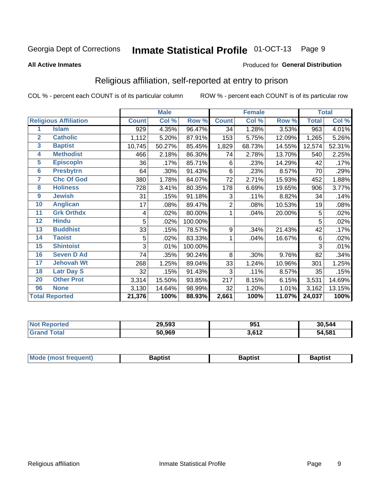#### Inmate Statistical Profile 01-OCT-13 Page 9

#### **All Active Inmates**

### Produced for General Distribution

### Religious affiliation, self-reported at entry to prison

COL % - percent each COUNT is of its particular column

|                         |                              |              | <b>Male</b> |         | <b>Female</b> |        |        | <b>Total</b> |        |
|-------------------------|------------------------------|--------------|-------------|---------|---------------|--------|--------|--------------|--------|
|                         | <b>Religious Affiliation</b> | <b>Count</b> | Col %       | Row %   | <b>Count</b>  | Col %  | Row %  | <b>Total</b> | Col %  |
| 1                       | <b>Islam</b>                 | 929          | 4.35%       | 96.47%  | 34            | 1.28%  | 3.53%  | 963          | 4.01%  |
| $\overline{2}$          | <b>Catholic</b>              | 1,112        | 5.20%       | 87.91%  | 153           | 5.75%  | 12.09% | 1,265        | 5.26%  |
| $\overline{\mathbf{3}}$ | <b>Baptist</b>               | 10,745       | 50.27%      | 85.45%  | 1,829         | 68.73% | 14.55% | 12,574       | 52.31% |
| $\overline{\mathbf{4}}$ | <b>Methodist</b>             | 466          | 2.18%       | 86.30%  | 74            | 2.78%  | 13.70% | 540          | 2.25%  |
| $\overline{5}$          | <b>EpiscopIn</b>             | 36           | .17%        | 85.71%  | 6             | .23%   | 14.29% | 42           | .17%   |
| $6\overline{6}$         | <b>Presbytrn</b>             | 64           | .30%        | 91.43%  | 6             | .23%   | 8.57%  | 70           | .29%   |
| 7                       | <b>Chc Of God</b>            | 380          | 1.78%       | 84.07%  | 72            | 2.71%  | 15.93% | 452          | 1.88%  |
| 8                       | <b>Holiness</b>              | 728          | 3.41%       | 80.35%  | 178           | 6.69%  | 19.65% | 906          | 3.77%  |
| $\boldsymbol{9}$        | <b>Jewish</b>                | 31           | .15%        | 91.18%  | 3             | .11%   | 8.82%  | 34           | .14%   |
| 10                      | <b>Anglican</b>              | 17           | .08%        | 89.47%  | 2             | .08%   | 10.53% | 19           | .08%   |
| 11                      | <b>Grk Orthdx</b>            | 4            | .02%        | 80.00%  | 1             | .04%   | 20.00% | 5            | .02%   |
| 12                      | <b>Hindu</b>                 | 5            | .02%        | 100.00% |               |        |        | 5            | .02%   |
| 13                      | <b>Buddhist</b>              | 33           | .15%        | 78.57%  | 9             | .34%   | 21.43% | 42           | .17%   |
| 14                      | <b>Taoist</b>                | 5            | .02%        | 83.33%  | 1             | .04%   | 16.67% | 6            | .02%   |
| 15                      | <b>Shintoist</b>             | 3            | .01%        | 100.00% |               |        |        | 3            | .01%   |
| 16                      | <b>Seven D Ad</b>            | 74           | .35%        | 90.24%  | 8             | .30%   | 9.76%  | 82           | .34%   |
| 17                      | <b>Jehovah Wt</b>            | 268          | 1.25%       | 89.04%  | 33            | 1.24%  | 10.96% | 301          | 1.25%  |
| 18                      | <b>Latr Day S</b>            | 32           | .15%        | 91.43%  | 3             | .11%   | 8.57%  | 35           | .15%   |
| 20                      | <b>Other Prot</b>            | 3,314        | 15.50%      | 93.85%  | 217           | 8.15%  | 6.15%  | 3,531        | 14.69% |
| 96                      | <b>None</b>                  | 3,130        | 14.64%      | 98.99%  | 32            | 1.20%  | 1.01%  | 3,162        | 13.15% |
| <b>Total Reported</b>   |                              | 21,376       | 100%        | 88.93%  | 2,661         | 100%   | 11.07% | 24,037       | 100%   |

| 29,593 | 951           | 30,544     |
|--------|---------------|------------|
| 50.969 | ר גם כ<br>┚╹┻ | ,581<br>54 |

| Mode (most frequent) | <b>3aptist</b> | 3aptist | <b>Baptist</b> |
|----------------------|----------------|---------|----------------|
|                      |                |         |                |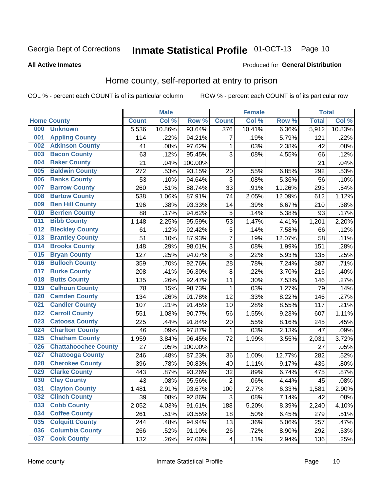#### Inmate Statistical Profile 01-OCT-13 Page 10

### **All Active Inmates**

### **Produced for General Distribution**

### Home county, self-reported at entry to prison

COL % - percent each COUNT is of its particular column

|     |                             |              | <b>Male</b> |                  |                         | <b>Female</b> |        | <b>Total</b> |        |
|-----|-----------------------------|--------------|-------------|------------------|-------------------------|---------------|--------|--------------|--------|
|     | <b>Home County</b>          | <b>Count</b> | Col %       | Row <sup>%</sup> | <b>Count</b>            | Col %         | Row %  | <b>Total</b> | Col %  |
| 000 | <b>Unknown</b>              | 5,536        | 10.86%      | 93.64%           | 376                     | 10.41%        | 6.36%  | 5,912        | 10.83% |
| 001 | <b>Appling County</b>       | 114          | .22%        | 94.21%           | 7                       | .19%          | 5.79%  | 121          | .22%   |
| 002 | <b>Atkinson County</b>      | 41           | .08%        | 97.62%           | 1                       | .03%          | 2.38%  | 42           | .08%   |
| 003 | <b>Bacon County</b>         | 63           | .12%        | 95.45%           | 3                       | .08%          | 4.55%  | 66           | .12%   |
| 004 | <b>Baker County</b>         | 21           | .04%        | 100.00%          |                         |               |        | 21           | .04%   |
| 005 | <b>Baldwin County</b>       | 272          | .53%        | 93.15%           | 20                      | .55%          | 6.85%  | 292          | .53%   |
| 006 | <b>Banks County</b>         | 53           | .10%        | 94.64%           | $\mathbf{3}$            | .08%          | 5.36%  | 56           | .10%   |
| 007 | <b>Barrow County</b>        | 260          | .51%        | 88.74%           | 33                      | .91%          | 11.26% | 293          | .54%   |
| 008 | <b>Bartow County</b>        | 538          | 1.06%       | 87.91%           | 74                      | 2.05%         | 12.09% | 612          | 1.12%  |
| 009 | <b>Ben Hill County</b>      | 196          | .38%        | 93.33%           | 14                      | .39%          | 6.67%  | 210          | .38%   |
| 010 | <b>Berrien County</b>       | 88           | .17%        | 94.62%           | 5                       | .14%          | 5.38%  | 93           | .17%   |
| 011 | <b>Bibb County</b>          | 1,148        | 2.25%       | 95.59%           | 53                      | 1.47%         | 4.41%  | 1,201        | 2.20%  |
| 012 | <b>Bleckley County</b>      | 61           | .12%        | 92.42%           | 5                       | .14%          | 7.58%  | 66           | .12%   |
| 013 | <b>Brantley County</b>      | 51           | .10%        | 87.93%           | $\overline{7}$          | .19%          | 12.07% | 58           | .11%   |
| 014 | <b>Brooks County</b>        | 148          | .29%        | 98.01%           | $\overline{3}$          | .08%          | 1.99%  | 151          | .28%   |
| 015 | <b>Bryan County</b>         | 127          | .25%        | 94.07%           | 8                       | .22%          | 5.93%  | 135          | .25%   |
| 016 | <b>Bulloch County</b>       | 359          | .70%        | 92.76%           | 28                      | .78%          | 7.24%  | 387          | .71%   |
| 017 | <b>Burke County</b>         | 208          | .41%        | 96.30%           | 8                       | .22%          | 3.70%  | 216          | .40%   |
| 018 | <b>Butts County</b>         | 135          | .26%        | 92.47%           | 11                      | .30%          | 7.53%  | 146          | .27%   |
| 019 | <b>Calhoun County</b>       | 78           | .15%        | 98.73%           | $\mathbf{1}$            | .03%          | 1.27%  | 79           | .14%   |
| 020 | <b>Camden County</b>        | 134          | .26%        | 91.78%           | 12                      | .33%          | 8.22%  | 146          | .27%   |
| 021 | <b>Candler County</b>       | 107          | .21%        | 91.45%           | 10                      | .28%          | 8.55%  | 117          | .21%   |
| 022 | <b>Carroll County</b>       | 551          | 1.08%       | 90.77%           | 56                      | 1.55%         | 9.23%  | 607          | 1.11%  |
| 023 | <b>Catoosa County</b>       | 225          | .44%        | 91.84%           | 20                      | .55%          | 8.16%  | 245          | .45%   |
| 024 | <b>Charlton County</b>      | 46           | .09%        | 97.87%           | 1                       | .03%          | 2.13%  | 47           | .09%   |
| 025 | <b>Chatham County</b>       | 1,959        | 3.84%       | 96.45%           | 72                      | 1.99%         | 3.55%  | 2,031        | 3.72%  |
| 026 | <b>Chattahoochee County</b> | 27           | .05%        | 100.00%          |                         |               |        | 27           | .05%   |
| 027 | <b>Chattooga County</b>     | 246          | .48%        | 87.23%           | 36                      | 1.00%         | 12.77% | 282          | .52%   |
| 028 | <b>Cherokee County</b>      | 396          | .78%        | 90.83%           | 40                      | 1.11%         | 9.17%  | 436          | .80%   |
| 029 | <b>Clarke County</b>        | 443          | .87%        | 93.26%           | 32                      | .89%          | 6.74%  | 475          | .87%   |
| 030 | <b>Clay County</b>          | 43           | .08%        | 95.56%           | $\overline{2}$          | .06%          | 4.44%  | 45           | .08%   |
| 031 | <b>Clayton County</b>       | 1,481        | 2.91%       | 93.67%           | 100                     | 2.77%         | 6.33%  | 1,581        | 2.90%  |
| 032 | <b>Clinch County</b>        | 39           | .08%        | 92.86%           | 3                       | .08%          | 7.14%  | 42           | .08%   |
| 033 | <b>Cobb County</b>          | 2,052        | 4.03%       | 91.61%           | 188                     | 5.20%         | 8.39%  | 2,240        | 4.10%  |
| 034 | <b>Coffee County</b>        | 261          | .51%        | 93.55%           | 18                      | .50%          | 6.45%  | 279          | .51%   |
| 035 | <b>Colquitt County</b>      | 244          | .48%        | 94.94%           | 13                      | .36%          | 5.06%  | 257          | .47%   |
| 036 | <b>Columbia County</b>      | 266          | .52%        | 91.10%           | 26                      | .72%          | 8.90%  | 292          | .53%   |
| 037 | <b>Cook County</b>          | 132          | .26%        | 97.06%           | $\overline{\mathbf{4}}$ | .11%          | 2.94%  | 136          | .25%   |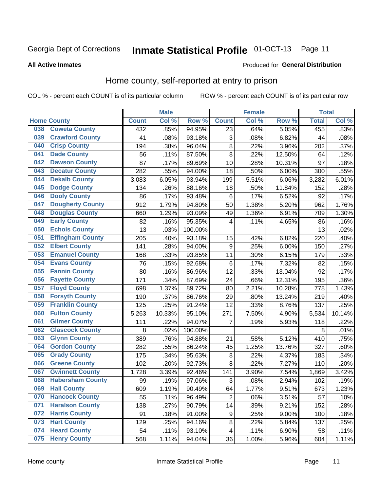# Inmate Statistical Profile 01-OCT-13 Page 11

**All Active Inmates** 

### **Produced for General Distribution**

### Home county, self-reported at entry to prison

COL % - percent each COUNT is of its particular column

|     |                         |              | <b>Male</b> |                  |                         | <b>Female</b> |          | <b>Total</b> |        |
|-----|-------------------------|--------------|-------------|------------------|-------------------------|---------------|----------|--------------|--------|
|     | <b>Home County</b>      | <b>Count</b> | Col%        | Row <sup>%</sup> | <b>Count</b>            | Col %         | Row %    | <b>Total</b> | Col %  |
| 038 | <b>Coweta County</b>    | 432          | .85%        | 94.95%           | 23                      | .64%          | 5.05%    | 455          | .83%   |
| 039 | <b>Crawford County</b>  | 41           | .08%        | 93.18%           | 3                       | .08%          | 6.82%    | 44           | .08%   |
| 040 | <b>Crisp County</b>     | 194          | .38%        | 96.04%           | $\bf 8$                 | .22%          | 3.96%    | 202          | .37%   |
| 041 | <b>Dade County</b>      | 56           | .11%        | 87.50%           | 8                       | .22%          | 12.50%   | 64           | .12%   |
| 042 | <b>Dawson County</b>    | 87           | .17%        | 89.69%           | 10                      | .28%          | 10.31%   | 97           | .18%   |
| 043 | <b>Decatur County</b>   | 282          | .55%        | 94.00%           | 18                      | .50%          | 6.00%    | 300          | .55%   |
| 044 | <b>Dekalb County</b>    | 3,083        | 6.05%       | 93.94%           | 199                     | 5.51%         | 6.06%    | 3,282        | 6.01%  |
| 045 | <b>Dodge County</b>     | 134          | .26%        | 88.16%           | 18                      | .50%          | 11.84%   | 152          | .28%   |
| 046 | <b>Dooly County</b>     | 86           | .17%        | 93.48%           | 6                       | .17%          | 6.52%    | 92           | .17%   |
| 047 | <b>Dougherty County</b> | 912          | 1.79%       | 94.80%           | 50                      | 1.38%         | 5.20%    | 962          | 1.76%  |
| 048 | <b>Douglas County</b>   | 660          | 1.29%       | 93.09%           | 49                      | 1.36%         | 6.91%    | 709          | 1.30%  |
| 049 | <b>Early County</b>     | 82           | .16%        | 95.35%           | 4                       | .11%          | 4.65%    | 86           | .16%   |
| 050 | <b>Echols County</b>    | 13           | .03%        | 100.00%          |                         |               |          | 13           | .02%   |
| 051 | <b>Effingham County</b> | 205          | .40%        | 93.18%           | 15                      | .42%          | 6.82%    | 220          | .40%   |
| 052 | <b>Elbert County</b>    | 141          | .28%        | 94.00%           | $\boldsymbol{9}$        | .25%          | 6.00%    | 150          | .27%   |
| 053 | <b>Emanuel County</b>   | 168          | .33%        | 93.85%           | 11                      | .30%          | 6.15%    | 179          | .33%   |
| 054 | <b>Evans County</b>     | 76           | .15%        | 92.68%           | 6                       | .17%          | 7.32%    | 82           | .15%   |
| 055 | <b>Fannin County</b>    | 80           | .16%        | 86.96%           | 12                      | .33%          | 13.04%   | 92           | .17%   |
| 056 | <b>Fayette County</b>   | 171          | .34%        | 87.69%           | 24                      | .66%          | 12.31%   | 195          | .36%   |
| 057 | <b>Floyd County</b>     | 698          | 1.37%       | 89.72%           | 80                      | 2.21%         | 10.28%   | 778          | 1.43%  |
| 058 | <b>Forsyth County</b>   | 190          | .37%        | 86.76%           | 29                      | .80%          | 13.24%   | 219          | .40%   |
| 059 | <b>Franklin County</b>  | 125          | .25%        | 91.24%           | 12                      | .33%          | 8.76%    | 137          | .25%   |
| 060 | <b>Fulton County</b>    | 5,263        | 10.33%      | 95.10%           | 271                     | 7.50%         | 4.90%    | 5,534        | 10.14% |
| 061 | <b>Gilmer County</b>    | 111          | .22%        | 94.07%           | 7                       | .19%          | 5.93%    | 118          | .22%   |
| 062 | <b>Glascock County</b>  | 8            | .02%        | 100.00%          |                         |               |          | 8            | .01%   |
| 063 | <b>Glynn County</b>     | 389          | .76%        | 94.88%           | 21                      | .58%          | 5.12%    | 410          | .75%   |
| 064 | <b>Gordon County</b>    | 282          | .55%        | 86.24%           | 45                      | 1.25%         | 13.76%   | 327          | .60%   |
| 065 | <b>Grady County</b>     | 175          | .34%        | 95.63%           | 8                       | .22%          | 4.37%    | 183          | .34%   |
| 066 | <b>Greene County</b>    | 102          | .20%        | 92.73%           | 8                       | 22%           | 7.27%    | 110          | .20%   |
| 067 | <b>Gwinnett County</b>  | 1,728        | 3.39%       | 92.46%           | 141                     | 3.90%         | 7.54%    | 1,869        | 3.42%  |
| 068 | <b>Habersham County</b> | 99           | .19%        | 97.06%           | 3                       | .08%          | 2.94%    | 102          | .19%   |
| 069 | <b>Hall County</b>      | 609          | 1.19%       | 90.49%           | 64                      | 1.77%         | 9.51%    | 673          | 1.23%  |
| 070 | <b>Hancock County</b>   | 55           | .11%        | 96.49%           | $\overline{2}$          | .06%          | 3.51%    | 57           | .10%   |
| 071 | <b>Haralson County</b>  | 138          | .27%        | 90.79%           | 14                      | .39%          | 9.21%    | 152          | .28%   |
| 072 | <b>Harris County</b>    | 91           | .18%        | 91.00%           | $\boldsymbol{9}$        | .25%          | $9.00\%$ | 100          | .18%   |
| 073 | <b>Hart County</b>      | 129          | .25%        | 94.16%           | $\bf 8$                 | .22%          | 5.84%    | 137          | .25%   |
| 074 | <b>Heard County</b>     | 54           | .11%        | 93.10%           | $\overline{\mathbf{4}}$ | .11%          | 6.90%    | 58           | .11%   |
| 075 | <b>Henry County</b>     | 568          | 1.11%       | 94.04%           | 36                      | 1.00%         | 5.96%    | 604          | 1.11%  |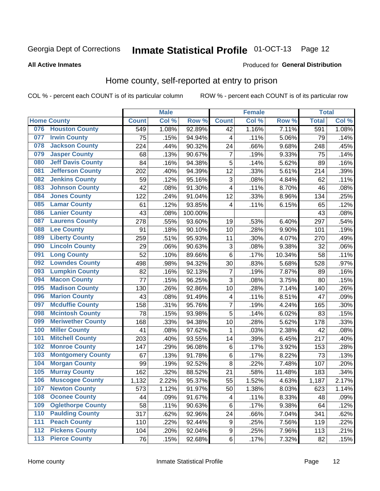# Inmate Statistical Profile 01-OCT-13 Page 12

### **All Active Inmates**

#### Produced for General Distribution

### Home county, self-reported at entry to prison

COL % - percent each COUNT is of its particular column

|     |                          |              | <b>Male</b> |         |                         | Female |        | <b>Total</b> |       |
|-----|--------------------------|--------------|-------------|---------|-------------------------|--------|--------|--------------|-------|
|     | <b>Home County</b>       | <b>Count</b> | Col %       | Row %   | <b>Count</b>            | Col %  | Row %  | <b>Total</b> | Col % |
| 076 | <b>Houston County</b>    | 549          | 1.08%       | 92.89%  | 42                      | 1.16%  | 7.11%  | 591          | 1.08% |
| 077 | <b>Irwin County</b>      | 75           | .15%        | 94.94%  | $\overline{\mathbf{4}}$ | .11%   | 5.06%  | 79           | .14%  |
| 078 | <b>Jackson County</b>    | 224          | .44%        | 90.32%  | 24                      | .66%   | 9.68%  | 248          | .45%  |
| 079 | <b>Jasper County</b>     | 68           | .13%        | 90.67%  | 7                       | .19%   | 9.33%  | 75           | .14%  |
| 080 | <b>Jeff Davis County</b> | 84           | .16%        | 94.38%  | 5                       | .14%   | 5.62%  | 89           | .16%  |
| 081 | <b>Jefferson County</b>  | 202          | .40%        | 94.39%  | 12                      | .33%   | 5.61%  | 214          | .39%  |
| 082 | <b>Jenkins County</b>    | 59           | .12%        | 95.16%  | 3                       | .08%   | 4.84%  | 62           | .11%  |
| 083 | <b>Johnson County</b>    | 42           | .08%        | 91.30%  | 4                       | .11%   | 8.70%  | 46           | .08%  |
| 084 | <b>Jones County</b>      | 122          | .24%        | 91.04%  | 12                      | .33%   | 8.96%  | 134          | .25%  |
| 085 | <b>Lamar County</b>      | 61           | .12%        | 93.85%  | $\overline{4}$          | .11%   | 6.15%  | 65           | .12%  |
| 086 | <b>Lanier County</b>     | 43           | .08%        | 100.00% |                         |        |        | 43           | .08%  |
| 087 | <b>Laurens County</b>    | 278          | .55%        | 93.60%  | 19                      | .53%   | 6.40%  | 297          | .54%  |
| 088 | <b>Lee County</b>        | 91           | .18%        | 90.10%  | 10                      | .28%   | 9.90%  | 101          | .19%  |
| 089 | <b>Liberty County</b>    | 259          | .51%        | 95.93%  | 11                      | .30%   | 4.07%  | 270          | .49%  |
| 090 | <b>Lincoln County</b>    | 29           | .06%        | 90.63%  | 3                       | .08%   | 9.38%  | 32           | .06%  |
| 091 | <b>Long County</b>       | 52           | .10%        | 89.66%  | 6                       | .17%   | 10.34% | 58           | .11%  |
| 092 | <b>Lowndes County</b>    | 498          | .98%        | 94.32%  | 30                      | .83%   | 5.68%  | 528          | .97%  |
| 093 | <b>Lumpkin County</b>    | 82           | .16%        | 92.13%  | $\overline{7}$          | .19%   | 7.87%  | 89           | .16%  |
| 094 | <b>Macon County</b>      | 77           | .15%        | 96.25%  | 3                       | .08%   | 3.75%  | 80           | .15%  |
| 095 | <b>Madison County</b>    | 130          | .26%        | 92.86%  | 10                      | .28%   | 7.14%  | 140          | .26%  |
| 096 | <b>Marion County</b>     | 43           | .08%        | 91.49%  | 4                       | .11%   | 8.51%  | 47           | .09%  |
| 097 | <b>Mcduffie County</b>   | 158          | .31%        | 95.76%  | $\overline{7}$          | .19%   | 4.24%  | 165          | .30%  |
| 098 | <b>Mcintosh County</b>   | 78           | .15%        | 93.98%  | 5                       | .14%   | 6.02%  | 83           | .15%  |
| 099 | <b>Meriwether County</b> | 168          | .33%        | 94.38%  | 10                      | .28%   | 5.62%  | 178          | .33%  |
| 100 | <b>Miller County</b>     | 41           | .08%        | 97.62%  | 1                       | .03%   | 2.38%  | 42           | .08%  |
| 101 | <b>Mitchell County</b>   | 203          | .40%        | 93.55%  | 14                      | .39%   | 6.45%  | 217          | .40%  |
| 102 | <b>Monroe County</b>     | 147          | .29%        | 96.08%  | $\,6$                   | .17%   | 3.92%  | 153          | .28%  |
| 103 | <b>Montgomery County</b> | 67           | .13%        | 91.78%  | $\,6$                   | .17%   | 8.22%  | 73           | .13%  |
| 104 | <b>Morgan County</b>     | 99           | .19%        | 92.52%  | 8                       | .22%   | 7.48%  | 107          | .20%  |
| 105 | <b>Murray County</b>     | 162          | .32%        | 88.52%  | 21                      | .58%   | 11.48% | 183          | .34%  |
| 106 | <b>Muscogee County</b>   | 1,132        | 2.22%       | 95.37%  | 55                      | 1.52%  | 4.63%  | 1,187        | 2.17% |
| 107 | <b>Newton County</b>     | 573          | 1.12%       | 91.97%  | 50                      | 1.38%  | 8.03%  | 623          | 1.14% |
| 108 | <b>Oconee County</b>     | 44           | .09%        | 91.67%  | 4                       | .11%   | 8.33%  | 48           | .09%  |
| 109 | <b>Oglethorpe County</b> | 58           | .11%        | 90.63%  | $\,6$                   | .17%   | 9.38%  | 64           | .12%  |
| 110 | <b>Paulding County</b>   | 317          | .62%        | 92.96%  | 24                      | .66%   | 7.04%  | 341          | .62%  |
| 111 | <b>Peach County</b>      | 110          | .22%        | 92.44%  | $\boldsymbol{9}$        | .25%   | 7.56%  | 119          | .22%  |
| 112 | <b>Pickens County</b>    | 104          | .20%        | 92.04%  | $\boldsymbol{9}$        | .25%   | 7.96%  | 113          | .21%  |
| 113 | <b>Pierce County</b>     | 76           | .15%        | 92.68%  | $\,6\,$                 | .17%   | 7.32%  | 82           | .15%  |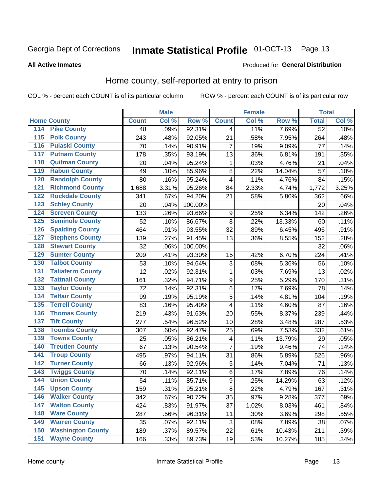# Inmate Statistical Profile 01-OCT-13 Page 13

### **All Active Inmates**

### Produced for General Distribution

### Home county, self-reported at entry to prison

COL % - percent each COUNT is of its particular column

|                                          |              | <b>Male</b> |                  |                  | <b>Female</b> |        |                 | <b>Total</b> |
|------------------------------------------|--------------|-------------|------------------|------------------|---------------|--------|-----------------|--------------|
| <b>Home County</b>                       | <b>Count</b> | Col %       | Row <sup>%</sup> | <b>Count</b>     | Col %         | Row %  | <b>Total</b>    | Col %        |
| 114<br><b>Pike County</b>                | 48           | .09%        | 92.31%           | 4                | .11%          | 7.69%  | $\overline{52}$ | .10%         |
| <b>Polk County</b><br>115                | 243          | .48%        | 92.05%           | 21               | .58%          | 7.95%  | 264             | .48%         |
| <b>Pulaski County</b><br>116             | 70           | .14%        | 90.91%           | 7                | .19%          | 9.09%  | 77              | .14%         |
| <b>Putnam County</b><br>117              | 178          | .35%        | 93.19%           | 13               | .36%          | 6.81%  | 191             | .35%         |
| 118<br><b>Quitman County</b>             | 20           | .04%        | 95.24%           | 1                | .03%          | 4.76%  | 21              | .04%         |
| <b>Rabun County</b><br>119               | 49           | .10%        | 85.96%           | 8                | .22%          | 14.04% | 57              | .10%         |
| <b>Randolph County</b><br>120            | 80           | .16%        | 95.24%           | $\overline{4}$   | .11%          | 4.76%  | 84              | .15%         |
| <b>Richmond County</b><br>121            | 1,688        | 3.31%       | 95.26%           | 84               | 2.33%         | 4.74%  | 1,772           | 3.25%        |
| <b>Rockdale County</b><br>122            | 341          | .67%        | 94.20%           | 21               | .58%          | 5.80%  | 362             | .66%         |
| <b>Schley County</b><br>123              | 20           | .04%        | 100.00%          |                  |               |        | 20              | .04%         |
| <b>Screven County</b><br>124             | 133          | .26%        | 93.66%           | 9                | .25%          | 6.34%  | 142             | .26%         |
| <b>Seminole County</b><br>125            | 52           | .10%        | 86.67%           | 8                | .22%          | 13.33% | 60              | .11%         |
| <b>Spalding County</b><br>126            | 464          | .91%        | 93.55%           | 32               | .89%          | 6.45%  | 496             | .91%         |
| <b>Stephens County</b><br>127            | 139          | .27%        | 91.45%           | 13               | .36%          | 8.55%  | 152             | .28%         |
| <b>Stewart County</b><br>128             | 32           | .06%        | 100.00%          |                  |               |        | 32              | .06%         |
| <b>Sumter County</b><br>129              | 209          | .41%        | 93.30%           | 15               | .42%          | 6.70%  | 224             | .41%         |
| <b>Talbot County</b><br>130              | 53           | .10%        | 94.64%           | 3                | .08%          | 5.36%  | 56              | .10%         |
| <b>Taliaferro County</b><br>131          | 12           | .02%        | 92.31%           | 1                | .03%          | 7.69%  | 13              | .02%         |
| <b>Tattnall County</b><br>132            | 161          | .32%        | 94.71%           | $\boldsymbol{9}$ | .25%          | 5.29%  | 170             | .31%         |
| <b>Taylor County</b><br>133              | 72           | .14%        | 92.31%           | 6                | .17%          | 7.69%  | 78              | .14%         |
| <b>Telfair County</b><br>134             | 99           | .19%        | 95.19%           | 5                | .14%          | 4.81%  | 104             | .19%         |
| <b>Terrell County</b><br>135             | 83           | .16%        | 95.40%           | 4                | .11%          | 4.60%  | 87              | .16%         |
| <b>Thomas County</b><br>136              | 219          | .43%        | 91.63%           | 20               | .55%          | 8.37%  | 239             | .44%         |
| <b>Tift County</b><br>137                | 277          | .54%        | 96.52%           | 10               | .28%          | 3.48%  | 287             | .53%         |
| <b>Toombs County</b><br>138              | 307          | .60%        | 92.47%           | 25               | .69%          | 7.53%  | 332             | .61%         |
| <b>Towns County</b><br>139               | 25           | .05%        | 86.21%           | 4                | .11%          | 13.79% | 29              | .05%         |
| <b>Treutlen County</b><br>140            | 67           | .13%        | 90.54%           | $\overline{7}$   | .19%          | 9.46%  | 74              | .14%         |
| <b>Troup County</b><br>141               | 495          | .97%        | 94.11%           | 31               | .86%          | 5.89%  | 526             | .96%         |
| <b>Turner County</b><br>$\overline{142}$ | 66           | .13%        | 92.96%           | 5                | .14%          | 7.04%  | 71              | .13%         |
| <b>Twiggs County</b><br>143              | 70           | .14%        | 92.11%           | $\,6$            | .17%          | 7.89%  | 76              | .14%         |
| <b>Union County</b><br>144               | 54           | .11%        | 85.71%           | $\overline{9}$   | .25%          | 14.29% | 63              | .12%         |
| 145<br><b>Upson County</b>               | 159          | .31%        | 95.21%           | 8                | .22%          | 4.79%  | 167             | .31%         |
| <b>Walker County</b><br>146              | 342          | .67%        | 90.72%           | 35               | .97%          | 9.28%  | 377             | .69%         |
| <b>Walton County</b><br>147              | 424          | .83%        | 91.97%           | 37               | 1.02%         | 8.03%  | 461             | .84%         |
| <b>Ware County</b><br>148                | 287          | .56%        | 96.31%           | 11               | .30%          | 3.69%  | 298             | .55%         |
| <b>Warren County</b><br>149              | 35           | .07%        | 92.11%           | 3                | .08%          | 7.89%  | 38              | .07%         |
| <b>Washington County</b><br>150          | 189          | .37%        | 89.57%           | 22               | .61%          | 10.43% | 211             | .39%         |
| <b>Wayne County</b><br>151               | 166          | .33%        | 89.73%           | 19               | .53%          | 10.27% | 185             | .34%         |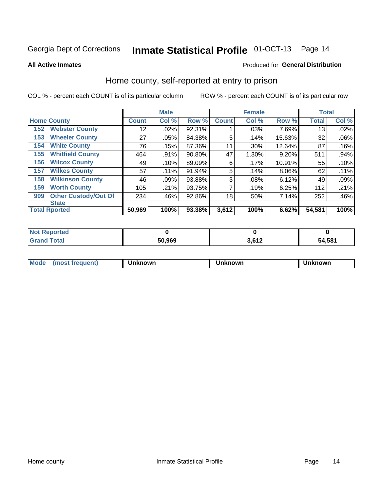# Inmate Statistical Profile 01-OCT-13 Page 14

**All Active Inmates** 

### Produced for General Distribution

### Home county, self-reported at entry to prison

COL % - percent each COUNT is of its particular column

|     |                             |        | <b>Male</b> |        |              | <b>Female</b> |        | <b>Total</b> |       |
|-----|-----------------------------|--------|-------------|--------|--------------|---------------|--------|--------------|-------|
|     | <b>Home County</b>          |        | Col %       | Row %  | <b>Count</b> | Col %         | Row %  | <b>Total</b> | Col % |
| 152 | <b>Webster County</b>       | 12     | .02%        | 92.31% |              | .03%          | 7.69%  | 13           | .02%  |
| 153 | <b>Wheeler County</b>       | 27     | .05%        | 84.38% | 5            | .14%          | 15.63% | 32           | .06%  |
| 154 | <b>White County</b>         | 76     | .15%        | 87.36% | 11           | .30%          | 12.64% | 87           | .16%  |
| 155 | <b>Whitfield County</b>     | 464    | .91%        | 90.80% | 47           | 1.30%         | 9.20%  | 511          | .94%  |
| 156 | <b>Wilcox County</b>        | 49     | .10%        | 89.09% | 6            | .17%          | 10.91% | 55           | .10%  |
| 157 | <b>Wilkes County</b>        | 57     | .11%        | 91.94% | 5            | .14%          | 8.06%  | 62           | .11%  |
| 158 | <b>Wilkinson County</b>     | 46     | .09%        | 93.88% | 3            | .08%          | 6.12%  | 49           | .09%  |
| 159 | <b>Worth County</b>         | 105    | .21%        | 93.75% | 7            | .19%          | 6.25%  | 112          | .21%  |
| 999 | <b>Other Custody/Out Of</b> | 234    | .46%        | 92.86% | 18           | .50%          | 7.14%  | 252          | .46%  |
|     | <b>State</b>                |        |             |        |              |               |        |              |       |
|     | <b>Total Rported</b>        | 50,969 | 100%        | 93.38% | 3,612        | 100%          | 6.62%  | 54,581       | 100%  |

| <b>Not</b><br>Reported |        |       |        |
|------------------------|--------|-------|--------|
| <b>Fotal</b>           | 50,969 | 2.642 | 54,581 |

| Mo<br>ıowr<br>nowr<br>าown<br>uent<br>--- |
|-------------------------------------------|
|-------------------------------------------|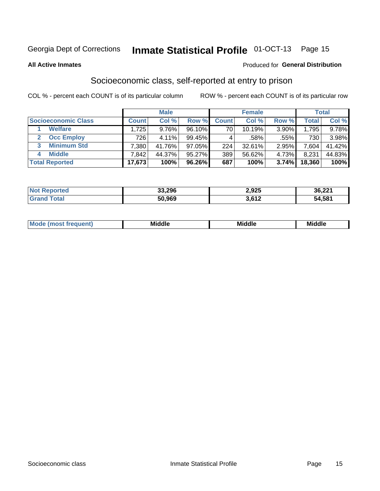# Inmate Statistical Profile 01-OCT-13 Page 15

#### **All Active Inmates**

#### Produced for General Distribution

### Socioeconomic class, self-reported at entry to prison

COL % - percent each COUNT is of its particular column

|                            |           | <b>Male</b> |        |              | <b>Female</b> |       |        | <b>Total</b> |
|----------------------------|-----------|-------------|--------|--------------|---------------|-------|--------|--------------|
| <b>Socioeconomic Class</b> | Count⊺    | Col %       | Row %  | <b>Count</b> | Col %         | Row % | Total  | Col %        |
| <b>Welfare</b>             | .725      | 9.76%       | 96.10% | 70           | 10.19%        | 3.90% | 1,795  | 9.78%        |
| <b>Occ Employ</b>          | 726       | 4.11%       | 99.45% |              | .58%          | .55%  | 730    | 3.98%        |
| <b>Minimum Std</b><br>3    | $7,380$ , | 41.76%      | 97.05% | 224          | $32.61\%$     | 2.95% | .604   | 41.42%       |
| <b>Middle</b>              | 7,842     | 44.37%      | 95.27% | 389          | 56.62%        | 4.73% | 8,231  | 44.83%       |
| <b>Total Reported</b>      | 17,673    | 100%        | 96.26% | 687          | 100%          | 3.74% | 18,360 | 100%         |

| <b>Not Reported</b> | 33,296 | 2,925 | 36,221 |
|---------------------|--------|-------|--------|
| <b>Total</b>        | 50,969 | 3,612 | 54,581 |

| ____<br>____ |
|--------------|
|--------------|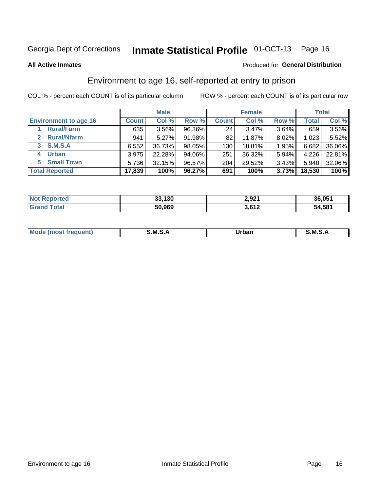# Inmate Statistical Profile 01-OCT-13 Page 16

**All Active Inmates** 

### **Produced for General Distribution**

### Environment to age 16, self-reported at entry to prison

COL % - percent each COUNT is of its particular column

|                                   |              | <b>Male</b> |        |              | <b>Female</b> |       |        | <b>Total</b> |
|-----------------------------------|--------------|-------------|--------|--------------|---------------|-------|--------|--------------|
| <b>Environment to age 16</b>      | <b>Count</b> | Col %       | Row %  | <b>Count</b> | Col %         | Row % | Total  | Col %        |
| <b>Rural/Farm</b>                 | 635          | 3.56%       | 96.36% | 24           | 3.47%         | 3.64% | 659    | 3.56%        |
| <b>Rural/Nfarm</b><br>$2^{\circ}$ | 941          | 5.27%       | 91.98% | 82           | 11.87%        | 8.02% | 1,023. | 5.52%        |
| <b>S.M.S.A</b><br>$\mathbf{3}$    | 6,552        | 36.73%      | 98.05% | 130          | 18.81%        | 1.95% | 6,682  | 36.06%       |
| <b>Urban</b><br>4                 | 3,975        | 22.28%      | 94.06% | 251          | 36.32%        | 5.94% | 4,226  | 22.81%       |
| <b>Small Town</b><br>5.           | 5,736        | 32.15%      | 96.57% | 204          | 29.52%        | 3.43% | 5,940  | 32.06%       |
| <b>Total Reported</b>             | 17,839       | 100%        | 96.27% | 691          | 100%          | 3.73% | 18,530 | 100%         |

| <b>Not Reported</b> | 33,130 | 2,921 | 36,051 |
|---------------------|--------|-------|--------|
| <b>Grand Total</b>  | 50,969 | 3,612 | 54,581 |

| Mo | M | Irhan<br>rva<br>______ | M<br>______ |
|----|---|------------------------|-------------|
|    |   |                        |             |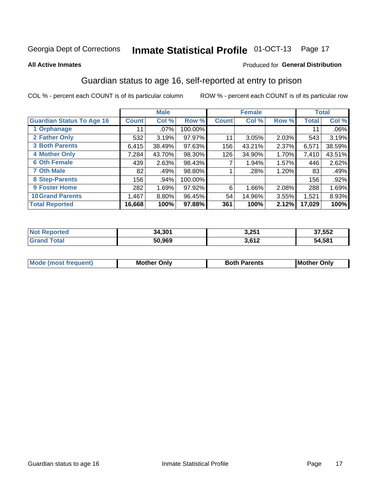# Inmate Statistical Profile 01-OCT-13 Page 17

#### **All Active Inmates**

### Produced for General Distribution

### Guardian status to age 16, self-reported at entry to prison

COL % - percent each COUNT is of its particular column

|                                  |              | <b>Male</b> |         |              | <b>Female</b> |       |              | <b>Total</b> |
|----------------------------------|--------------|-------------|---------|--------------|---------------|-------|--------------|--------------|
| <b>Guardian Status To Age 16</b> | <b>Count</b> | Col %       | Row %   | <b>Count</b> | Col %         | Row % | <b>Total</b> | Col %        |
| 1 Orphanage                      | 11           | $.07\%$     | 100.00% |              |               |       | 11           | $.06\%$      |
| 2 Father Only                    | 532          | 3.19%       | 97.97%  | 11           | 3.05%         | 2.03% | 543          | 3.19%        |
| <b>3 Both Parents</b>            | 6,415        | 38.49%      | 97.63%  | 156          | 43.21%        | 2.37% | 6,571        | 38.59%       |
| <b>4 Mother Only</b>             | 7,284        | 43.70%      | 98.30%  | 126          | 34.90%        | 1.70% | 7,410        | 43.51%       |
| <b>6 Oth Female</b>              | 439          | 2.63%       | 98.43%  |              | 1.94%         | 1.57% | 446          | 2.62%        |
| <b>7 Oth Male</b>                | 82           | .49%        | 98.80%  |              | .28%          | 1.20% | 83           | .49%         |
| 8 Step-Parents                   | 156          | .94%        | 100.00% |              |               |       | 156          | .92%         |
| 9 Foster Home                    | 282          | 1.69%       | 97.92%  | 6            | 1.66%         | 2.08% | 288          | 1.69%        |
| <b>10 Grand Parents</b>          | 1,467        | 8.80%       | 96.45%  | 54           | 14.96%        | 3.55% | 1,521        | 8.93%        |
| <b>Total Reported</b>            | 16,668       | 100%        | 97.88%  | 361          | 100%          | 2.12% | 17,029       | 100%         |

| <b>rreg</b><br>NO. | 34,301 | 3,251 | 37,552 |
|--------------------|--------|-------|--------|
| ∍Gr≤               | 50,969 | 3,612 | 54,581 |

| Mode | วทIv<br>Mot | <b>Both Parents</b><br>Parents | lM.<br>Only<br>. |
|------|-------------|--------------------------------|------------------|
|      |             |                                |                  |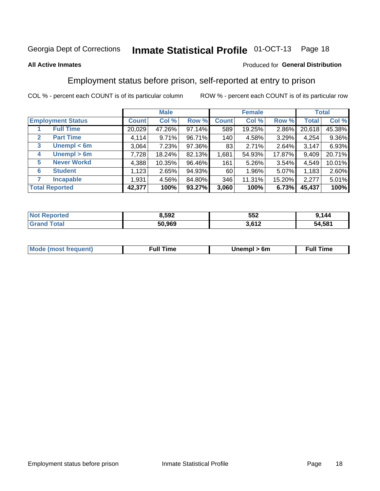#### Inmate Statistical Profile 01-OCT-13 Page 18

### **All Active Inmates**

### Produced for General Distribution

### Employment status before prison, self-reported at entry to prison

COL % - percent each COUNT is of its particular column

|                                  |              | <b>Male</b> |        |              | <b>Female</b> |        |        | <b>Total</b> |
|----------------------------------|--------------|-------------|--------|--------------|---------------|--------|--------|--------------|
| <b>Employment Status</b>         | <b>Count</b> | Col %       | Row %  | <b>Count</b> | Col %         | Row %  | Total  | Col %        |
| <b>Full Time</b>                 | 20,029       | 47.26%      | 97.14% | 589          | 19.25%        | 2.86%  | 20,618 | 45.38%       |
| <b>Part Time</b><br>$\mathbf{2}$ | 4,114        | 9.71%       | 96.71% | 140          | 4.58%         | 3.29%  | 4,254  | 9.36%        |
| Unempl $<$ 6m<br>3               | 3,064        | 7.23%       | 97.36% | 83           | 2.71%         | 2.64%  | 3,147  | 6.93%        |
| Unempl > 6m<br>4                 | 7,728        | 18.24%      | 82.13% | 1,681        | 54.93%        | 17.87% | 9,409  | 20.71%       |
| <b>Never Workd</b><br>5          | 4,388        | 10.35%      | 96.46% | 161          | 5.26%         | 3.54%  | 4,549  | 10.01%       |
| <b>Student</b><br>6              | 1,123        | 2.65%       | 94.93% | 60           | $1.96\%$      | 5.07%  | 1,183  | 2.60%        |
| <b>Incapable</b>                 | 1,931        | 4.56%       | 84.80% | 346          | 11.31%        | 15.20% | 2,277  | 5.01%        |
| <b>Total Reported</b>            | 42,377       | 100%        | 93.27% | 3,060        | 100%          | 6.73%  | 45,437 | 100%         |

| 'Teu<br>NO | 8,592  | 552    | 144    |
|------------|--------|--------|--------|
|            | 50.969 | ר גם כ | 54,581 |

| <b>Mode (most frequent)</b> | full "<br>the contract of the contract of the contract of the contract of the contract of the contract of the contract of | 6m | ïme<br>้นเ<br>the contract of the contract of the contract of the contract of the contract of the contract of the contract of |
|-----------------------------|---------------------------------------------------------------------------------------------------------------------------|----|-------------------------------------------------------------------------------------------------------------------------------|
|                             |                                                                                                                           |    |                                                                                                                               |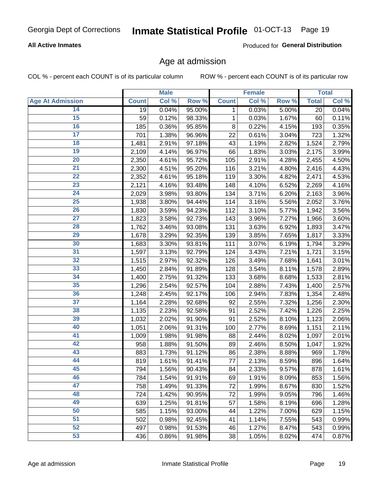### **All Active Inmates**

Produced for General Distribution

### Age at admission

COL % - percent each COUNT is of its particular column

|                         |              | <b>Male</b> |        |              | Female |       |              | <b>Total</b> |
|-------------------------|--------------|-------------|--------|--------------|--------|-------|--------------|--------------|
| <b>Age At Admission</b> | <b>Count</b> | Col %       | Row %  | <b>Count</b> | Col %  | Row % | <b>Total</b> | Col %        |
| 14                      | 19           | 0.04%       | 95.00% | 1            | 0.03%  | 5.00% | 20           | 0.04%        |
| $\overline{15}$         | 59           | 0.12%       | 98.33% | $\mathbf 1$  | 0.03%  | 1.67% | 60           | 0.11%        |
| 16                      | 185          | 0.36%       | 95.85% | 8            | 0.22%  | 4.15% | 193          | 0.35%        |
| $\overline{17}$         | 701          | 1.38%       | 96.96% | 22           | 0.61%  | 3.04% | 723          | 1.32%        |
| $\overline{18}$         | 1,481        | 2.91%       | 97.18% | 43           | 1.19%  | 2.82% | 1,524        | 2.79%        |
| 19                      | 2,109        | 4.14%       | 96.97% | 66           | 1.83%  | 3.03% | 2,175        | 3.99%        |
| $\overline{20}$         | 2,350        | 4.61%       | 95.72% | 105          | 2.91%  | 4.28% | 2,455        | 4.50%        |
| $\overline{21}$         | 2,300        | 4.51%       | 95.20% | 116          | 3.21%  | 4.80% | 2,416        | 4.43%        |
| $\overline{22}$         | 2,352        | 4.61%       | 95.18% | 119          | 3.30%  | 4.82% | 2,471        | 4.53%        |
| 23                      | 2,121        | 4.16%       | 93.48% | 148          | 4.10%  | 6.52% | 2,269        | 4.16%        |
| $\overline{24}$         | 2,029        | 3.98%       | 93.80% | 134          | 3.71%  | 6.20% | 2,163        | 3.96%        |
| 25                      | 1,938        | 3.80%       | 94.44% | 114          | 3.16%  | 5.56% | 2,052        | 3.76%        |
| $\overline{26}$         | 1,830        | 3.59%       | 94.23% | 112          | 3.10%  | 5.77% | 1,942        | 3.56%        |
| $\overline{27}$         | 1,823        | 3.58%       | 92.73% | 143          | 3.96%  | 7.27% | 1,966        | 3.60%        |
| 28                      | 1,762        | 3.46%       | 93.08% | 131          | 3.63%  | 6.92% | 1,893        | 3.47%        |
| 29                      | 1,678        | 3.29%       | 92.35% | 139          | 3.85%  | 7.65% | 1,817        | 3.33%        |
| 30                      | 1,683        | 3.30%       | 93.81% | 111          | 3.07%  | 6.19% | 1,794        | 3.29%        |
| $\overline{31}$         | 1,597        | 3.13%       | 92.79% | 124          | 3.43%  | 7.21% | 1,721        | 3.15%        |
| 32                      | 1,515        | 2.97%       | 92.32% | 126          | 3.49%  | 7.68% | 1,641        | 3.01%        |
| 33                      | 1,450        | 2.84%       | 91.89% | 128          | 3.54%  | 8.11% | 1,578        | 2.89%        |
| 34                      | 1,400        | 2.75%       | 91.32% | 133          | 3.68%  | 8.68% | 1,533        | 2.81%        |
| 35                      | 1,296        | 2.54%       | 92.57% | 104          | 2.88%  | 7.43% | 1,400        | 2.57%        |
| 36                      | 1,248        | 2.45%       | 92.17% | 106          | 2.94%  | 7.83% | 1,354        | 2.48%        |
| $\overline{37}$         | 1,164        | 2.28%       | 92.68% | 92           | 2.55%  | 7.32% | 1,256        | 2.30%        |
| 38                      | 1,135        | 2.23%       | 92.58% | 91           | 2.52%  | 7.42% | 1,226        | 2.25%        |
| 39                      | 1,032        | 2.02%       | 91.90% | 91           | 2.52%  | 8.10% | 1,123        | 2.06%        |
| 40                      | 1,051        | 2.06%       | 91.31% | 100          | 2.77%  | 8.69% | 1,151        | 2.11%        |
| 41                      | 1,009        | 1.98%       | 91.98% | 88           | 2.44%  | 8.02% | 1,097        | 2.01%        |
| 42                      | 958          | 1.88%       | 91.50% | 89           | 2.46%  | 8.50% | 1,047        | 1.92%        |
| 43                      | 883          | 1.73%       | 91.12% | 86           | 2.38%  | 8.88% | 969          | 1.78%        |
| 44                      | 819          | 1.61%       | 91.41% | 77           | 2.13%  | 8.59% | 896          | 1.64%        |
| 45                      | 794          | 1.56%       | 90.43% | 84           | 2.33%  | 9.57% | 878          | 1.61%        |
| 46                      | 784          | 1.54%       | 91.91% | 69           | 1.91%  | 8.09% | 853          | 1.56%        |
| 47                      | 758          | 1.49%       | 91.33% | 72           | 1.99%  | 8.67% | 830          | 1.52%        |
| 48                      | 724          | 1.42%       | 90.95% | 72           | 1.99%  | 9.05% | 796          | 1.46%        |
| 49                      | 639          | 1.25%       | 91.81% | 57           | 1.58%  | 8.19% | 696          | 1.28%        |
| 50                      | 585          | 1.15%       | 93.00% | 44           | 1.22%  | 7.00% | 629          | 1.15%        |
| 51                      | 502          | 0.98%       | 92.45% | 41           | 1.14%  | 7.55% | 543          | 0.99%        |
| 52                      | 497          | 0.98%       | 91.53% | 46           | 1.27%  | 8.47% | 543          | 0.99%        |
| 53                      | 436          | 0.86%       | 91.98% | 38           | 1.05%  | 8.02% | 474          | 0.87%        |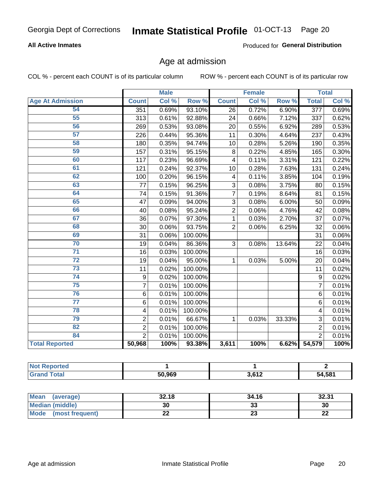### **All Active Inmates**

Produced for General Distribution

### Age at admission

COL % - percent each COUNT is of its particular column

|                         |                         | <b>Male</b> |         |                         | <b>Female</b> |        |                  | <b>Total</b> |
|-------------------------|-------------------------|-------------|---------|-------------------------|---------------|--------|------------------|--------------|
| <b>Age At Admission</b> | <b>Count</b>            | Col %       | Row %   | <b>Count</b>            | Col %         | Row %  | <b>Total</b>     | Col %        |
| 54                      | 351                     | 0.69%       | 93.10%  | 26                      | 0.72%         | 6.90%  | $\overline{377}$ | 0.69%        |
| 55                      | 313                     | 0.61%       | 92.88%  | 24                      | 0.66%         | 7.12%  | 337              | 0.62%        |
| 56                      | 269                     | 0.53%       | 93.08%  | $\overline{20}$         | 0.55%         | 6.92%  | 289              | 0.53%        |
| 57                      | 226                     | 0.44%       | 95.36%  | 11                      | 0.30%         | 4.64%  | 237              | 0.43%        |
| 58                      | 180                     | 0.35%       | 94.74%  | 10                      | 0.28%         | 5.26%  | 190              | 0.35%        |
| 59                      | 157                     | 0.31%       | 95.15%  | 8                       | 0.22%         | 4.85%  | 165              | 0.30%        |
| 60                      | 117                     | 0.23%       | 96.69%  | $\overline{\mathbf{4}}$ | 0.11%         | 3.31%  | 121              | 0.22%        |
| 61                      | 121                     | 0.24%       | 92.37%  | 10                      | 0.28%         | 7.63%  | 131              | 0.24%        |
| 62                      | 100                     | 0.20%       | 96.15%  | 4                       | 0.11%         | 3.85%  | 104              | 0.19%        |
| 63                      | 77                      | 0.15%       | 96.25%  | 3                       | 0.08%         | 3.75%  | 80               | 0.15%        |
| 64                      | 74                      | 0.15%       | 91.36%  | 7                       | 0.19%         | 8.64%  | 81               | 0.15%        |
| 65                      | 47                      | 0.09%       | 94.00%  | 3                       | 0.08%         | 6.00%  | 50               | 0.09%        |
| 66                      | 40                      | 0.08%       | 95.24%  | $\overline{2}$          | 0.06%         | 4.76%  | 42               | 0.08%        |
| 67                      | 36                      | 0.07%       | 97.30%  | 1                       | 0.03%         | 2.70%  | 37               | 0.07%        |
| 68                      | 30                      | 0.06%       | 93.75%  | $\overline{2}$          | 0.06%         | 6.25%  | 32               | 0.06%        |
| 69                      | 31                      | 0.06%       | 100.00% |                         |               |        | 31               | 0.06%        |
| 70                      | 19                      | 0.04%       | 86.36%  | 3                       | 0.08%         | 13.64% | 22               | 0.04%        |
| $\overline{71}$         | 16                      | 0.03%       | 100.00% |                         |               |        | 16               | 0.03%        |
| $\overline{72}$         | 19                      | 0.04%       | 95.00%  | 1                       | 0.03%         | 5.00%  | 20               | 0.04%        |
| $\overline{73}$         | 11                      | 0.02%       | 100.00% |                         |               |        | 11               | 0.02%        |
| $\overline{74}$         | 9                       | 0.02%       | 100.00% |                         |               |        | $\mathsf g$      | 0.02%        |
| 75                      | $\overline{7}$          | 0.01%       | 100.00% |                         |               |        | $\overline{7}$   | 0.01%        |
| 76                      | 6                       | 0.01%       | 100.00% |                         |               |        | 6                | 0.01%        |
| $\overline{77}$         | 6                       | 0.01%       | 100.00% |                         |               |        | 6                | 0.01%        |
| 78                      | $\overline{\mathbf{4}}$ | 0.01%       | 100.00% |                         |               |        | 4                | 0.01%        |
| 79                      | $\overline{2}$          | 0.01%       | 66.67%  | 1                       | 0.03%         | 33.33% | 3                | 0.01%        |
| 82                      | $\overline{2}$          | 0.01%       | 100.00% |                         |               |        | $\overline{2}$   | 0.01%        |
| 84                      | $\overline{2}$          | 0.01%       | 100.00% |                         |               |        | $\overline{2}$   | 0.01%        |
| <b>Total Reported</b>   | 50,968                  | 100%        | 93.38%  | 3,611                   | 100%          | 6.62%  | 54,579           | 100%         |

| тео<br>N    |        |                |        |
|-------------|--------|----------------|--------|
| <b>otal</b> | 50,969 | 2.642<br>או טו | 54,581 |

| Mean (average)         | 32.18 | 34.16    | 32.31     |
|------------------------|-------|----------|-----------|
| <b>Median (middle)</b> | 30    | ົ<br>აა  | 30        |
| Mode (most frequent)   | ∸∸    | ^^<br>25 | ne.<br>LL |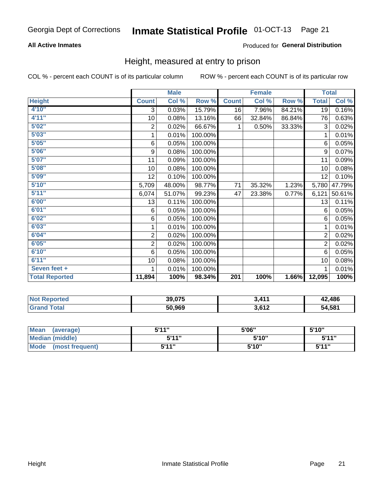### **All Active Inmates**

### Produced for General Distribution

### Height, measured at entry to prison

COL % - percent each COUNT is of its particular column

|                       |                | <b>Male</b> |         |              | <b>Female</b> |        | <b>Total</b>   |        |
|-----------------------|----------------|-------------|---------|--------------|---------------|--------|----------------|--------|
| <b>Height</b>         | <b>Count</b>   | Col %       | Row %   | <b>Count</b> | Col %         | Row %  | <b>Total</b>   | Col %  |
| 4'10"                 | 3              | 0.03%       | 15.79%  | 16           | 7.96%         | 84.21% | 19             | 0.16%  |
| 4'11''                | 10             | 0.08%       | 13.16%  | 66           | 32.84%        | 86.84% | 76             | 0.63%  |
| 5'02''                | $\sqrt{2}$     | 0.02%       | 66.67%  | 1            | 0.50%         | 33.33% | 3              | 0.02%  |
| 5'03''                | 1              | 0.01%       | 100.00% |              |               |        | 1              | 0.01%  |
| 5'05''                | 6              | 0.05%       | 100.00% |              |               |        | 6              | 0.05%  |
| 5'06''                | 9              | 0.08%       | 100.00% |              |               |        | 9              | 0.07%  |
| 5'07''                | 11             | 0.09%       | 100.00% |              |               |        | 11             | 0.09%  |
| 5'08''                | 10             | 0.08%       | 100.00% |              |               |        | 10             | 0.08%  |
| 5'09''                | 12             | 0.10%       | 100.00% |              |               |        | 12             | 0.10%  |
| 5'10''                | 5,709          | 48.00%      | 98.77%  | 71           | 35.32%        | 1.23%  | 5,780          | 47.79% |
| 5'11''                | 6,074          | 51.07%      | 99.23%  | 47           | 23.38%        | 0.77%  | 6,121          | 50.61% |
| 6'00''                | 13             | 0.11%       | 100.00% |              |               |        | 13             | 0.11%  |
| 6'01''                | 6              | 0.05%       | 100.00% |              |               |        | 6              | 0.05%  |
| 6'02''                | 6              | 0.05%       | 100.00% |              |               |        | 6              | 0.05%  |
| 6'03''                | 1              | 0.01%       | 100.00% |              |               |        | 1              | 0.01%  |
| 6'04''                | $\overline{c}$ | 0.02%       | 100.00% |              |               |        | $\overline{2}$ | 0.02%  |
| 6'05''                | $\overline{c}$ | 0.02%       | 100.00% |              |               |        | $\overline{2}$ | 0.02%  |
| 6'10''                | 6              | 0.05%       | 100.00% |              |               |        | 6              | 0.05%  |
| 6'11''                | 10             | 0.08%       | 100.00% |              |               |        | 10             | 0.08%  |
| Seven feet +          | 1              | 0.01%       | 100.00% |              |               |        |                | 0.01%  |
| <b>Total Reported</b> | 11,894         | 100%        | 98.34%  | 201          | 100%          | 1.66%  | 12,095         | 100%   |

| 'Not<br><b>Reported</b> | 39,075 | $\lambda$ 14    | 42,486 |
|-------------------------|--------|-----------------|--------|
| <b>ota</b>              | 50,969 | 2.612<br>J,∪ I⊥ | 54,581 |

| <b>Mean</b><br>(average) | 544" | 5'06" | 5'10" |
|--------------------------|------|-------|-------|
| <b>Median (middle)</b>   | 544" | 5'10" | 5'11" |
| Mode<br>(most frequent)  | 544" | 5'10" | 544"  |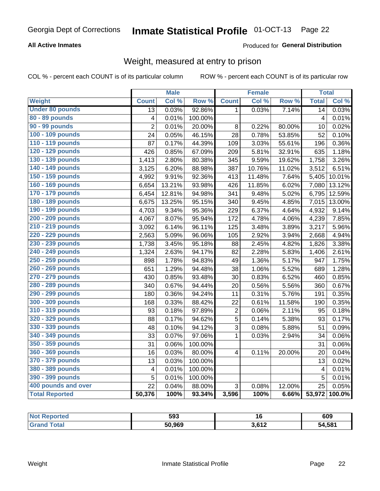### **All Active Inmates**

### Produced for General Distribution

### Weight, measured at entry to prison

COL % - percent each COUNT is of its particular column

|                        |                         | <b>Male</b> |         |                         | <b>Female</b> |        | <b>Total</b>            |                     |
|------------------------|-------------------------|-------------|---------|-------------------------|---------------|--------|-------------------------|---------------------|
| Weight                 | <b>Count</b>            | Col %       | Row %   | <b>Count</b>            | Col %         | Row %  | <b>Total</b>            | Col %               |
| <b>Under 80 pounds</b> | $\overline{13}$         | 0.03%       | 92.86%  | $\mathbf{1}$            | 0.03%         | 7.14%  | $\overline{14}$         | 0.03%               |
| 80 - 89 pounds         | $\overline{\mathbf{4}}$ | 0.01%       | 100.00% |                         |               |        | $\overline{\mathbf{4}}$ | 0.01%               |
| 90 - 99 pounds         | $\overline{2}$          | 0.01%       | 20.00%  | 8                       | 0.22%         | 80.00% | 10                      | 0.02%               |
| 100 - 109 pounds       | 24                      | 0.05%       | 46.15%  | 28                      | 0.78%         | 53.85% | 52                      | 0.10%               |
| 110 - 119 pounds       | 87                      | 0.17%       | 44.39%  | 109                     | 3.03%         | 55.61% | 196                     | 0.36%               |
| 120 - 129 pounds       | 426                     | 0.85%       | 67.09%  | 209                     | 5.81%         | 32.91% | 635                     | 1.18%               |
| 130 - 139 pounds       | 1,413                   | 2.80%       | 80.38%  | 345                     | 9.59%         | 19.62% | 1,758                   | 3.26%               |
| 140 - 149 pounds       | 3,125                   | 6.20%       | 88.98%  | 387                     | 10.76%        | 11.02% | 3,512                   | 6.51%               |
| 150 - 159 pounds       | 4,992                   | 9.91%       | 92.36%  | 413                     | 11.48%        | 7.64%  | 5,405                   | 10.01%              |
| 160 - 169 pounds       | 6,654                   | 13.21%      | 93.98%  | 426                     | 11.85%        | 6.02%  | 7,080                   | 13.12%              |
| 170 - 179 pounds       | 6,454                   | 12.81%      | 94.98%  | 341                     | 9.48%         | 5.02%  | 6,795                   | 12.59%              |
| 180 - 189 pounds       | 6,675                   | 13.25%      | 95.15%  | 340                     | 9.45%         | 4.85%  | 7,015                   | 13.00%              |
| 190 - 199 pounds       | 4,703                   | 9.34%       | 95.36%  | 229                     | 6.37%         | 4.64%  | 4,932                   | 9.14%               |
| 200 - 209 pounds       | 4,067                   | 8.07%       | 95.94%  | 172                     | 4.78%         | 4.06%  | 4,239                   | 7.85%               |
| 210 - 219 pounds       | 3,092                   | 6.14%       | 96.11%  | 125                     | 3.48%         | 3.89%  | 3,217                   | 5.96%               |
| 220 - 229 pounds       | 2,563                   | 5.09%       | 96.06%  | 105                     | 2.92%         | 3.94%  | 2,668                   | 4.94%               |
| 230 - 239 pounds       | 1,738                   | 3.45%       | 95.18%  | 88                      | 2.45%         | 4.82%  | 1,826                   | 3.38%               |
| 240 - 249 pounds       | 1,324                   | 2.63%       | 94.17%  | 82                      | 2.28%         | 5.83%  | 1,406                   | 2.61%               |
| 250 - 259 pounds       | 898                     | 1.78%       | 94.83%  | 49                      | 1.36%         | 5.17%  | 947                     | 1.75%               |
| 260 - 269 pounds       | 651                     | 1.29%       | 94.48%  | 38                      | 1.06%         | 5.52%  | 689                     | 1.28%               |
| 270 - 279 pounds       | 430                     | 0.85%       | 93.48%  | 30                      | 0.83%         | 6.52%  | 460                     | 0.85%               |
| 280 - 289 pounds       | 340                     | 0.67%       | 94.44%  | 20                      | 0.56%         | 5.56%  | 360                     | 0.67%               |
| 290 - 299 pounds       | 180                     | 0.36%       | 94.24%  | 11                      | 0.31%         | 5.76%  | 191                     | 0.35%               |
| 300 - 309 pounds       | 168                     | 0.33%       | 88.42%  | 22                      | 0.61%         | 11.58% | 190                     | 0.35%               |
| 310 - 319 pounds       | 93                      | 0.18%       | 97.89%  | 2                       | 0.06%         | 2.11%  | 95                      | $\overline{0.18\%}$ |
| 320 - 329 pounds       | 88                      | 0.17%       | 94.62%  | 5                       | 0.14%         | 5.38%  | 93                      | 0.17%               |
| 330 - 339 pounds       | 48                      | 0.10%       | 94.12%  | 3                       | 0.08%         | 5.88%  | 51                      | 0.09%               |
| 340 - 349 pounds       | 33                      | 0.07%       | 97.06%  | $\mathbf{1}$            | 0.03%         | 2.94%  | 34                      | 0.06%               |
| 350 - 359 pounds       | 31                      | 0.06%       | 100.00% |                         |               |        | 31                      | 0.06%               |
| 360 - 369 pounds       | 16                      | 0.03%       | 80.00%  | $\overline{\mathbf{4}}$ | 0.11%         | 20.00% | 20                      | 0.04%               |
| 370 - 379 pounds       | 13                      | 0.03%       | 100.00% |                         |               |        | 13                      | 0.02%               |
| 380 - 389 pounds       | $\overline{\mathbf{4}}$ | 0.01%       | 100.00% |                         |               |        | $\overline{4}$          | 0.01%               |
| 390 - 399 pounds       | 5                       | 0.01%       | 100.00% |                         |               |        | 5                       | 0.01%               |
| 400 pounds and over    | 22                      | 0.04%       | 88.00%  | 3                       | 0.08%         | 12.00% | 25                      | 0.05%               |
| <b>Total Reported</b>  | 50,376                  | 100%        | 93.34%  | 3,596                   | 100%          | 6.66%  | 53,972                  | 100.0%              |

| rteo<br>NO1 | 593    |                       | 609    |
|-------------|--------|-----------------------|--------|
|             | 50.969 | <b>1 בים</b><br>J.VIZ | 54,581 |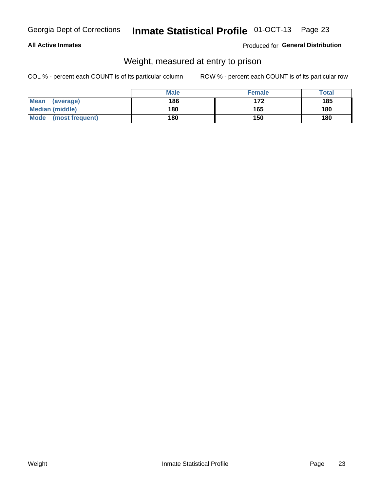### **All Active Inmates**

### Produced for General Distribution

### Weight, measured at entry to prison

COL % - percent each COUNT is of its particular column

|                          | <b>Male</b> | <b>Female</b> | Total |
|--------------------------|-------------|---------------|-------|
| <b>Mean</b><br>(average) | 186         | 172           | 185   |
| <b>Median (middle)</b>   | 180         | 165           | 180   |
| Mode<br>(most frequent)  | 180         | 150           | 180   |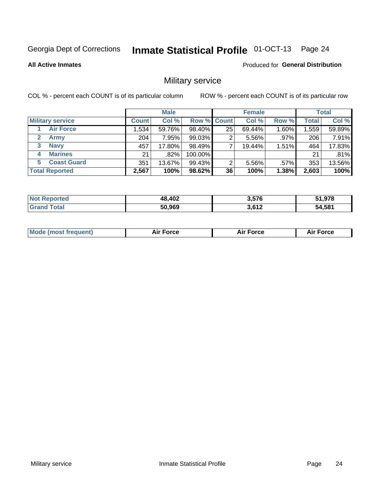#### Inmate Statistical Profile 01-OCT-13 Page 24

**All Active Inmates** 

Produced for General Distribution

### Military service

COL % - percent each COUNT is of its particular column

|                               | <b>Male</b>  |        |                    | <b>Female</b> |        |         | <b>Total</b> |        |
|-------------------------------|--------------|--------|--------------------|---------------|--------|---------|--------------|--------|
| <b>Military service</b>       | <b>Count</b> | Col %  | <b>Row % Count</b> |               | Col %  | Row %   | Total        | Col %  |
| <b>Air Force</b>              | 1,534        | 59.76% | 98.40%             | 25            | 69.44% | 1.60%   | 1,559        | 59.89% |
| $\mathbf{2}^-$<br><b>Army</b> | 204          | 7.95%  | 99.03%             | റ             | 5.56%  | $.97\%$ | 206          | 7.91%  |
| <b>Navy</b><br>3              | 457          | 17.80% | 98.49%             |               | 19.44% | 1.51%   | 464          | 17.83% |
| <b>Marines</b><br>4           | 21           | .82%   | 100.00%            |               |        |         | 21           | .81%   |
| <b>Coast Guard</b><br>5.      | 351          | 13.67% | 99.43%             | 2             | 5.56%  | $.57\%$ | 353          | 13.56% |
| <b>Total Reported</b>         | 2,567        | 100%   | 98.62%             | 36            | 100%   | 1.38%   | 2,603        | 100%   |

| <b>ported</b><br><b>NOT</b> | 48,402 | 3,576 | 51.978 |
|-----------------------------|--------|-------|--------|
| ™າtal                       | 50,969 | 3.612 | 54,581 |

| <b>Mode (most frequent)</b> | <b>Force</b> | <b>Air Force</b> | ∙orce |
|-----------------------------|--------------|------------------|-------|
|                             |              |                  |       |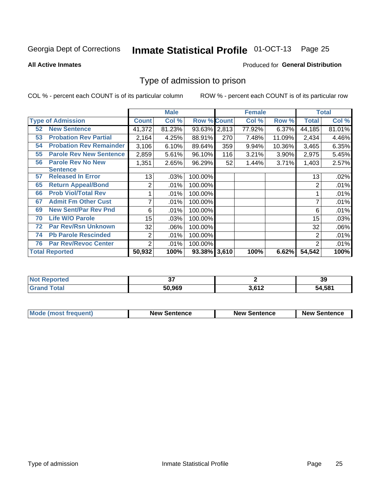# Inmate Statistical Profile 01-OCT-13 Page 25

**All Active Inmates** 

### **Produced for General Distribution**

### Type of admission to prison

COL % - percent each COUNT is of its particular column

|    |                                |                | <b>Male</b> |                    |     | <b>Female</b> |        |              | <b>Total</b> |
|----|--------------------------------|----------------|-------------|--------------------|-----|---------------|--------|--------------|--------------|
|    | <b>Type of Admission</b>       | <b>Count</b>   | Col %       | <b>Row % Count</b> |     | Col %         | Row %  | <b>Total</b> | Col %        |
| 52 | <b>New Sentence</b>            | 41,372         | 81.23%      | 93.63% 2,813       |     | 77.92%        | 6.37%  | 44,185       | 81.01%       |
| 53 | <b>Probation Rev Partial</b>   | 2,164          | 4.25%       | 88.91%             | 270 | 7.48%         | 11.09% | 2,434        | 4.46%        |
| 54 | <b>Probation Rev Remainder</b> | 3,106          | 6.10%       | 89.64%             | 359 | 9.94%         | 10.36% | 3,465        | 6.35%        |
| 55 | <b>Parole Rev New Sentence</b> | 2,859          | 5.61%       | 96.10%             | 116 | 3.21%         | 3.90%  | 2,975        | 5.45%        |
| 56 | <b>Parole Rev No New</b>       | 1,351          | 2.65%       | 96.29%             | 52  | 1.44%         | 3.71%  | 1,403        | 2.57%        |
|    | <b>Sentence</b>                |                |             |                    |     |               |        |              |              |
| 57 | <b>Released In Error</b>       | 13             | .03%        | 100.00%            |     |               |        | 13           | .02%         |
| 65 | <b>Return Appeal/Bond</b>      | $\overline{2}$ | .01%        | 100.00%            |     |               |        | 2            | .01%         |
| 66 | <b>Prob Viol/Total Rev</b>     |                | .01%        | 100.00%            |     |               |        |              | .01%         |
| 67 | <b>Admit Fm Other Cust</b>     | 7              | .01%        | 100.00%            |     |               |        | 7            | .01%         |
| 69 | <b>New Sent/Par Rev Pnd</b>    | 6              | .01%        | 100.00%            |     |               |        | 6            | .01%         |
| 70 | <b>Life W/O Parole</b>         | 15             | .03%        | 100.00%            |     |               |        | 15           | .03%         |
| 72 | <b>Par Rev/Rsn Unknown</b>     | 32             | .06%        | 100.00%            |     |               |        | 32           | .06%         |
| 74 | <b>Pb Parole Rescinded</b>     | $\overline{2}$ | .01%        | 100.00%            |     |               |        | 2            | .01%         |
| 76 | <b>Par Rev/Revoc Center</b>    | $\overline{2}$ | .01%        | 100.00%            |     |               |        | 2            | .01%         |
|    | <b>Total Reported</b>          | 50,932         | 100%        | 93.38% 3,610       |     | 100%          | 6.62%  | 54,542       | 100%         |

| 'teo<br>NO |        |     | 39     |
|------------|--------|-----|--------|
|            | 50,969 | 647 | 54.581 |

| Mode (most frequent) | <b>New Sentence</b> | <b>New Sentence</b> | <b>New Sentence</b> |
|----------------------|---------------------|---------------------|---------------------|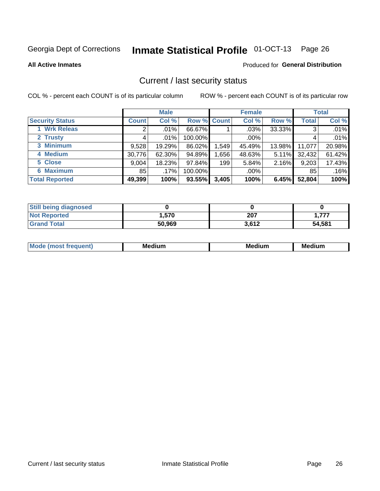# Inmate Statistical Profile 01-OCT-13 Page 26

**All Active Inmates** 

### **Produced for General Distribution**

### Current / last security status

COL % - percent each COUNT is of its particular column

|                        |              | <b>Male</b> |             |       | <b>Female</b> |          |              | <b>Total</b> |  |
|------------------------|--------------|-------------|-------------|-------|---------------|----------|--------------|--------------|--|
| <b>Security Status</b> | <b>Count</b> | Col %       | Row % Count |       | Col %         | Row %    | <b>Total</b> | Col %        |  |
| 1 Wrk Releas           | 2            | $.01\%$     | 66.67%      |       | $.03\%$       | 33.33%   | 3            | .01%         |  |
| 2 Trusty               |              | .01%        | 100.00%     |       | $.00\%$       |          |              | .01%         |  |
| 3 Minimum              | 9,528        | 19.29%      | 86.02%      | 1,549 | 45.49%        | 13.98%   | 11,077       | 20.98%       |  |
| 4 Medium               | 30,776       | 62.30%      | 94.89%      | ,656  | 48.63%        | $5.11\%$ | 32,432       | 61.42%       |  |
| 5 Close                | 9,004        | 18.23%      | 97.84%      | 199   | 5.84%         | 2.16%    | 9,203        | 17.43%       |  |
| <b>6 Maximum</b>       | 85           | .17%        | 100.00%     |       | $.00\%$       |          | 85           | .16%         |  |
| <b>Total Reported</b>  | 49,399       | 100%        | 93.55%      | 3,405 | 100%          | 6.45%    | 52,804       | 100%         |  |

| <b>Still being diagnosed</b> |        |       |        |
|------------------------------|--------|-------|--------|
| <b>Not Reported</b>          | 570.،  | 207   | 777.،  |
| <b>Grand Total</b>           | 50,969 | 3.612 | 54,581 |

| <b>Mo</b><br>ети | M.<br>. .<br>dium | M٢<br>. | <br><b>Medium</b> |
|------------------|-------------------|---------|-------------------|
|                  |                   |         |                   |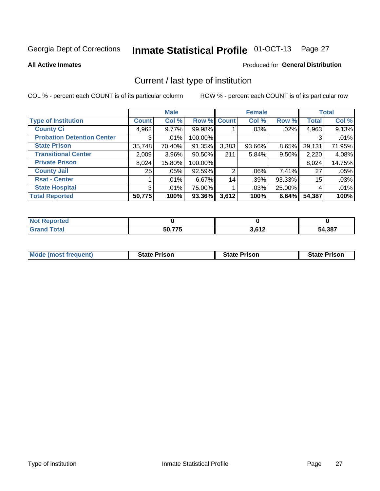# Inmate Statistical Profile 01-OCT-13 Page 27

**All Active Inmates** 

### Produced for General Distribution

### Current / last type of institution

COL % - percent each COUNT is of its particular column

|                                   |              | <b>Male</b> |             |       | <b>Female</b> |          |              | <b>Total</b> |
|-----------------------------------|--------------|-------------|-------------|-------|---------------|----------|--------------|--------------|
| <b>Type of Institution</b>        | <b>Count</b> | Col %       | Row % Count |       | Col %         | Row %    | <b>Total</b> | Col %        |
| <b>County Ci</b>                  | 4,962        | $9.77\%$    | 99.98%      |       | .03%          | $.02\%$  | 4,963        | 9.13%        |
| <b>Probation Detention Center</b> | 3            | .01%        | 100.00%     |       |               |          | 3            | .01%         |
| <b>State Prison</b>               | 35,748       | 70.40%      | 91.35%      | 3,383 | $93.66\%$     | $8.65\%$ | 39,131       | 71.95%       |
| <b>Transitional Center</b>        | 2,009        | 3.96%       | 90.50%      | 211   | 5.84%         | $9.50\%$ | 2,220        | 4.08%        |
| <b>Private Prison</b>             | 8,024        | 15.80%      | 100.00%     |       |               |          | 8,024        | 14.75%       |
| <b>County Jail</b>                | 25           | .05%        | 92.59%      | 2     | $.06\%$       | $7.41\%$ | 27           | .05%         |
| <b>Rsat - Center</b>              |              | $.01\%$     | $6.67\%$    | 14    | .39%          | 93.33%   | 15           | .03%         |
| <b>State Hospital</b>             | 3            | .01%        | 75.00%      |       | .03%          | 25.00%   | 4            | .01%         |
| <b>Total Reported</b>             | 50,775       | 100%        | 93.36%      | 3,612 | 100%          | 6.64%    | 54,387       | 100%         |

| oorted<br>NO1  |        |                        |        |
|----------------|--------|------------------------|--------|
| `otal<br>. Gro | 50,775 | ר גם כ<br><b>J.OIZ</b> | 54,387 |

| Mode (most frequent) | <b>State Prison</b> | <b>State Prison</b> | <b>State Prison</b> |
|----------------------|---------------------|---------------------|---------------------|
|                      |                     |                     |                     |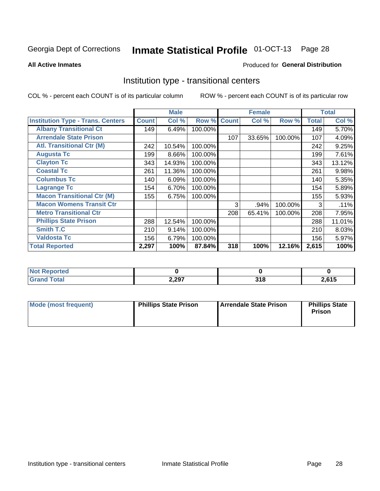#### Inmate Statistical Profile 01-OCT-13 Page 28

#### **All Active Inmates**

### Produced for General Distribution

### Institution type - transitional centers

COL % - percent each COUNT is of its particular column

|                                          |              | <b>Male</b> |         |              | <b>Female</b> |         |              | <b>Total</b> |
|------------------------------------------|--------------|-------------|---------|--------------|---------------|---------|--------------|--------------|
| <b>Institution Type - Trans. Centers</b> | <b>Count</b> | Col %       | Row %   | <b>Count</b> | Col %         | Row %   | <b>Total</b> | Col %        |
| <b>Albany Transitional Ct</b>            | 149          | 6.49%       | 100.00% |              |               |         | 149          | 5.70%        |
| <b>Arrendale State Prison</b>            |              |             |         | 107          | 33.65%        | 100.00% | 107          | 4.09%        |
| <b>Atl. Transitional Ctr (M)</b>         | 242          | 10.54%      | 100.00% |              |               |         | 242          | 9.25%        |
| <b>Augusta Tc</b>                        | 199          | 8.66%       | 100.00% |              |               |         | 199          | 7.61%        |
| <b>Clayton Tc</b>                        | 343          | 14.93%      | 100.00% |              |               |         | 343          | 13.12%       |
| <b>Coastal Tc</b>                        | 261          | 11.36%      | 100.00% |              |               |         | 261          | 9.98%        |
| <b>Columbus Tc</b>                       | 140          | 6.09%       | 100.00% |              |               |         | 140          | 5.35%        |
| <b>Lagrange Tc</b>                       | 154          | 6.70%       | 100.00% |              |               |         | 154          | 5.89%        |
| <b>Macon Transitional Ctr (M)</b>        | 155          | 6.75%       | 100.00% |              |               |         | 155          | 5.93%        |
| <b>Macon Womens Transit Ctr</b>          |              |             |         | 3            | .94%          | 100.00% | 3            | .11%         |
| <b>Metro Transitional Ctr</b>            |              |             |         | 208          | 65.41%        | 100.00% | 208          | 7.95%        |
| <b>Phillips State Prison</b>             | 288          | 12.54%      | 100.00% |              |               |         | 288          | 11.01%       |
| Smith T.C                                | 210          | 9.14%       | 100.00% |              |               |         | 210          | 8.03%        |
| <b>Valdosta Tc</b>                       | 156          | 6.79%       | 100.00% |              |               |         | 156          | 5.97%        |
| <b>Total Reported</b>                    | 2,297        | 100%        | 87.84%  | 318          | 100%          | 12.16%  | 2,615        | 100%         |

| orted<br>$\sim$ |       |      |       |
|-----------------|-------|------|-------|
| <b>ota</b>      | 2,297 | - 14 | .,615 |

| Mode (most frequent) | <b>Phillips State Prison</b> | Arrendale State Prison | <b>Phillips State</b><br>Prison |
|----------------------|------------------------------|------------------------|---------------------------------|
|                      |                              |                        |                                 |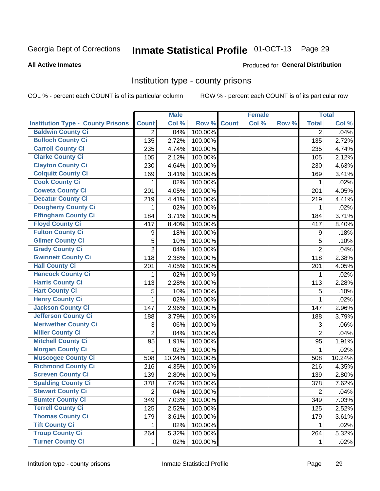# Inmate Statistical Profile 01-OCT-13 Page 29

#### **All Active Inmates**

#### Produced for General Distribution

### Institution type - county prisons

COL % - percent each COUNT is of its particular column

|                                          |                | <b>Male</b> |         |              | <b>Female</b> |       |                | <b>Total</b> |
|------------------------------------------|----------------|-------------|---------|--------------|---------------|-------|----------------|--------------|
| <b>Institution Type - County Prisons</b> | <b>Count</b>   | Col %       | Row %   | <b>Count</b> | Col %         | Row % | <b>Total</b>   | Col %        |
| <b>Baldwin County Ci</b>                 | $\overline{2}$ | .04%        | 100.00% |              |               |       | $\overline{2}$ | .04%         |
| <b>Bulloch County Ci</b>                 | 135            | 2.72%       | 100.00% |              |               |       | 135            | 2.72%        |
| <b>Carroll County Ci</b>                 | 235            | 4.74%       | 100.00% |              |               |       | 235            | 4.74%        |
| <b>Clarke County Ci</b>                  | 105            | 2.12%       | 100.00% |              |               |       | 105            | 2.12%        |
| <b>Clayton County Ci</b>                 | 230            | 4.64%       | 100.00% |              |               |       | 230            | 4.63%        |
| <b>Colquitt County Ci</b>                | 169            | 3.41%       | 100.00% |              |               |       | 169            | 3.41%        |
| <b>Cook County Ci</b>                    | 1              | .02%        | 100.00% |              |               |       | 1              | .02%         |
| <b>Coweta County Ci</b>                  | 201            | 4.05%       | 100.00% |              |               |       | 201            | 4.05%        |
| <b>Decatur County Ci</b>                 | 219            | 4.41%       | 100.00% |              |               |       | 219            | 4.41%        |
| <b>Dougherty County Ci</b>               | 1              | .02%        | 100.00% |              |               |       | 1              | .02%         |
| <b>Effingham County Ci</b>               | 184            | 3.71%       | 100.00% |              |               |       | 184            | 3.71%        |
| <b>Floyd County Ci</b>                   | 417            | 8.40%       | 100.00% |              |               |       | 417            | 8.40%        |
| <b>Fulton County Ci</b>                  | 9              | .18%        | 100.00% |              |               |       | 9              | .18%         |
| <b>Gilmer County Ci</b>                  | 5              | .10%        | 100.00% |              |               |       | 5              | .10%         |
| <b>Grady County Ci</b>                   | $\overline{2}$ | .04%        | 100.00% |              |               |       | $\overline{2}$ | .04%         |
| <b>Gwinnett County Ci</b>                | 118            | 2.38%       | 100.00% |              |               |       | 118            | 2.38%        |
| <b>Hall County Ci</b>                    | 201            | 4.05%       | 100.00% |              |               |       | 201            | 4.05%        |
| <b>Hancock County Ci</b>                 | 1              | .02%        | 100.00% |              |               |       | 1              | .02%         |
| <b>Harris County Ci</b>                  | 113            | 2.28%       | 100.00% |              |               |       | 113            | 2.28%        |
| <b>Hart County Ci</b>                    | 5              | .10%        | 100.00% |              |               |       | 5              | .10%         |
| <b>Henry County Ci</b>                   | 1              | .02%        | 100.00% |              |               |       | $\mathbf{1}$   | .02%         |
| Jackson County Ci                        | 147            | 2.96%       | 100.00% |              |               |       | 147            | 2.96%        |
| <b>Jefferson County Ci</b>               | 188            | 3.79%       | 100.00% |              |               |       | 188            | 3.79%        |
| <b>Meriwether County Ci</b>              | 3              | .06%        | 100.00% |              |               |       | 3              | .06%         |
| <b>Miller County Ci</b>                  | $\overline{2}$ | .04%        | 100.00% |              |               |       | $\overline{2}$ | .04%         |
| <b>Mitchell County Ci</b>                | 95             | 1.91%       | 100.00% |              |               |       | 95             | 1.91%        |
| <b>Morgan County Ci</b>                  | 1              | .02%        | 100.00% |              |               |       | 1              | .02%         |
| <b>Muscogee County Ci</b>                | 508            | 10.24%      | 100.00% |              |               |       | 508            | 10.24%       |
| <b>Richmond County Ci</b>                | 216            | 4.35%       | 100.00% |              |               |       | 216            | 4.35%        |
| <b>Screven County Ci</b>                 | 139            | 2.80%       | 100.00% |              |               |       | 139            | 2.80%        |
| <b>Spalding County Ci</b>                | 378            | 7.62%       | 100.00% |              |               |       | 378            | 7.62%        |
| <b>Stewart County Ci</b>                 | $\overline{2}$ | .04%        | 100.00% |              |               |       | $\overline{2}$ | .04%         |
| <b>Sumter County Ci</b>                  | 349            | 7.03%       | 100.00% |              |               |       | 349            | 7.03%        |
| <b>Terrell County Ci</b>                 | 125            | 2.52%       | 100.00% |              |               |       | 125            | 2.52%        |
| <b>Thomas County Ci</b>                  | 179            | 3.61%       | 100.00% |              |               |       | 179            | 3.61%        |
| <b>Tift County Ci</b>                    | 1.             | .02%        | 100.00% |              |               |       | 1              | .02%         |
| <b>Troup County Ci</b>                   | 264            | 5.32%       | 100.00% |              |               |       | 264            | 5.32%        |
| <b>Turner County Ci</b>                  | $\mathbf 1$    | .02%        | 100.00% |              |               |       | 1              | .02%         |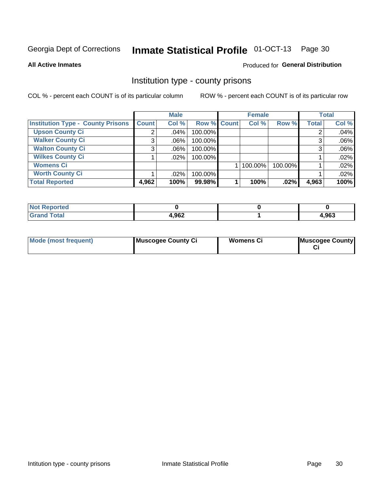# Inmate Statistical Profile 01-OCT-13 Page 30

**All Active Inmates** 

### Produced for General Distribution

### Institution type - county prisons

COL % - percent each COUNT is of its particular column

|                                          |              | <b>Male</b> |             | <b>Female</b> |         |         | <b>Total</b> |       |
|------------------------------------------|--------------|-------------|-------------|---------------|---------|---------|--------------|-------|
| <b>Institution Type - County Prisons</b> | <b>Count</b> | Col %       | Row % Count |               | Col %   | Row %   | <b>Total</b> | Col % |
| <b>Upson County Ci</b>                   | 2            | $.04\%$     | 100.00%     |               |         |         |              | .04%  |
| <b>Walker County Ci</b>                  | 3            | $.06\%$     | 100.00%     |               |         |         |              | .06%  |
| <b>Walton County Ci</b>                  | 3            | $.06\%$     | 100.00%     |               |         |         |              | .06%  |
| <b>Wilkes County Ci</b>                  |              | $.02\%$     | 100.00%     |               |         |         |              | .02%  |
| <b>Womens Ci</b>                         |              |             |             |               | 100.00% | 100.00% |              | .02%  |
| <b>Worth County Ci</b>                   |              | $.02\%$     | 100.00%     |               |         |         |              | .02%  |
| <b>Total Reported</b>                    | 4,962        | 100%        | 99.98%      |               | 100%    | $.02\%$ | 4,963        | 100%  |

| .eported     |       |       |
|--------------|-------|-------|
| <b>Total</b> | 1.962 | 4,963 |

| <b>Mode (most frequent)</b> | Muscogee County Ci | <b>Womens Ci</b> | Muscogee County |
|-----------------------------|--------------------|------------------|-----------------|
|-----------------------------|--------------------|------------------|-----------------|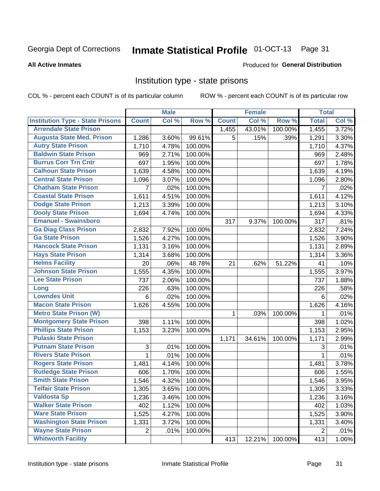#### Inmate Statistical Profile 01-OCT-13 Page 31

#### **All Active Inmates**

### Produced for General Distribution

### Institution type - state prisons

COL % - percent each COUNT is of its particular column

|                                         |                 | <b>Male</b> |         |              | <b>Female</b> |         | <b>Total</b> |       |
|-----------------------------------------|-----------------|-------------|---------|--------------|---------------|---------|--------------|-------|
| <b>Institution Type - State Prisons</b> | <b>Count</b>    | Col %       | Row %   | <b>Count</b> | Col %         | Row %   | <b>Total</b> | Col % |
| <b>Arrendale State Prison</b>           |                 |             |         | 1,455        | 43.01%        | 100.00% | 1,455        | 3.72% |
| <b>Augusta State Med. Prison</b>        | 1,286           | 3.60%       | 99.61%  | 5            | .15%          | .39%    | 1,291        | 3.30% |
| <b>Autry State Prison</b>               | 1,710           | 4.78%       | 100.00% |              |               |         | 1,710        | 4.37% |
| <b>Baldwin State Prison</b>             | 969             | 2.71%       | 100.00% |              |               |         | 969          | 2.48% |
| <b>Burrus Corr Trn Cntr</b>             | 697             | 1.95%       | 100.00% |              |               |         | 697          | 1.78% |
| <b>Calhoun State Prison</b>             | 1,639           | 4.58%       | 100.00% |              |               |         | 1,639        | 4.19% |
| <b>Central State Prison</b>             | 1,096           | 3.07%       | 100.00% |              |               |         | 1,096        | 2.80% |
| <b>Chatham State Prison</b>             | 7               | .02%        | 100.00% |              |               |         | 7            | .02%  |
| <b>Coastal State Prison</b>             | 1,611           | 4.51%       | 100.00% |              |               |         | 1,611        | 4.12% |
| <b>Dodge State Prison</b>               | 1,213           | 3.39%       | 100.00% |              |               |         | 1,213        | 3.10% |
| <b>Dooly State Prison</b>               | 1,694           | 4.74%       | 100.00% |              |               |         | 1,694        | 4.33% |
| <b>Emanuel - Swainsboro</b>             |                 |             |         | 317          | 9.37%         | 100.00% | 317          | .81%  |
| <b>Ga Diag Class Prison</b>             | 2,832           | 7.92%       | 100.00% |              |               |         | 2,832        | 7.24% |
| <b>Ga State Prison</b>                  | 1,526           | 4.27%       | 100.00% |              |               |         | 1,526        | 3.90% |
| <b>Hancock State Prison</b>             | 1,131           | 3.16%       | 100.00% |              |               |         | 1,131        | 2.89% |
| <b>Hays State Prison</b>                | 1,314           | 3.68%       | 100.00% |              |               |         | 1,314        | 3.36% |
| <b>Helms Facility</b>                   | 20              | .06%        | 48.78%  | 21           | .62%          | 51.22%  | 41           | .10%  |
| <b>Johnson State Prison</b>             | 1,555           | 4.35%       | 100.00% |              |               |         | 1,555        | 3.97% |
| <b>Lee State Prison</b>                 | 737             | 2.06%       | 100.00% |              |               |         | 737          | 1.88% |
| Long                                    | 226             | .63%        | 100.00% |              |               |         | 226          | .58%  |
| <b>Lowndes Unit</b>                     | $6\phantom{1}6$ | .02%        | 100.00% |              |               |         | 6            | .02%  |
| <b>Macon State Prison</b>               | 1,626           | 4.55%       | 100.00% |              |               |         | 1,626        | 4.16% |
| <b>Metro State Prison (W)</b>           |                 |             |         | 1            | .03%          | 100.00% | 1            | .01%  |
| <b>Montgomery State Prison</b>          | 398             | 1.11%       | 100.00% |              |               |         | 398          | 1.02% |
| <b>Phillips State Prison</b>            | 1,153           | 3.23%       | 100.00% |              |               |         | 1,153        | 2.95% |
| <b>Pulaski State Prison</b>             |                 |             |         | 1,171        | 34.61%        | 100.00% | 1,171        | 2.99% |
| <b>Putnam State Prison</b>              | $\sqrt{3}$      | .01%        | 100.00% |              |               |         | 3            | .01%  |
| <b>Rivers State Prison</b>              | 1               | .01%        | 100.00% |              |               |         | 1            | .01%  |
| <b>Rogers State Prison</b>              | 1,481           | 4.14%       | 100.00% |              |               |         | 1,481        | 3.78% |
| <b>Rutledge State Prison</b>            | 606             | 1.70%       | 100.00% |              |               |         | 606          | 1.55% |
| <b>Smith State Prison</b>               | 1,546           | 4.32%       | 100.00% |              |               |         | 1,546        | 3.95% |
| Telfair State Prison                    | 1,305           | 3.65%       | 100.00% |              |               |         | 1,305        | 3.33% |
| <b>Valdosta Sp</b>                      | 1,236           | 3.46%       | 100.00% |              |               |         | 1,236        | 3.16% |
| <b>Walker State Prison</b>              | 402             | 1.12%       | 100.00% |              |               |         | 402          | 1.03% |
| <b>Ware State Prison</b>                | 1,525           | 4.27%       | 100.00% |              |               |         | 1,525        | 3.90% |
| <b>Washington State Prison</b>          | 1,331           | 3.72%       | 100.00% |              |               |         | 1,331        | 3.40% |
| <b>Wayne State Prison</b>               | 2               | .01%        | 100.00% |              |               |         | 2            | .01%  |
| <b>Whitworth Facility</b>               |                 |             |         | 413          | 12.21%        | 100.00% | 413          | 1.06% |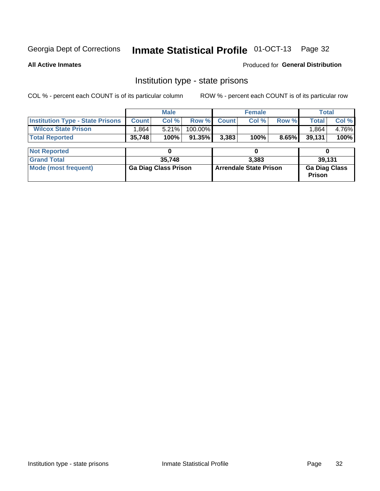# Inmate Statistical Profile 01-OCT-13 Page 32

**All Active Inmates** 

Produced for General Distribution

### Institution type - state prisons

COL % - percent each COUNT is of its particular column

|                                         |              | <b>Male</b>                 |           |                               | <b>Female</b> |       |                                       | <b>Total</b> |  |  |
|-----------------------------------------|--------------|-----------------------------|-----------|-------------------------------|---------------|-------|---------------------------------------|--------------|--|--|
| <b>Institution Type - State Prisons</b> | <b>Count</b> | Col %                       | Row %     | <b>Count</b>                  | Col %         | Row % | <b>Total</b>                          | Col %        |  |  |
| <b>Wilcox State Prison</b>              | 1,864        | 5.21%                       | 100.00%   |                               |               |       | 1,864                                 | 4.76%        |  |  |
| <b>Total Reported</b>                   | 35,748       | 100%                        | $91.35\%$ | 3,383                         | 100%          | 8.65% | 39,131                                | 100%         |  |  |
|                                         |              |                             |           |                               |               |       |                                       |              |  |  |
| <b>Not Reported</b>                     |              |                             |           |                               |               |       |                                       |              |  |  |
| <b>Grand Total</b>                      |              | 35,748                      |           |                               | 3.383         |       |                                       | 39,131       |  |  |
| <b>Mode (most frequent)</b>             |              | <b>Ga Diag Class Prison</b> |           | <b>Arrendale State Prison</b> |               |       | <b>Ga Diag Class</b><br><b>Prison</b> |              |  |  |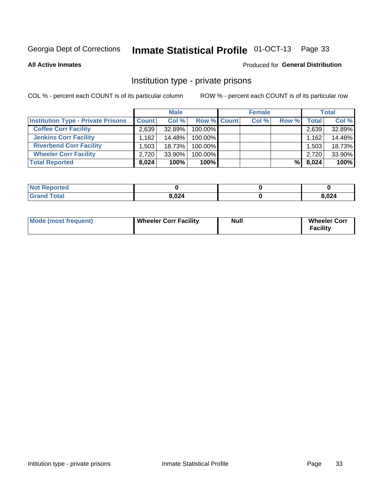# Inmate Statistical Profile 01-OCT-13 Page 33

**All Active Inmates** 

### Produced for General Distribution

### Institution type - private prisons

COL % - percent each COUNT is of its particular column

|                                           | <b>Male</b>  |           |                    | <b>Female</b> |       |       | <b>Total</b> |        |
|-------------------------------------------|--------------|-----------|--------------------|---------------|-------|-------|--------------|--------|
| <b>Institution Type - Private Prisons</b> | <b>Count</b> | Col %     | <b>Row % Count</b> |               | Col % | Row % | Total        | Col %  |
| <b>Coffee Corr Facility</b>               | 2.639        | 32.89%    | 100.00%            |               |       |       | 2,639        | 32.89% |
| <b>Jenkins Corr Facility</b>              | .162         | 14.48%    | 100.00%            |               |       |       | 1,162        | 14.48% |
| <b>Riverbend Corr Facility</b>            | .503         | 18.73%    | 100.00%            |               |       |       | 1,503        | 18.73% |
| <b>Wheeler Corr Facility</b>              | 2,720        | $33.90\%$ | 100.00%            |               |       |       | 2,720        | 33.90% |
| <b>Total Reported</b>                     | 8,024        | 100%      | $100\%$            |               |       | %     | 8,024        | 100%   |

| 'Not<br><b>Reported</b> |       |       |
|-------------------------|-------|-------|
| <b>Total</b>            | 8,024 | 8,024 |

| <b>Mode (most frequent)</b> | <b>Wheeler Corr Facility</b> | Null | <b>Wheeler Corr</b><br>Facility |
|-----------------------------|------------------------------|------|---------------------------------|
|-----------------------------|------------------------------|------|---------------------------------|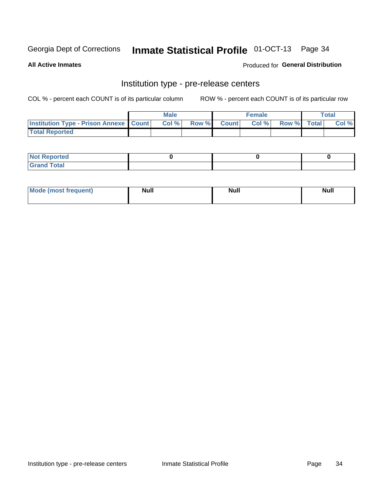## Inmate Statistical Profile 01-OCT-13 Page 34

**All Active Inmates** 

### Produced for General Distribution

# Institution type - pre-release centers

COL % - percent each COUNT is of its particular column

|                                                   | <b>Male</b> |                    | <b>Female</b> |             | <b>Total</b> |
|---------------------------------------------------|-------------|--------------------|---------------|-------------|--------------|
| <b>Institution Type - Prison Annexe   Count  </b> | Col %       | <b>Row % Count</b> | Col %         | Row % Total | Col %        |
| <b>Total Reported</b>                             |             |                    |               |             |              |

| <b>Reported</b><br>I NOT |  |  |
|--------------------------|--|--|
| <b>Total</b><br>$C$ ren  |  |  |

| $^{\circ}$ Mo<br>frequent)<br>⊥(most | <b>Null</b> | Noll<br><b>vull</b> | <b>Null</b> |
|--------------------------------------|-------------|---------------------|-------------|
|                                      |             |                     |             |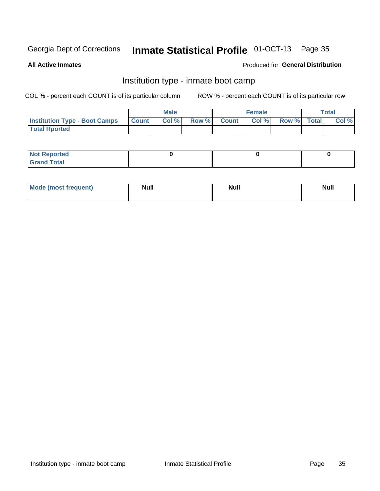# Inmate Statistical Profile 01-OCT-13 Page 35

**All Active Inmates** 

### Produced for General Distribution

### Institution type - inmate boot camp

COL % - percent each COUNT is of its particular column

|                                      |                  | <b>Male</b> |              |              | <b>Female</b> |             | <b>Total</b> |
|--------------------------------------|------------------|-------------|--------------|--------------|---------------|-------------|--------------|
| <b>Institution Type - Boot Camps</b> | <b>I</b> Count I | Col %       | <b>Row %</b> | <b>Count</b> | Col %         | Row % Total | Col %        |
| <b>Total Rported</b>                 |                  |             |              |              |               |             |              |

| <b>Not Reported</b>            |  |  |
|--------------------------------|--|--|
| <b>Total</b><br>C <sub>r</sub> |  |  |

| <b>I Mode (most frequent)</b> | <b>Null</b> | <b>Null</b> | <b>Null</b> |
|-------------------------------|-------------|-------------|-------------|
|                               |             |             |             |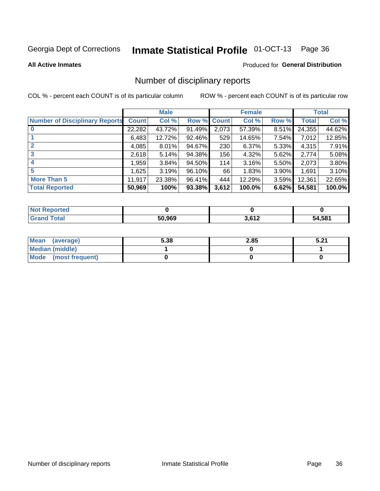# Inmate Statistical Profile 01-OCT-13 Page 36

#### **All Active Inmates**

#### Produced for General Distribution

### Number of disciplinary reports

COL % - percent each COUNT is of its particular column

|                                       |              | <b>Male</b> |        |       | <b>Female</b> |          |              | <b>Total</b> |
|---------------------------------------|--------------|-------------|--------|-------|---------------|----------|--------------|--------------|
| <b>Number of Disciplinary Reports</b> | <b>Count</b> | Col %       | Row %  | Count | Col %         | Row %    | <b>Total</b> | Col %        |
|                                       | 22,282       | 43.72%      | 91.49% | 2,073 | 57.39%        | $8.51\%$ | 24,355       | 44.62%       |
|                                       | 6,483        | 12.72%      | 92.46% | 529   | 14.65%        | $7.54\%$ | 7,012        | 12.85%       |
| $\overline{2}$                        | 4,085        | 8.01%       | 94.67% | 230   | 6.37%         | 5.33%    | 4,315        | 7.91%        |
| 3                                     | 2,618        | 5.14%       | 94.38% | 156   | 4.32%         | $5.62\%$ | 2,774        | 5.08%        |
| 4                                     | 1,959        | $3.84\%$    | 94.50% | 114   | 3.16%         | 5.50%    | 2,073        | 3.80%        |
| 5                                     | 1,625        | 3.19%       | 96.10% | 66    | 1.83%         | $3.90\%$ | 1,691        | 3.10%        |
| <b>More Than 5</b>                    | 11,917       | 23.38%      | 96.41% | 444   | 12.29%        | $3.59\%$ | 12,361       | 22.65%       |
| <b>Total Reported</b>                 | 50,969       | 100%        | 93.38% | 3,612 | 100.0%        | 6.62%    | 54,581       | 100.0%       |

| orted<br><b>NOT</b> |        |       |             |
|---------------------|--------|-------|-------------|
| Total               | 50.969 | 2.642 | ,581<br>54. |

| Mean (average)         | 5.38 | 2.85 | E 94<br>. J.Z. |
|------------------------|------|------|----------------|
| <b>Median (middle)</b> |      |      |                |
| Mode (most frequent)   |      |      |                |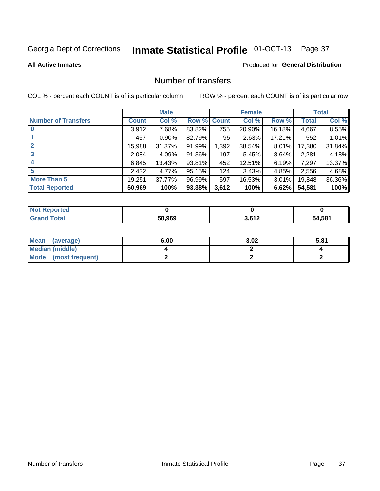# Inmate Statistical Profile 01-OCT-13 Page 37

#### **All Active Inmates**

### **Produced for General Distribution**

## Number of transfers

COL % - percent each COUNT is of its particular column

|                            |         | <b>Male</b> |        |              | <b>Female</b> |          |              | <b>Total</b> |
|----------------------------|---------|-------------|--------|--------------|---------------|----------|--------------|--------------|
| <b>Number of Transfers</b> | Count l | Col %       | Row %  | <b>Count</b> | Col %         | Row %    | <b>Total</b> | Col %        |
|                            | 3,912   | 7.68%       | 83.82% | 755          | 20.90%        | 16.18%   | 4,667        | 8.55%        |
|                            | 457     | $0.90\%$    | 82.79% | 95           | 2.63%         | 17.21%   | 552          | 1.01%        |
| $\mathbf{2}$               | 15,988  | 31.37%      | 91.99% | 1,392        | 38.54%        | $8.01\%$ | 17,380       | 31.84%       |
| 3                          | 2,084   | 4.09%       | 91.36% | 197          | 5.45%         | $8.64\%$ | 2,281        | 4.18%        |
|                            | 6,845   | 13.43%      | 93.81% | 452          | 12.51%        | 6.19%    | 7,297        | 13.37%       |
| 5                          | 2,432   | 4.77%       | 95.15% | 124          | 3.43%         | 4.85%    | 2,556        | 4.68%        |
| <b>More Than 5</b>         | 19,251  | 37.77%      | 96.99% | 597          | 16.53%        | $3.01\%$ | 19,848       | 36.36%       |
| <b>Total Reported</b>      | 50,969  | 100%        | 93.38% | 3,612        | 100%          | 6.62%    | 54,581       | 100%         |

| <b>Not Reported</b> |        |       |        |
|---------------------|--------|-------|--------|
| <b>Total</b>        | 50.969 | 2.612 | 54,581 |

| Mean (average)       | 6.00 | 3.02 | 5.81 |
|----------------------|------|------|------|
| Median (middle)      |      |      |      |
| Mode (most frequent) |      |      |      |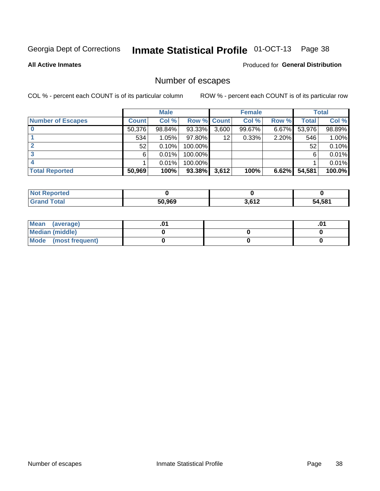# Inmate Statistical Profile 01-OCT-13 Page 38

**All Active Inmates** 

#### Produced for General Distribution

## Number of escapes

COL % - percent each COUNT is of its particular column

|                          |              | <b>Male</b> |             |       | <b>Female</b> |       |        | <b>Total</b> |
|--------------------------|--------------|-------------|-------------|-------|---------------|-------|--------|--------------|
| <b>Number of Escapes</b> | <b>Count</b> | Col %       | Row % Count |       | Col %         | Row % | Total  | Col %        |
|                          | 50,376       | 98.84%      | 93.33%      | 3,600 | 99.67%        | 6.67% | 53,976 | 98.89%       |
|                          | 534          | 1.05%       | 97.80%      | 12    | 0.33%         | 2.20% | 546    | 1.00%        |
|                          | 52           | 0.10%       | 100.00%     |       |               |       | 52     | 0.10%        |
|                          | 6            | 0.01%       | 100.00%     |       |               |       | 6      | 0.01%        |
|                          |              | 0.01%       | 100.00%     |       |               |       |        | 0.01%        |
| <b>Total Reported</b>    | 50,969       | 100%        | 93.38%      | 3,612 | 100%          | 6.62% | 54,581 | 100.0%       |

| <b>Not Reported</b> |        |                  |        |
|---------------------|--------|------------------|--------|
| <b>Grand Total</b>  | 50.969 | 2.612<br>J.V I 4 | 54,581 |

| Mean (average)         |  | .0 |
|------------------------|--|----|
| <b>Median (middle)</b> |  |    |
| Mode (most frequent)   |  |    |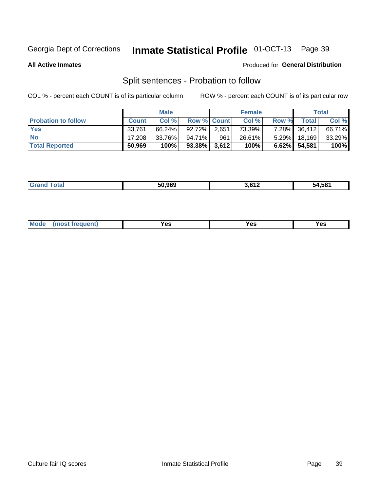#### Inmate Statistical Profile 01-OCT-13 Page 39

**All Active Inmates** 

#### Produced for General Distribution

## Split sentences - Probation to follow

COL % - percent each COUNT is of its particular column

|                            |              | <b>Male</b> |                    |       | <b>Female</b> |          |                 | <b>Total</b> |
|----------------------------|--------------|-------------|--------------------|-------|---------------|----------|-----------------|--------------|
| <b>Probation to follow</b> | <b>Count</b> | Col%        | <b>Row % Count</b> |       | Col %         | Row %    | <b>Total</b>    | Col %        |
| <b>Yes</b>                 | 33.761       | 66.24%      | 92.72%             | 2,651 | 73.39%        | $7.28\%$ | 36,412          | 66.71%       |
| <b>No</b>                  | 17.208       | 33.76%      | 94.71%             | 961   | 26.61%        | $5.29\%$ | 18,169          | 33.29%       |
| <b>Total Reported</b>      | 50,969       | 100%        | $93.38\%$ 3,612    |       | 100%          |          | $6.62\%$ 54,581 | 100%         |

|  |  | 50.969 | c 1 n<br>. | 54.581 |
|--|--|--------|------------|--------|
|--|--|--------|------------|--------|

| M<br>reauent)<br>/٥<br>$\sim$<br>v.,<br>.<br>w<br>$\cdot$ - $\cdot$ |
|---------------------------------------------------------------------|
|---------------------------------------------------------------------|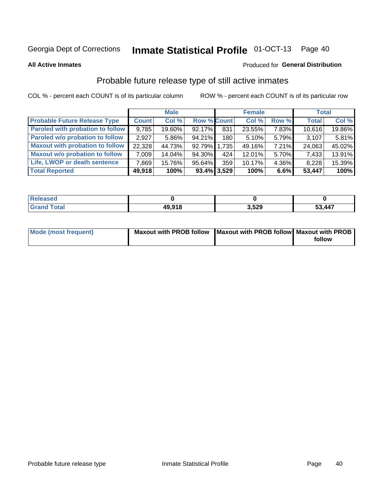#### Inmate Statistical Profile 01-OCT-13 Page 40

**All Active Inmates** 

#### Produced for General Distribution

## Probable future release type of still active inmates

COL % - percent each COUNT is of its particular column

|                                         |              | <b>Male</b> |                |      | <b>Female</b> |       | <b>Total</b> |        |
|-----------------------------------------|--------------|-------------|----------------|------|---------------|-------|--------------|--------|
| <b>Probable Future Release Type</b>     | <b>Count</b> | Col %       | Row % Count    |      | Col%          | Row % | <b>Total</b> | Col %  |
| <b>Paroled with probation to follow</b> | 9,785        | 19.60%      | 92.17%         | 831  | 23.55%        | 7.83% | 10,616       | 19.86% |
| Paroled w/o probation to follow         | 2,927        | $5.86\%$    | 94.21%         | 180  | 5.10%         | 5.79% | 3,107        | 5.81%  |
| <b>Maxout with probation to follow</b>  | 22,328       | 44.73%      | 92.79% 1.735   |      | 49.16%        | 7.21% | 24,063       | 45.02% |
| <b>Maxout w/o probation to follow</b>   | 7,009        | 14.04%      | 94.30%         | 424' | 12.01%        | 5.70% | 7,433        | 13.91% |
| Life, LWOP or death sentence            | 7,869        | 15.76%      | 95.64%         | 359  | 10.17%        | 4.36% | 8,228        | 15.39% |
| <b>Total Reported</b>                   | 49,918       | 100%        | $93.4\%$ 3,529 |      | 100%          | 6.6%  | 53,447       | 100%   |

| <b>otal</b> | <b>AQ 018</b> | 3,529 | ,447<br>- - |
|-------------|---------------|-------|-------------|

| <b>Mode (most frequent)</b> | Maxout with PROB follow   Maxout with PROB follow   Maxout with PROB |        |
|-----------------------------|----------------------------------------------------------------------|--------|
|                             |                                                                      | follow |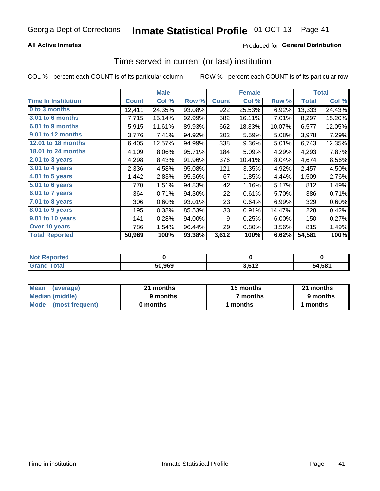### **All Active Inmates**

### **Produced for General Distribution**

# Time served in current (or last) institution

COL % - percent each COUNT is of its particular column

|                            |              | <b>Male</b> |        |              | <b>Female</b> |        |              | <b>Total</b> |
|----------------------------|--------------|-------------|--------|--------------|---------------|--------|--------------|--------------|
| <b>Time In Institution</b> | <b>Count</b> | Col %       | Row %  | <b>Count</b> | Col %         | Row %  | <b>Total</b> | Col %        |
| 0 to 3 months              | 12,411       | 24.35%      | 93.08% | 922          | 25.53%        | 6.92%  | 13,333       | 24.43%       |
| <b>3.01 to 6 months</b>    | 7,715        | 15.14%      | 92.99% | 582          | 16.11%        | 7.01%  | 8,297        | 15.20%       |
| 6.01 to 9 months           | 5,915        | 11.61%      | 89.93% | 662          | 18.33%        | 10.07% | 6,577        | 12.05%       |
| 9.01 to 12 months          | 3,776        | 7.41%       | 94.92% | 202          | 5.59%         | 5.08%  | 3,978        | 7.29%        |
| 12.01 to 18 months         | 6,405        | 12.57%      | 94.99% | 338          | 9.36%         | 5.01%  | 6,743        | 12.35%       |
| <b>18.01 to 24 months</b>  | 4,109        | 8.06%       | 95.71% | 184          | 5.09%         | 4.29%  | 4,293        | 7.87%        |
| $2.01$ to 3 years          | 4,298        | 8.43%       | 91.96% | 376          | 10.41%        | 8.04%  | 4,674        | 8.56%        |
| 3.01 to 4 years            | 2,336        | 4.58%       | 95.08% | 121          | 3.35%         | 4.92%  | 2,457        | 4.50%        |
| $4.01$ to 5 years          | 1,442        | 2.83%       | 95.56% | 67           | 1.85%         | 4.44%  | 1,509        | 2.76%        |
| 5.01 to 6 years            | 770          | 1.51%       | 94.83% | 42           | 1.16%         | 5.17%  | 812          | 1.49%        |
| $6.01$ to 7 years          | 364          | 0.71%       | 94.30% | 22           | 0.61%         | 5.70%  | 386          | 0.71%        |
| 7.01 to 8 years            | 306          | 0.60%       | 93.01% | 23           | 0.64%         | 6.99%  | 329          | 0.60%        |
| $8.01$ to 9 years          | 195          | 0.38%       | 85.53% | 33           | 0.91%         | 14.47% | 228          | 0.42%        |
| 9.01 to 10 years           | 141          | 0.28%       | 94.00% | 9            | 0.25%         | 6.00%  | 150          | 0.27%        |
| Over 10 years              | 786          | 1.54%       | 96.44% | 29           | 0.80%         | 3.56%  | 815          | 1.49%        |
| <b>Total Reported</b>      | 50,969       | 100%        | 93.38% | 3,612        | 100%          | 6.62%  | 54,581       | 100%         |

| <b>Penorted</b><br><b>Not</b> |        |     |        |
|-------------------------------|--------|-----|--------|
| √otal                         | 50.969 | 642 | 54.581 |

| <b>Mean</b><br>(average) | 21 months | 15 months | 21 months |
|--------------------------|-----------|-----------|-----------|
| Median (middle)          | 9 months  | 7 months  | 9 months  |
| Mode (most frequent)     | 0 months  | months    | l months  |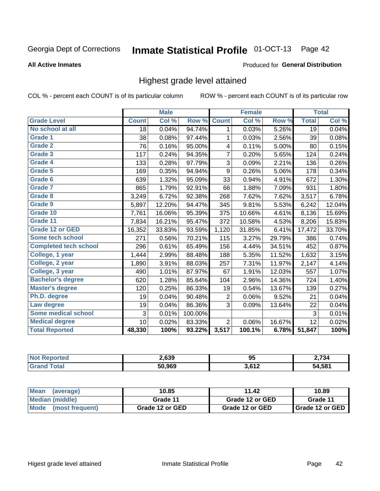# Inmate Statistical Profile 01-OCT-13 Page 42

#### **All Active Inmates**

#### Produced for General Distribution

### Highest grade level attained

COL % - percent each COUNT is of its particular column

|                              |                 | <b>Male</b> |         |                  | <b>Female</b> |        |              | <b>Total</b> |
|------------------------------|-----------------|-------------|---------|------------------|---------------|--------|--------------|--------------|
| <b>Grade Level</b>           | <b>Count</b>    | Col %       | Row %   | <b>Count</b>     | Col %         | Row %  | <b>Total</b> | Col %        |
| No school at all             | $\overline{18}$ | 0.04%       | 94.74%  | 1                | 0.03%         | 5.26%  | 19           | 0.04%        |
| Grade 1                      | 38              | 0.08%       | 97.44%  | 1                | 0.03%         | 2.56%  | 39           | 0.08%        |
| <b>Grade 2</b>               | 76              | 0.16%       | 95.00%  | 4                | 0.11%         | 5.00%  | 80           | 0.15%        |
| <b>Grade 3</b>               | 117             | 0.24%       | 94.35%  | 7                | 0.20%         | 5.65%  | 124          | 0.24%        |
| Grade 4                      | 133             | 0.28%       | 97.79%  | 3                | 0.09%         | 2.21%  | 136          | 0.26%        |
| Grade 5                      | 169             | 0.35%       | 94.94%  | $\boldsymbol{9}$ | 0.26%         | 5.06%  | 178          | 0.34%        |
| Grade 6                      | 639             | 1.32%       | 95.09%  | 33               | 0.94%         | 4.91%  | 672          | 1.30%        |
| <b>Grade 7</b>               | 865             | 1.79%       | 92.91%  | 66               | 1.88%         | 7.09%  | 931          | 1.80%        |
| <b>Grade 8</b>               | 3,249           | 6.72%       | 92.38%  | 268              | 7.62%         | 7.62%  | 3,517        | 6.78%        |
| Grade 9                      | 5,897           | 12.20%      | 94.47%  | 345              | 9.81%         | 5.53%  | 6,242        | 12.04%       |
| Grade 10                     | 7,761           | 16.06%      | 95.39%  | 375              | 10.66%        | 4.61%  | 8,136        | 15.69%       |
| Grade 11                     | 7,834           | 16.21%      | 95.47%  | 372              | 10.58%        | 4.53%  | 8,206        | 15.83%       |
| <b>Grade 12 or GED</b>       | 16,352          | 33.83%      | 93.59%  | 1,120            | 31.85%        | 6.41%  | 17,472       | 33.70%       |
| <b>Some tech school</b>      | 271             | 0.56%       | 70.21%  | 115              | 3.27%         | 29.79% | 386          | 0.74%        |
| <b>Completed tech school</b> | 296             | 0.61%       | 65.49%  | 156              | 4.44%         | 34.51% | 452          | 0.87%        |
| College, 1 year              | 1,444           | 2.99%       | 88.48%  | 188              | 5.35%         | 11.52% | 1,632        | 3.15%        |
| College, 2 year              | 1,890           | 3.91%       | 88.03%  | 257              | 7.31%         | 11.97% | 2,147        | 4.14%        |
| College, 3 year              | 490             | 1.01%       | 87.97%  | 67               | 1.91%         | 12.03% | 557          | 1.07%        |
| <b>Bachelor's degree</b>     | 620             | 1.28%       | 85.64%  | 104              | 2.96%         | 14.36% | 724          | 1.40%        |
| <b>Master's degree</b>       | 120             | 0.25%       | 86.33%  | 19               | 0.54%         | 13.67% | 139          | 0.27%        |
| Ph.D. degree                 | 19              | 0.04%       | 90.48%  | $\overline{2}$   | 0.06%         | 9.52%  | 21           | 0.04%        |
| Law degree                   | 19              | 0.04%       | 86.36%  | 3                | 0.09%         | 13.64% | 22           | 0.04%        |
| <b>Some medical school</b>   | 3               | 0.01%       | 100.00% |                  |               |        | 3            | 0.01%        |
| <b>Medical degree</b>        | 10              | 0.02%       | 83.33%  | $\overline{2}$   | 0.06%         | 16.67% | 12           | 0.02%        |
| <b>Total Reported</b>        | 48,330          | 100%        | 93.22%  | 3,517            | 100.1%        | 6.78%  | 51,847       | 100%         |

| 2,639  | 95         | 2.734  |
|--------|------------|--------|
| 50.969 | 2.612<br>. | 54.581 |

| <b>Mean</b><br>(average)       | 10.85           | 11.42           | 10.89           |
|--------------------------------|-----------------|-----------------|-----------------|
| Median (middle)                | Grade 11        | Grade 12 or GED | Grade 11        |
| <b>Mode</b><br>(most frequent) | Grade 12 or GED | Grade 12 or GED | Grade 12 or GED |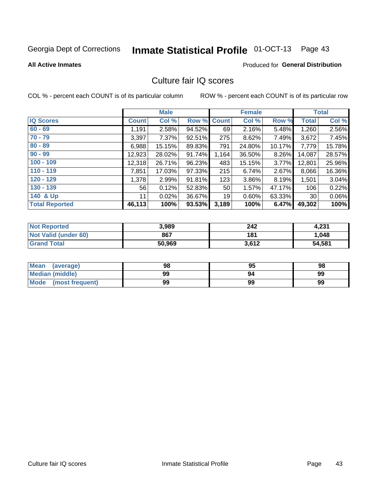# Inmate Statistical Profile 01-OCT-13 Page 43

#### **All Active Inmates**

### **Produced for General Distribution**

## Culture fair IQ scores

COL % - percent each COUNT is of its particular column

|                       |              | <b>Male</b> |             |       | <b>Female</b> |          |                 | <b>Total</b> |
|-----------------------|--------------|-------------|-------------|-------|---------------|----------|-----------------|--------------|
| <b>IQ Scores</b>      | <b>Count</b> | Col %       | Row % Count |       | Col %         | Row %    | <b>Total</b>    | Col %        |
| $60 - 69$             | 1,191        | 2.58%       | 94.52%      | 69    | 2.16%         | 5.48%    | 1,260           | 2.56%        |
| $70 - 79$             | 3,397        | 7.37%       | 92.51%      | 275   | 8.62%         | 7.49%    | 3,672           | 7.45%        |
| $80 - 89$             | 6,988        | 15.15%      | 89.83%      | 791   | 24.80%        | 10.17%   | 7,779           | 15.78%       |
| $90 - 99$             | 12,923       | 28.02%      | 91.74%      | 1,164 | 36.50%        | 8.26%    | 14,087          | 28.57%       |
| $100 - 109$           | 12,318       | 26.71%      | 96.23%      | 483   | 15.15%        | $3.77\%$ | 12,801          | 25.96%       |
| $110 - 119$           | 7,851        | 17.03%      | 97.33%      | 215   | 6.74%         | 2.67%    | 8,066           | 16.36%       |
| $120 - 129$           | 1,378        | 2.99%       | 91.81%      | 123   | 3.86%         | 8.19%    | 1,501           | 3.04%        |
| $130 - 139$           | 56           | 0.12%       | 52.83%      | 50    | 1.57%         | 47.17%   | 106             | 0.22%        |
| 140 & Up              | 11           | 0.02%       | 36.67%      | 19    | 0.60%         | 63.33%   | 30 <sub>1</sub> | 0.06%        |
| <b>Total Reported</b> | 46,113       | 100%        | 93.53%      | 3,189 | 100%          | 6.47%    | 49,302          | 100%         |

| <b>Not Reported</b>         | 3,989  | 242   | 4,231  |
|-----------------------------|--------|-------|--------|
| <b>Not Valid (under 60)</b> | 867    | 181   | 1,048  |
| <b>Grand Total</b>          | 50,969 | 3,612 | 54,581 |

| <b>Mean</b><br>(average)       | 98 | 95 | 98 |
|--------------------------------|----|----|----|
| <b>Median (middle)</b>         | 99 | 94 | 99 |
| <b>Mode</b><br>(most frequent) | 99 | 99 | 99 |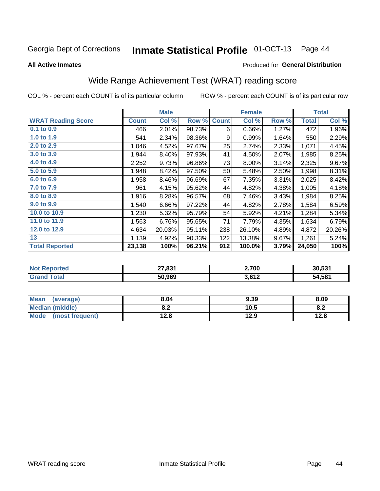#### Inmate Statistical Profile 01-OCT-13 Page 44

#### **All Active Inmates**

#### Produced for General Distribution

## Wide Range Achievement Test (WRAT) reading score

COL % - percent each COUNT is of its particular column

|                           |         | <b>Male</b> |        |              | <b>Female</b> |       |              | <b>Total</b> |
|---------------------------|---------|-------------|--------|--------------|---------------|-------|--------------|--------------|
| <b>WRAT Reading Score</b> | Count l | Col %       | Row %  | <b>Count</b> | Col %         | Row % | <b>Total</b> | Col %        |
| $0.1$ to $0.9$            | 466     | 2.01%       | 98.73% | 6            | 0.66%         | 1.27% | 472          | 1.96%        |
| 1.0 to 1.9                | 541     | 2.34%       | 98.36% | 9            | 0.99%         | 1.64% | 550          | 2.29%        |
| 2.0 to 2.9                | 1,046   | 4.52%       | 97.67% | 25           | 2.74%         | 2.33% | 1,071        | 4.45%        |
| 3.0 to 3.9                | 1,944   | 8.40%       | 97.93% | 41           | 4.50%         | 2.07% | 1,985        | 8.25%        |
| 4.0 to 4.9                | 2,252   | 9.73%       | 96.86% | 73           | 8.00%         | 3.14% | 2,325        | 9.67%        |
| 5.0 to 5.9                | 1,948   | 8.42%       | 97.50% | 50           | 5.48%         | 2.50% | 1,998        | 8.31%        |
| 6.0 to 6.9                | 1,958   | 8.46%       | 96.69% | 67           | 7.35%         | 3.31% | 2,025        | 8.42%        |
| 7.0 to 7.9                | 961     | 4.15%       | 95.62% | 44           | 4.82%         | 4.38% | 1,005        | 4.18%        |
| 8.0 to 8.9                | 1,916   | 8.28%       | 96.57% | 68           | 7.46%         | 3.43% | 1,984        | 8.25%        |
| 9.0 to 9.9                | 1,540   | 6.66%       | 97.22% | 44           | 4.82%         | 2.78% | 1,584        | 6.59%        |
| 10.0 to 10.9              | 1,230   | 5.32%       | 95.79% | 54           | 5.92%         | 4.21% | 1,284        | 5.34%        |
| 11.0 to 11.9              | 1,563   | 6.76%       | 95.65% | 71           | 7.79%         | 4.35% | 1,634        | 6.79%        |
| 12.0 to 12.9              | 4,634   | 20.03%      | 95.11% | 238          | 26.10%        | 4.89% | 4,872        | 20.26%       |
| 13                        | 1,139   | 4.92%       | 90.33% | 122          | 13.38%        | 9.67% | 1,261        | 5.24%        |
| <b>Total Reported</b>     | 23,138  | 100%        | 96.21% | 912          | 100.0%        | 3.79% | 24,050       | 100%         |

| ∩rteo<br><b>NOT</b> | 27,831 | 2,700 | 30,531 |
|---------------------|--------|-------|--------|
|                     | 50,969 | 3,612 | 54,581 |

| <b>Mean</b><br>(average)       | 8.04       | 9.39 | 8.09 |
|--------------------------------|------------|------|------|
| Median (middle)                | י ה<br>0.Z | 10.5 | 0.Z  |
| <b>Mode</b><br>(most frequent) | 12.8       | 12.9 | 12.8 |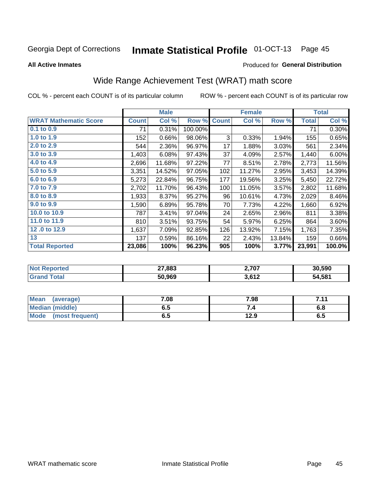#### Inmate Statistical Profile 01-OCT-13 Page 45

**All Active Inmates** 

#### Produced for General Distribution

## Wide Range Achievement Test (WRAT) math score

COL % - percent each COUNT is of its particular column

|                              |              | <b>Male</b> |         |              | <b>Female</b> |        |              | <b>Total</b> |
|------------------------------|--------------|-------------|---------|--------------|---------------|--------|--------------|--------------|
| <b>WRAT Mathematic Score</b> | <b>Count</b> | Col %       | Row %   | <b>Count</b> | Col %         | Row %  | <b>Total</b> | Col %        |
| $0.1$ to $0.9$               | 71           | 0.31%       | 100.00% |              |               |        | 71           | 0.30%        |
| 1.0 to 1.9                   | 152          | 0.66%       | 98.06%  | 3            | 0.33%         | 1.94%  | 155          | 0.65%        |
| 2.0 to 2.9                   | 544          | 2.36%       | 96.97%  | 17           | 1.88%         | 3.03%  | 561          | 2.34%        |
| 3.0 to 3.9                   | 1,403        | 6.08%       | 97.43%  | 37           | 4.09%         | 2.57%  | 1,440        | 6.00%        |
| 4.0 to 4.9                   | 2,696        | 11.68%      | 97.22%  | 77           | 8.51%         | 2.78%  | 2,773        | 11.56%       |
| 5.0 to 5.9                   | 3,351        | 14.52%      | 97.05%  | 102          | 11.27%        | 2.95%  | 3,453        | 14.39%       |
| 6.0 to 6.9                   | 5,273        | 22.84%      | 96.75%  | 177          | 19.56%        | 3.25%  | 5,450        | 22.72%       |
| 7.0 to 7.9                   | 2,702        | 11.70%      | 96.43%  | 100          | 11.05%        | 3.57%  | 2,802        | 11.68%       |
| 8.0 to 8.9                   | 1,933        | 8.37%       | 95.27%  | 96           | 10.61%        | 4.73%  | 2,029        | 8.46%        |
| 9.0 to 9.9                   | 1,590        | 6.89%       | 95.78%  | 70           | 7.73%         | 4.22%  | 1,660        | 6.92%        |
| 10.0 to 10.9                 | 787          | 3.41%       | 97.04%  | 24           | 2.65%         | 2.96%  | 811          | 3.38%        |
| 11.0 to 11.9                 | 810          | 3.51%       | 93.75%  | 54           | 5.97%         | 6.25%  | 864          | 3.60%        |
| 12.0 to 12.9                 | 1,637        | 7.09%       | 92.85%  | 126          | 13.92%        | 7.15%  | 1,763        | 7.35%        |
| 13                           | 137          | 0.59%       | 86.16%  | 22           | 2.43%         | 13.84% | 159          | 0.66%        |
| <b>Total Reported</b>        | 23,086       | 100%        | 96.23%  | 905          | 100%          | 3.77%  | 23,991       | 100.0%       |

| "teu | 27,883 | 707            | 30.590 |
|------|--------|----------------|--------|
| NO   |        | 2,7 V I        |        |
|      | 50.969 | , 649<br>JUIZ. | 54,581 |

| <b>Mean</b><br>(average) | 7.08 | 7.98 | 744<br>. |
|--------------------------|------|------|----------|
| <b>Median (middle)</b>   | כ.ס  |      | o.o      |
| Mode<br>(most frequent)  | υ.υ  | 12.9 | დ.g      |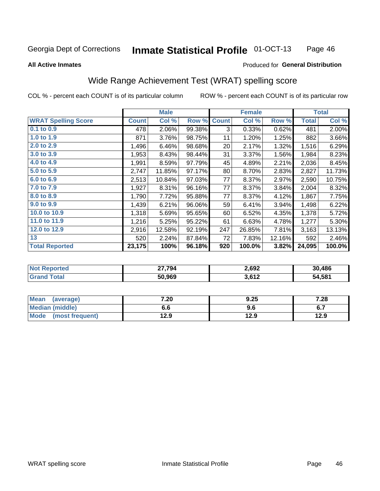#### **Inmate Statistical Profile 01-OCT-13** Page 46

**All Active Inmates** 

#### Produced for General Distribution

## Wide Range Achievement Test (WRAT) spelling score

COL % - percent each COUNT is of its particular column

|                            |              | <b>Male</b> |        |              | <b>Female</b> |        |              | <b>Total</b> |
|----------------------------|--------------|-------------|--------|--------------|---------------|--------|--------------|--------------|
| <b>WRAT Spelling Score</b> | <b>Count</b> | Col %       | Row %  | <b>Count</b> | Col %         | Row %  | <b>Total</b> | Col %        |
| 0.1 to 0.9                 | 478          | 2.06%       | 99.38% | 3            | 0.33%         | 0.62%  | 481          | 2.00%        |
| 1.0 to 1.9                 | 871          | 3.76%       | 98.75% | 11           | 1.20%         | 1.25%  | 882          | 3.66%        |
| 2.0 to 2.9                 | 1,496        | 6.46%       | 98.68% | 20           | 2.17%         | 1.32%  | 1,516        | 6.29%        |
| 3.0 to 3.9                 | 1,953        | 8.43%       | 98.44% | 31           | 3.37%         | 1.56%  | 1,984        | 8.23%        |
| 4.0 to 4.9                 | 1,991        | 8.59%       | 97.79% | 45           | 4.89%         | 2.21%  | 2,036        | 8.45%        |
| 5.0 to 5.9                 | 2,747        | 11.85%      | 97.17% | 80           | 8.70%         | 2.83%  | 2,827        | 11.73%       |
| 6.0 to 6.9                 | 2,513        | 10.84%      | 97.03% | 77           | 8.37%         | 2.97%  | 2,590        | 10.75%       |
| 7.0 to 7.9                 | 1,927        | 8.31%       | 96.16% | 77           | 8.37%         | 3.84%  | 2,004        | 8.32%        |
| 8.0 to 8.9                 | 1,790        | 7.72%       | 95.88% | 77           | 8.37%         | 4.12%  | 1,867        | 7.75%        |
| 9.0 to 9.9                 | 1,439        | 6.21%       | 96.06% | 59           | 6.41%         | 3.94%  | 1,498        | 6.22%        |
| 10.0 to 10.9               | 1,318        | 5.69%       | 95.65% | 60           | 6.52%         | 4.35%  | 1,378        | 5.72%        |
| 11.0 to 11.9               | 1,216        | 5.25%       | 95.22% | 61           | 6.63%         | 4.78%  | 1,277        | 5.30%        |
| 12.0 to 12.9               | 2,916        | 12.58%      | 92.19% | 247          | 26.85%        | 7.81%  | 3,163        | 13.13%       |
| 13                         | 520          | 2.24%       | 87.84% | 72           | 7.83%         | 12.16% | 592          | 2.46%        |
| <b>Total Reported</b>      | 23,175       | 100%        | 96.18% | 920          | 100.0%        | 3.82%  | 24,095       | 100.0%       |

| <b>rteg</b><br>NOT | 27,794 | 2,692 | 30,486 |
|--------------------|--------|-------|--------|
|                    | 50,969 | 3,612 | 54,581 |

| <b>Mean</b><br>(average)       | 7.20 | 9.25 | 7.28                |
|--------------------------------|------|------|---------------------|
| <b>Median (middle)</b>         | ס.ס  | 9.6  | c 7<br>$\mathbf{v}$ |
| <b>Mode</b><br>(most frequent) | l2.9 | 12.9 | 12.9                |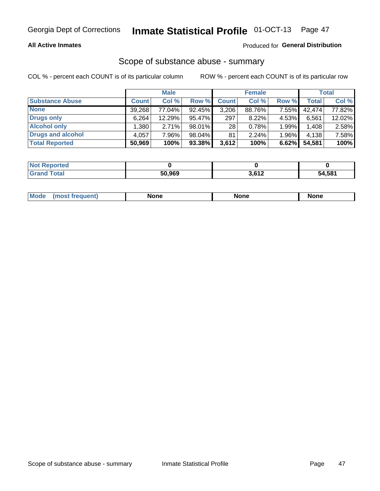#### **All Active Inmates**

### **Produced for General Distribution**

# Scope of substance abuse - summary

COL % - percent each COUNT is of its particular column

|                        |              | <b>Male</b> |           |              | <b>Female</b> |       |              | <b>Total</b> |
|------------------------|--------------|-------------|-----------|--------------|---------------|-------|--------------|--------------|
| <b>Substance Abuse</b> | <b>Count</b> | Col %       | Row %     | <b>Count</b> | Col %         | Row % | <b>Total</b> | Col %        |
| <b>None</b>            | 39,268       | 77.04%      | 92.45%    | 3,206        | 88.76%        | 7.55% | 42.474       | 77.82%       |
| <b>Drugs only</b>      | 6,264        | 12.29%      | 95.47%    | 297          | 8.22%         | 4.53% | 6,561        | 12.02%       |
| <b>Alcohol only</b>    | .380         | 2.71%       | 98.01%    | 28           | 0.78%         | 1.99% | 1,408        | 2.58%        |
| Drugs and alcohol      | 4,057        | 7.96%       | 98.04%    | 81           | 2.24%         | 1.96% | 4,138        | 7.58%        |
| <b>Total Reported</b>  | 50,969       | 100%        | $93.38\%$ | 3,612        | 100%          | 6.62% | 54,581       | 100%         |

| <b>Not Reported</b> |        |       |        |
|---------------------|--------|-------|--------|
| <b>Grand Total</b>  | 50.969 | 3,612 | 54,581 |

| nuem | <b>Mo</b> | None | <b>None</b> | None |
|------|-----------|------|-------------|------|
|------|-----------|------|-------------|------|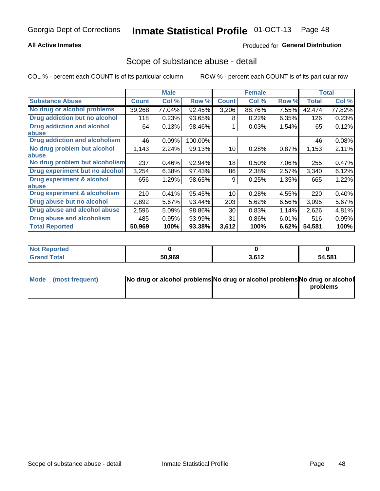#### **All Active Inmates**

### **Produced for General Distribution**

### Scope of substance abuse - detail

COL % - percent each COUNT is of its particular column

|                                      |              | <b>Male</b> |         |              | <b>Female</b> |       |              | <b>Total</b> |
|--------------------------------------|--------------|-------------|---------|--------------|---------------|-------|--------------|--------------|
| <b>Substance Abuse</b>               | <b>Count</b> | Col %       | Row %   | <b>Count</b> | Col %         | Row % | <b>Total</b> | Col %        |
| No drug or alcohol problems          | 39,268       | 77.04%      | 92.45%  | 3,206        | 88.76%        | 7.55% | 42,474       | 77.82%       |
| Drug addiction but no alcohol        | 118          | 0.23%       | 93.65%  | 8            | 0.22%         | 6.35% | 126          | 0.23%        |
| <b>Drug addiction and alcohol</b>    | 64           | 0.13%       | 98.46%  |              | 0.03%         | 1.54% | 65           | 0.12%        |
| <b>labuse</b>                        |              |             |         |              |               |       |              |              |
| <b>Drug addiction and alcoholism</b> | 46           | 0.09%       | 100.00% |              |               |       | 46           | 0.08%        |
| No drug problem but alcohol          | 1,143        | 2.24%       | 99.13%  | 10           | 0.28%         | 0.87% | 1,153        | 2.11%        |
| <b>labuse</b>                        |              |             |         |              |               |       |              |              |
| No drug problem but alcoholism       | 237          | 0.46%       | 92.94%  | 18           | 0.50%         | 7.06% | 255          | 0.47%        |
| Drug experiment but no alcohol       | 3,254        | 6.38%       | 97.43%  | 86           | 2.38%         | 2.57% | 3,340        | 6.12%        |
| <b>Drug experiment &amp; alcohol</b> | 656          | 1.29%       | 98.65%  | 9            | 0.25%         | 1.35% | 665          | 1.22%        |
| <b>labuse</b>                        |              |             |         |              |               |       |              |              |
| Drug experiment & alcoholism         | 210          | 0.41%       | 95.45%  | 10           | 0.28%         | 4.55% | 220          | 0.40%        |
| Drug abuse but no alcohol            | 2,892        | 5.67%       | 93.44%  | 203          | 5.62%         | 6.56% | 3,095        | 5.67%        |
| Drug abuse and alcohol abuse         | 2,596        | 5.09%       | 98.86%  | 30           | 0.83%         | 1.14% | 2,626        | 4.81%        |
| <b>Drug abuse and alcoholism</b>     | 485          | 0.95%       | 93.99%  | 31           | 0.86%         | 6.01% | 516          | 0.95%        |
| <b>Total Reported</b>                | 50,969       | 100%        | 93.38%  | 3,612        | 100%          | 6.62% | 54,581       | 100%         |

| ported<br><b>NOT</b> |        |       |        |
|----------------------|--------|-------|--------|
| <b>otal</b>          | 50,969 | 3,612 | 54,581 |

| Mode (most frequent) | No drug or alcohol problems No drug or alcohol problems No drug or alcohol |          |
|----------------------|----------------------------------------------------------------------------|----------|
|                      |                                                                            | problems |
|                      |                                                                            |          |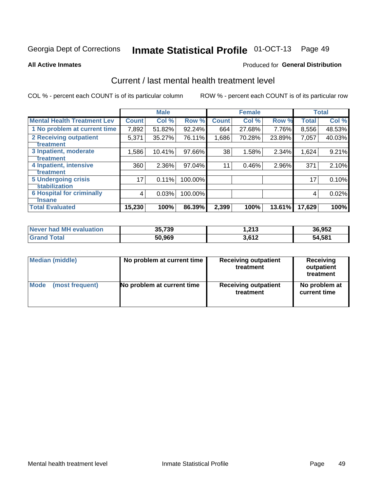# Inmate Statistical Profile 01-OCT-13 Page 49

#### **All Active Inmates**

#### **Produced for General Distribution**

## Current / last mental health treatment level

COL % - percent each COUNT is of its particular column

|                                    |              | <b>Male</b> |         |              | <b>Female</b> |           |              | <b>Total</b> |
|------------------------------------|--------------|-------------|---------|--------------|---------------|-----------|--------------|--------------|
| <b>Mental Health Treatment Lev</b> | <b>Count</b> | Col %       | Row %   | <b>Count</b> | Col %         | Row %     | <b>Total</b> | Col %        |
| 1 No problem at current time       | 7,892        | 51.82%      | 92.24%  | 664          | 27.68%        | 7.76%     | 8,556        | 48.53%       |
| 2 Receiving outpatient             | 5,371        | 35.27%      | 76.11%  | 1,686        | 70.28%        | 23.89%    | 7,057        | 40.03%       |
| <b>Treatment</b>                   |              |             |         |              |               |           |              |              |
| 3 Inpatient, moderate              | 1,586        | 10.41%      | 97.66%  | 38           | 1.58%         | 2.34%     | 1,624        | 9.21%        |
| Treatment                          |              |             |         |              |               |           |              |              |
| 4 Inpatient, intensive             | 360          | 2.36%       | 97.04%  | 11           | 0.46%         | 2.96%     | 371          | 2.10%        |
| <b>Treatment</b>                   |              |             |         |              |               |           |              |              |
| <b>5 Undergoing crisis</b>         | 17           | 0.11%       | 100.00% |              |               |           | 17           | 0.10%        |
| <b>Stabilization</b>               |              |             |         |              |               |           |              |              |
| <b>6 Hospital for criminally</b>   | 4            | 0.03%       | 100.00% |              |               |           | 4            | 0.02%        |
| <b>Tinsane</b>                     |              |             |         |              |               |           |              |              |
| <b>Total Evaluated</b>             | 15,230       | 100%        | 86.39%  | 2,399        | 100%          | $13.61\%$ | 17,629       | 100%         |

| Never had MH evaluation | 35,739 | 1,213 | 36,952 |
|-------------------------|--------|-------|--------|
| <b>Grand Total</b>      | 50,969 | 3.612 | 54,581 |

| Median (middle) | No problem at current time | <b>Receiving outpatient</b><br>treatment | <b>Receiving</b><br>outpatient<br>treatment |
|-----------------|----------------------------|------------------------------------------|---------------------------------------------|
| <b>Mode</b>     | No problem at current time | <b>Receiving outpatient</b>              | No problem at                               |
| (most frequent) |                            | treatment                                | current time                                |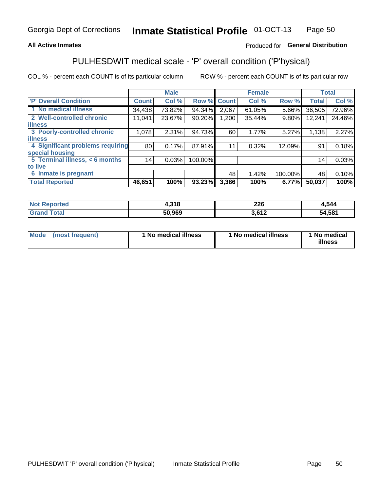#### **All Active Inmates**

### Produced for General Distribution

## PULHESDWIT medical scale - 'P' overall condition ('P'hysical)

COL % - percent each COUNT is of its particular column

|                                  |              | <b>Male</b> |         |              | <b>Female</b> |         |                 | <b>Total</b> |
|----------------------------------|--------------|-------------|---------|--------------|---------------|---------|-----------------|--------------|
| 'P' Overall Condition            | <b>Count</b> | Col %       | Row %   | <b>Count</b> | Col %         | Row %   | <b>Total</b>    | Col %        |
| 1 No medical illness             | 34,438       | 73.82%      | 94.34%  | 2,067        | 61.05%        | 5.66%   | 36,505          | 72.96%       |
| 2 Well-controlled chronic        | 11,041       | 23.67%      | 90.20%  | 1,200        | 35.44%        | 9.80%   | 12,241          | 24.46%       |
| <b>lillness</b>                  |              |             |         |              |               |         |                 |              |
| 3 Poorly-controlled chronic      | 1,078        | 2.31%       | 94.73%  | 60           | 1.77%         | 5.27%   | 1,138           | 2.27%        |
| <b>lillness</b>                  |              |             |         |              |               |         |                 |              |
| 4 Significant problems requiring | 80           | 0.17%       | 87.91%  | 11           | 0.32%         | 12.09%  | 91              | 0.18%        |
| special housing                  |              |             |         |              |               |         |                 |              |
| 5 Terminal illness, < 6 months   | 14           | 0.03%       | 100.00% |              |               |         | 14 <sub>1</sub> | 0.03%        |
| to live                          |              |             |         |              |               |         |                 |              |
| 6 Inmate is pregnant             |              |             |         | 48           | 1.42%         | 100.00% | 48              | 0.10%        |
| <b>Total Reported</b>            | 46,651       | 100%        | 93.23%  | 3,386        | 100%          | 6.77%   | 50,037          | 100%         |

| тео | 210<br>1.J I O | 226  | .544            |
|-----|----------------|------|-----------------|
|     | EN NGN         | 0.40 | $54.58^{\circ}$ |

| Mode | (most frequent) | 1 No medical illness | 1 No medical illness | 1 No medical<br>illness |
|------|-----------------|----------------------|----------------------|-------------------------|
|------|-----------------|----------------------|----------------------|-------------------------|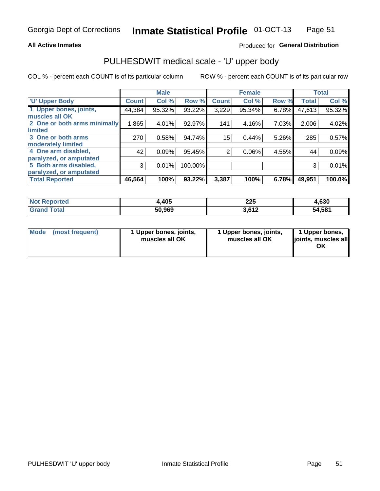#### **All Active Inmates**

### Produced for General Distribution

# PULHESDWIT medical scale - 'U' upper body

COL % - percent each COUNT is of its particular column

|                              |              | <b>Male</b> |         |                | <b>Female</b> |       |              | <b>Total</b> |
|------------------------------|--------------|-------------|---------|----------------|---------------|-------|--------------|--------------|
| <b>U' Upper Body</b>         | <b>Count</b> | Col %       | Row %   | <b>Count</b>   | Col %         | Row % | <b>Total</b> | Col %        |
| 1 Upper bones, joints,       | 44,384       | 95.32%      | 93.22%  | 3,229          | 95.34%        | 6.78% | 47,613       | 95.32%       |
| muscles all OK               |              |             |         |                |               |       |              |              |
| 2 One or both arms minimally | 1,865        | 4.01%       | 92.97%  | 141            | 4.16%         | 7.03% | 2,006        | 4.02%        |
| limited                      |              |             |         |                |               |       |              |              |
| 3 One or both arms           | 270          | 0.58%       | 94.74%  | 15             | 0.44%         | 5.26% | 285          | 0.57%        |
| <b>moderately limited</b>    |              |             |         |                |               |       |              |              |
| 4 One arm disabled,          | 42           | 0.09%       | 95.45%  | $\overline{2}$ | 0.06%         | 4.55% | 44           | 0.09%        |
| paralyzed, or amputated      |              |             |         |                |               |       |              |              |
| 5 Both arms disabled,        | 3            | 0.01%       | 100.00% |                |               |       | 3            | 0.01%        |
| paralyzed, or amputated      |              |             |         |                |               |       |              |              |
| <b>Total Reported</b>        | 46,564       | 100%        | 93.22%  | 3,387          | 100%          | 6.78% | 49,951       | 100.0%       |

| <b>Not Reported</b>          | 4,405  | 225   | 4,630  |
|------------------------------|--------|-------|--------|
| <b>Total</b><br><b>Grand</b> | 50,969 | 3,612 | 54,581 |

| Mode (most frequent) | 1 Upper bones, joints,<br>muscles all OK | 1 Upper bones, joints,<br>muscles all OK | 1 Upper bones,<br>joints, muscles all<br>ΟK |
|----------------------|------------------------------------------|------------------------------------------|---------------------------------------------|
|----------------------|------------------------------------------|------------------------------------------|---------------------------------------------|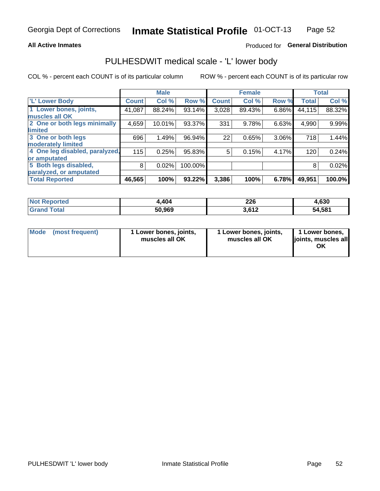#### **All Active Inmates**

### Produced for General Distribution

## PULHESDWIT medical scale - 'L' lower body

COL % - percent each COUNT is of its particular column

|                                |               | <b>Male</b> |         |              | <b>Female</b> |       |              | <b>Total</b> |
|--------------------------------|---------------|-------------|---------|--------------|---------------|-------|--------------|--------------|
| 'L' Lower Body                 | <b>Count!</b> | Col %       | Row %   | <b>Count</b> | Col %         | Row % | <b>Total</b> | Col %        |
| 1 Lower bones, joints,         | 41,087        | 88.24%      | 93.14%  | 3,028        | 89.43%        | 6.86% | 44,115       | 88.32%       |
| muscles all OK                 |               |             |         |              |               |       |              |              |
| 2 One or both legs minimally   | 4,659         | 10.01%      | 93.37%  | 331          | 9.78%         | 6.63% | 4,990        | 9.99%        |
| limited                        |               |             |         |              |               |       |              |              |
| 3 One or both legs             | 696           | 1.49%       | 96.94%  | 22           | 0.65%         | 3.06% | 718          | 1.44%        |
| moderately limited             |               |             |         |              |               |       |              |              |
| 4 One leg disabled, paralyzed, | 115           | 0.25%       | 95.83%  | 5            | 0.15%         | 4.17% | 120          | 0.24%        |
| or amputated                   |               |             |         |              |               |       |              |              |
| 5 Both legs disabled,          | 8             | 0.02%       | 100.00% |              |               |       | 8            | 0.02%        |
| paralyzed, or amputated        |               |             |         |              |               |       |              |              |
| <b>Total Reported</b>          | 46,565        | 100%        | 93.22%  | 3,386        | 100%          | 6.78% | 49,951       | 100.0%       |

| <b>Not Reported</b>          | 4,404  | 226   | 4,630  |
|------------------------------|--------|-------|--------|
| <b>Total</b><br><b>Grand</b> | 50,969 | 3,612 | 54,581 |

| Mode | (most frequent) | 1 Lower bones, joints,<br>muscles all OK | I Lower bones, joints,<br>muscles all OK | 1 Lower bones,<br>joints, muscles all<br>ΟK |
|------|-----------------|------------------------------------------|------------------------------------------|---------------------------------------------|
|------|-----------------|------------------------------------------|------------------------------------------|---------------------------------------------|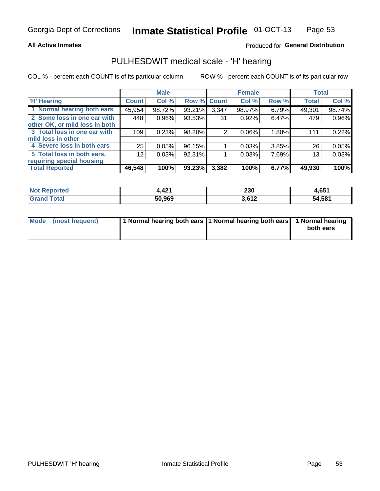#### **All Active Inmates**

### Produced for General Distribution

### PULHESDWIT medical scale - 'H' hearing

COL % - percent each COUNT is of its particular column

|                                |                 | <b>Male</b> |             |       | <b>Female</b> |       | <b>Total</b> |        |
|--------------------------------|-----------------|-------------|-------------|-------|---------------|-------|--------------|--------|
| <b>'H' Hearing</b>             | <b>Count</b>    | Col %       | Row % Count |       | Col %         | Row % | <b>Total</b> | Col %  |
| 1 Normal hearing both ears     | 45,954          | 98.72%      | 93.21%      | 3,347 | 98.97%        | 6.79% | 49,301       | 98.74% |
| 2 Some loss in one ear with    | 448             | 0.96%       | 93.53%      | 31    | 0.92%         | 6.47% | 479          | 0.96%  |
| other OK, or mild loss in both |                 |             |             |       |               |       |              |        |
| 3 Total loss in one ear with   | 109             | 0.23%       | 98.20%      | 2     | $0.06\%$      | 1.80% | 111          | 0.22%  |
| mild loss in other             |                 |             |             |       |               |       |              |        |
| 4 Severe loss in both ears     | 25              | 0.05%       | 96.15%      |       | 0.03%         | 3.85% | 26           | 0.05%  |
| 5 Total loss in both ears,     | 12 <sub>1</sub> | 0.03%       | 92.31%      |       | 0.03%         | 7.69% | 13           | 0.03%  |
| requiring special housing      |                 |             |             |       |               |       |              |        |
| <b>Total Reported</b>          | 46,548          | 100%        | 93.23%      | 3,382 | 100%          | 6.77% | 49,930       | 100%   |

| <b>Not Renc</b><br>norted | $\overline{A}$<br>. | 230                        | 1.651  |
|---------------------------|---------------------|----------------------------|--------|
| Total                     | 50,969              | 2.61 <sup>c</sup><br>JUIZ. | 54,581 |

| Mode (most frequent) | 1 Normal hearing both ears 1 Normal hearing both ears 1 Normal hearing | both ears |
|----------------------|------------------------------------------------------------------------|-----------|
|                      |                                                                        |           |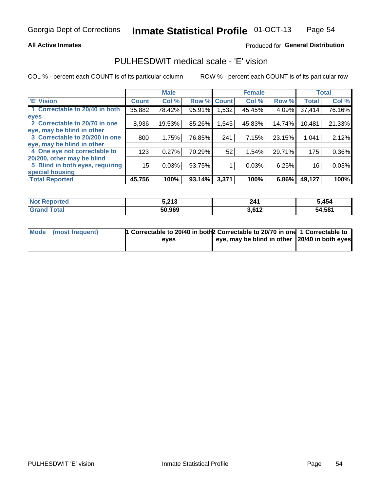#### **All Active Inmates**

### Produced for General Distribution

## PULHESDWIT medical scale - 'E' vision

COL % - percent each COUNT is of its particular column

|                                 |              | <b>Male</b> |        |              | <b>Female</b> |        |              | <b>Total</b> |
|---------------------------------|--------------|-------------|--------|--------------|---------------|--------|--------------|--------------|
| 'E' Vision                      | <b>Count</b> | Col %       | Row %  | <b>Count</b> | Col %         | Row %  | <b>Total</b> | Col %        |
| 1 Correctable to 20/40 in both  | 35,882       | 78.42%      | 95.91% | .532         | 45.45%        | 4.09%  | 37,414       | 76.16%       |
| eyes                            |              |             |        |              |               |        |              |              |
| 2 Correctable to 20/70 in one   | 8,936        | 19.53%      | 85.26% | 1,545        | 45.83%        | 14.74% | 10,481       | 21.33%       |
| eye, may be blind in other      |              |             |        |              |               |        |              |              |
| 3 Correctable to 20/200 in one  | 800          | 1.75%       | 76.85% | 241          | 7.15%         | 23.15% | 1,041        | 2.12%        |
| leye, may be blind in other     |              |             |        |              |               |        |              |              |
| 4 One eye not correctable to    | 123          | 0.27%       | 70.29% | 52           | 1.54%         | 29.71% | 175          | 0.36%        |
| 20/200, other may be blind      |              |             |        |              |               |        |              |              |
| 5 Blind in both eyes, requiring | 15           | 0.03%       | 93.75% |              | 0.03%         | 6.25%  | 16           | 0.03%        |
| special housing                 |              |             |        |              |               |        |              |              |
| <b>Total Reported</b>           | 45,756       | 100%        | 93.14% | 3,371        | 100%          | 6.86%  | 49,127       | 100%         |

| <b>Not</b>                              | : 242   | 241                   | 5,454  |
|-----------------------------------------|---------|-----------------------|--------|
| anorted and                             | ◡ └ └ ┘ |                       |        |
| $T$ otol $\blacksquare$<br><b>C</b> roy | 50,969  | 2.012<br><b>.o</b> ι∠ | 54,581 |

| Mode (most frequent) | 1 Correctable to 20/40 in both 2 Correctable to 20/70 in one 1 Correctable to |                                                |  |
|----------------------|-------------------------------------------------------------------------------|------------------------------------------------|--|
|                      | eves                                                                          | eye, may be blind in other 120/40 in both eyes |  |
|                      |                                                                               |                                                |  |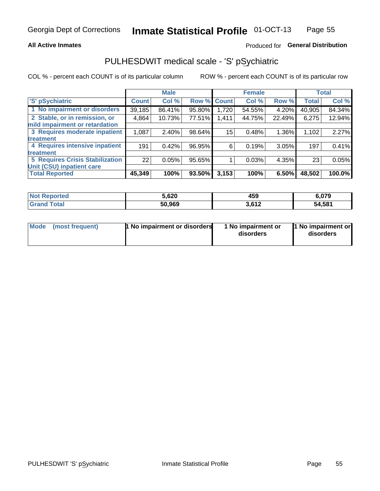#### **All Active Inmates**

### Produced for General Distribution

## PULHESDWIT medical scale - 'S' pSychiatric

COL % - percent each COUNT is of its particular column

|                                        |              | <b>Male</b> |        |                    | <b>Female</b> |        |              | <b>Total</b> |
|----------------------------------------|--------------|-------------|--------|--------------------|---------------|--------|--------------|--------------|
| 'S' pSychiatric                        | <b>Count</b> | Col %       |        | <b>Row % Count</b> | Col %         | Row %  | <b>Total</b> | Col %        |
| 1 No impairment or disorders           | 39,185       | 86.41%      | 95.80% | 1,720              | 54.55%        | 4.20%  | 40,905       | 84.34%       |
| 2 Stable, or in remission, or          | 4,864        | 10.73%      | 77.51% | 1,411              | 44.75%        | 22.49% | 6,275        | 12.94%       |
| mild impairment or retardation         |              |             |        |                    |               |        |              |              |
| 3 Requires moderate inpatient          | 1,087        | 2.40%       | 98.64% | 15                 | 0.48%         | 1.36%  | 1,102        | 2.27%        |
| treatment                              |              |             |        |                    |               |        |              |              |
| 4 Requires intensive inpatient         | 191          | 0.42%       | 96.95% | 6                  | 0.19%         | 3.05%  | 197          | 0.41%        |
| treatment                              |              |             |        |                    |               |        |              |              |
| <b>5 Requires Crisis Stabilization</b> | 22           | 0.05%       | 95.65% |                    | 0.03%         | 4.35%  | 23           | 0.05%        |
| Unit (CSU) inpatient care              |              |             |        |                    |               |        |              |              |
| <b>Total Reported</b>                  | 45,349       | 100%        | 93.50% | 3,153              | 100%          | 6.50%  | 48,502       | 100.0%       |

| <b>Not Reported</b> | 5,620  | 459              | 6,079  |
|---------------------|--------|------------------|--------|
| <b>Total</b>        | 50,969 | 2.642<br>3.V I 4 | 54,581 |

| Mode<br>1 No impairment or disorders<br>(most frequent) | 1 No impairment or<br>disorders | 1 No impairment or<br>disorders |
|---------------------------------------------------------|---------------------------------|---------------------------------|
|---------------------------------------------------------|---------------------------------|---------------------------------|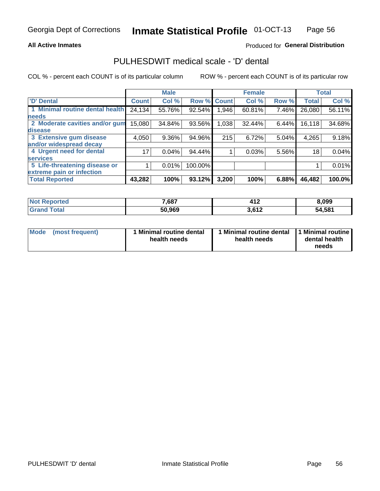#### **All Active Inmates**

### Produced for General Distribution

## PULHESDWIT medical scale - 'D' dental

COL % - percent each COUNT is of its particular column

|                                 |              | <b>Male</b> |         |              | <b>Female</b> |       |              | <b>Total</b> |
|---------------------------------|--------------|-------------|---------|--------------|---------------|-------|--------------|--------------|
| <b>D'</b> Dental                | <b>Count</b> | Col %       | Row %   | <b>Count</b> | Col %         | Row % | <b>Total</b> | Col %        |
| 1 Minimal routine dental health | 24,134       | 55.76%      | 92.54%  | .946         | 60.81%        | 7.46% | 26,080       | 56.11%       |
| <b>needs</b>                    |              |             |         |              |               |       |              |              |
| 2 Moderate cavities and/or gum  | 15,080       | 34.84%      | 93.56%  | 1,038        | 32.44%        | 6.44% | 16, 118      | 34.68%       |
| disease                         |              |             |         |              |               |       |              |              |
| 3 Extensive gum disease         | 4,050        | 9.36%       | 94.96%  | 215          | 6.72%         | 5.04% | 4,265        | 9.18%        |
| and/or widespread decay         |              |             |         |              |               |       |              |              |
| 4 Urgent need for dental        | 17           | 0.04%       | 94.44%  |              | 0.03%         | 5.56% | 18           | 0.04%        |
| <b>services</b>                 |              |             |         |              |               |       |              |              |
| 5 Life-threatening disease or   |              | 0.01%       | 100.00% |              |               |       |              | 0.01%        |
| extreme pain or infection       |              |             |         |              |               |       |              |              |
| <b>Total Reported</b>           | 43,282       | 100%        | 93.12%  | 3,200        | 100%          | 6.88% | 46,482       | 100.0%       |

| <b>Not Reported</b>   | 7,687  | 11 <sup>c</sup><br>7 I 4 | 8,099  |
|-----------------------|--------|--------------------------|--------|
| Total<br><b>Grand</b> | 50,969 | 2.642<br><b>J.OIZ</b>    | 54,581 |

| 1 Minimal routine dental<br>Mode<br>(most frequent)<br>health needs | 1 Minimal routine dental 1 Minimal routine<br>health needs | dental health<br>needs |
|---------------------------------------------------------------------|------------------------------------------------------------|------------------------|
|---------------------------------------------------------------------|------------------------------------------------------------|------------------------|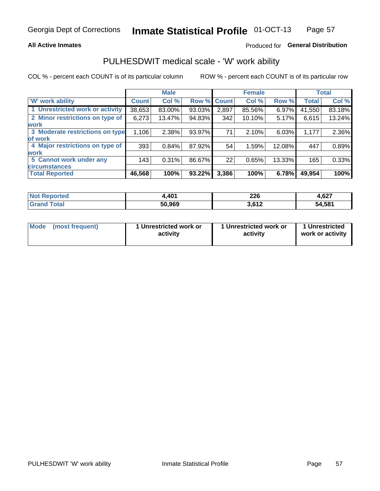#### **All Active Inmates**

### Produced for General Distribution

## PULHESDWIT medical scale - 'W' work ability

COL % - percent each COUNT is of its particular column

|                                 |              | <b>Male</b> |        |             | <b>Female</b> |        |              | <b>Total</b> |
|---------------------------------|--------------|-------------|--------|-------------|---------------|--------|--------------|--------------|
| 'W' work ability                | <b>Count</b> | Col %       |        | Row % Count | Col %         | Row %  | <b>Total</b> | Col %        |
| 1 Unrestricted work or activity | 38,653       | 83.00%      | 93.03% | 2,897       | 85.56%        | 6.97%  | 41,550       | 83.18%       |
| 2 Minor restrictions on type of | 6,273        | 13.47%      | 94.83% | 342         | $10.10\%$     | 5.17%  | 6,615        | 13.24%       |
| <b>work</b>                     |              |             |        |             |               |        |              |              |
| 3 Moderate restrictions on type | 1,106        | 2.38%       | 93.97% | 71          | 2.10%         | 6.03%  | 1,177        | 2.36%        |
| lof work                        |              |             |        |             |               |        |              |              |
| 4 Major restrictions on type of | 393          | 0.84%       | 87.92% | 54          | 1.59%         | 12.08% | 447          | 0.89%        |
| <b>work</b>                     |              |             |        |             |               |        |              |              |
| 5 Cannot work under any         | 143          | 0.31%       | 86.67% | 22          | 0.65%         | 13.33% | 165          | 0.33%        |
| <b>circumstances</b>            |              |             |        |             |               |        |              |              |
| <b>Total Reported</b>           | 46,568       | 100%        | 93.22% | 3,386       | 100%          | 6.78%  | 49,954       | 100%         |

| <b>Not Reported</b>   | .401   | າາເ<br>ZZU | $\sim$<br>4.621 |
|-----------------------|--------|------------|-----------------|
| Total<br><b>Grand</b> | 50,969 | 3,612      | 54,581          |

| Mode (most frequent) | 1 Unrestricted work or | 1 Unrestricted work or | 1 Unrestricted   |
|----------------------|------------------------|------------------------|------------------|
|                      | activity               | activity               | work or activity |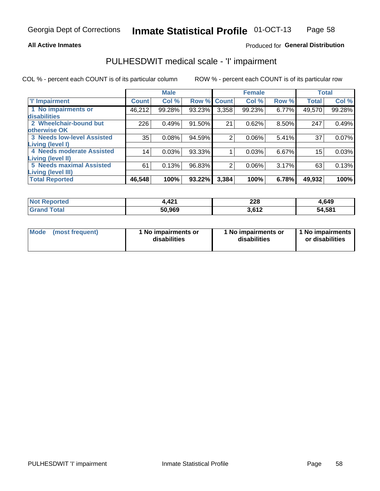#### **All Active Inmates**

### Produced for General Distribution

## PULHESDWIT medical scale - 'I' impairment

COL % - percent each COUNT is of its particular column ROW % - percent each COUNT is of its particular row

|                                   |              | <b>Male</b> |        |              | <b>Female</b> |       |              | <b>Total</b> |
|-----------------------------------|--------------|-------------|--------|--------------|---------------|-------|--------------|--------------|
| <b>T</b> Impairment               | <b>Count</b> | Col %       | Row %  | <b>Count</b> | Col %         | Row % | <b>Total</b> | Col %        |
| 1 No impairments or               | 46,212       | 99.28%      | 93.23% | 3,358        | 99.23%        | 6.77% | 49,570       | 99.28%       |
| disabilities                      |              |             |        |              |               |       |              |              |
| 2 Wheelchair-bound but            | 226          | 0.49%       | 91.50% | 21           | 0.62%         | 8.50% | 247          | 0.49%        |
| otherwise OK                      |              |             |        |              |               |       |              |              |
| <b>3 Needs low-level Assisted</b> | 35           | 0.08%       | 94.59% | 2            | 0.06%         | 5.41% | 37           | 0.07%        |
| Living (level I)                  |              |             |        |              |               |       |              |              |
| 4 Needs moderate Assisted         | 14           | 0.03%       | 93.33% |              | 0.03%         | 6.67% | 15           | 0.03%        |
| <b>Living (level II)</b>          |              |             |        |              |               |       |              |              |
| <b>5 Needs maximal Assisted</b>   | 61           | 0.13%       | 96.83% | 2            | 0.06%         | 3.17% | 63           | 0.13%        |
| <b>Living (level III)</b>         |              |             |        |              |               |       |              |              |
| <b>Total Reported</b>             | 46,548       | 100%        | 93.22% | 3,384        | 100%          | 6.78% | 49,932       | 100%         |

| <b>Not</b>      | 404    | 228  | 4,649  |
|-----------------|--------|------|--------|
| <b>Reported</b> | 4.421  | __   |        |
| <b>Total</b>    | 50,969 | 0.42 | 54,581 |

| Mode | (most frequent) | 1 No impairments or<br>disabilities | 1 No impairments or<br>disabilities | 1 No impairments<br>or disabilities |
|------|-----------------|-------------------------------------|-------------------------------------|-------------------------------------|
|------|-----------------|-------------------------------------|-------------------------------------|-------------------------------------|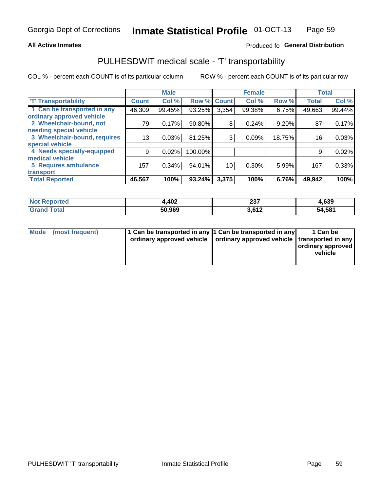#### **All Active Inmates**

### Produced fo General Distribution

## PULHESDWIT medical scale - 'T' transportability

COL % - percent each COUNT is of its particular column

|                              |              | <b>Male</b> |         |              | <b>Female</b> |        |              | <b>Total</b> |
|------------------------------|--------------|-------------|---------|--------------|---------------|--------|--------------|--------------|
| <b>T' Transportability</b>   | <b>Count</b> | Col %       | Row %   | <b>Count</b> | Col %         | Row %  | <b>Total</b> | Col %        |
| 1 Can be transported in any  | 46,309       | 99.45%      | 93.25%  | 3,354        | 99.38%        | 6.75%  | 49,663       | 99.44%       |
| ordinary approved vehicle    |              |             |         |              |               |        |              |              |
| 2 Wheelchair-bound, not      | 79           | 0.17%       | 90.80%  | 8            | 0.24%         | 9.20%  | 87           | 0.17%        |
| needing special vehicle      |              |             |         |              |               |        |              |              |
| 3 Wheelchair-bound, requires | 13           | 0.03%       | 81.25%  | 3            | 0.09%         | 18.75% | 16           | 0.03%        |
| special vehicle              |              |             |         |              |               |        |              |              |
| 4 Needs specially-equipped   | 9            | 0.02%       | 100.00% |              |               |        | 9            | 0.02%        |
| medical vehicle              |              |             |         |              |               |        |              |              |
| <b>5 Requires ambulance</b>  | 157          | 0.34%       | 94.01%  | 10           | 0.30%         | 5.99%  | 167          | 0.33%        |
| transport                    |              |             |         |              |               |        |              |              |
| <b>Total Reported</b>        | 46,567       | 100%        | 93.24%  | 3,375        | 100%          | 6.76%  | 49,942       | 100%         |

| <b>Not</b><br>Reported | 1,402  | ິ<br>، د ے<br>$-$ | 4,639  |
|------------------------|--------|-------------------|--------|
| Total                  | 50,969 | 3,612             | 54,581 |

|  | Mode (most frequent) | 1 Can be transported in any 1 Can be transported in any<br>ordinary approved vehicle   ordinary approved vehicle   transported in any |  | 1 Can be<br>  ordinary approved  <br>vehicle |
|--|----------------------|---------------------------------------------------------------------------------------------------------------------------------------|--|----------------------------------------------|
|--|----------------------|---------------------------------------------------------------------------------------------------------------------------------------|--|----------------------------------------------|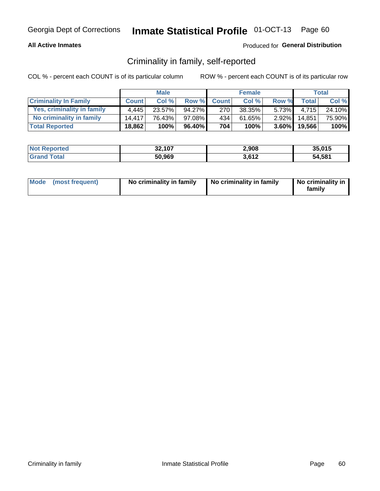#### **All Active Inmates**

### Produced for General Distribution

### Criminality in family, self-reported

COL % - percent each COUNT is of its particular column

|                              |              | <b>Male</b> |           |              | <b>Female</b> |          |                   | Total  |
|------------------------------|--------------|-------------|-----------|--------------|---------------|----------|-------------------|--------|
| <b>Criminality In Family</b> | <b>Count</b> | Col%        | Row %     | <b>Count</b> | Col %         | Row %    | <b>Total</b>      | Col %  |
| Yes, criminality in family   | 4.445        | $23.57\%$   | $94.27\%$ | 270          | $38.35\%$     | $5.73\%$ | 4.715             | 24.10% |
| No criminality in family     | 14.417       | 76.43%      | $97.08\%$ | 434          | 61.65%        | $2.92\%$ | 14,851            | 75.90% |
| <b>Total Reported</b>        | 18,862       | 100%        | 96.40%    | 704          | 100%          |          | $3.60\%$   19,566 | 100%   |

| <b>Not Reported</b> | 32,107 | 2,908 | 35.015 |
|---------------------|--------|-------|--------|
| Total               | 50,969 | 3,612 | 54,581 |

|  | Mode (most frequent) | No criminality in family | No criminality in family | No criminality in<br>family |
|--|----------------------|--------------------------|--------------------------|-----------------------------|
|--|----------------------|--------------------------|--------------------------|-----------------------------|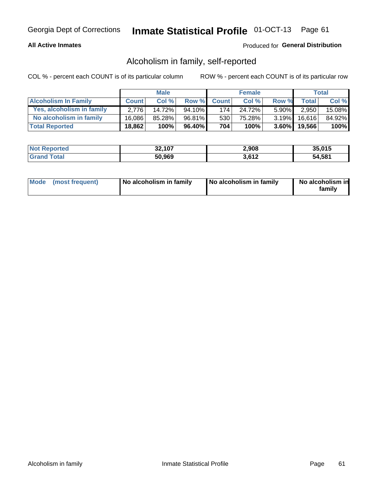### **All Active Inmates**

### Produced for General Distribution

### Alcoholism in family, self-reported

COL % - percent each COUNT is of its particular column

|                             |              | <b>Male</b> |        |              | <b>Female</b> |          |              | <b>Total</b> |
|-----------------------------|--------------|-------------|--------|--------------|---------------|----------|--------------|--------------|
| <b>Alcoholism In Family</b> | <b>Count</b> | Col%        | Row %  | <b>Count</b> | Col%          | Row %    | <b>Total</b> | Col %        |
| Yes, alcoholism in family   | 2.776        | 14.72%      | 94.10% | 174          | 24.72%        | $5.90\%$ | 2,950        | 15.08%       |
| No alcoholism in family     | 16.086       | 85.28%      | 96.81% | 530          | 75.28%        | $3.19\%$ | 16.616       | 84.92%       |
| <b>Total Reported</b>       | 18,862       | 100%        | 96.40% | 704          | 100%          | $3.60\%$ | 19,566       | $100\%$      |

| <b>Not Reported</b> | 32,107 | 2,908 | 35.015 |
|---------------------|--------|-------|--------|
| Гоtа                | 50,969 | 3,612 | 54,581 |

|  | Mode (most frequent) | No alcoholism in family | No alcoholism in family | No alcoholism in<br>family |
|--|----------------------|-------------------------|-------------------------|----------------------------|
|--|----------------------|-------------------------|-------------------------|----------------------------|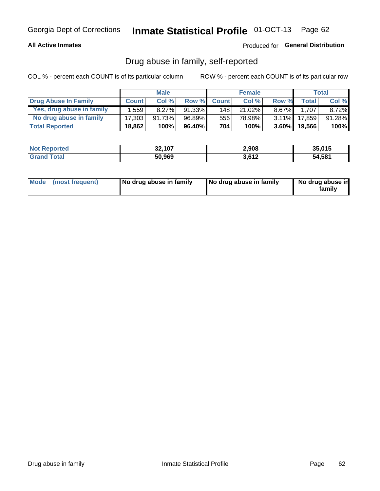#### **All Active Inmates**

### Produced for General Distribution

### Drug abuse in family, self-reported

COL % - percent each COUNT is of its particular column

|                           |              | <b>Male</b> |           |              | <b>Female</b> |          |                   | Total    |
|---------------------------|--------------|-------------|-----------|--------------|---------------|----------|-------------------|----------|
| Drug Abuse In Family      | <b>Count</b> | Col%        | Row %     | <b>Count</b> | Col%          | Row %    | <b>Total</b>      | Col %    |
| Yes, drug abuse in family | 1.559        | $8.27\%$    | 91.33%    | 148          | 21.02%        | $8.67\%$ | 1.707             | $8.72\%$ |
| No drug abuse in family   | 17.303       | 91.73%      | 96.89%    | 556          | 78.98%        | $3.11\%$ | 17,859            | 91.28%   |
| <b>Total Reported</b>     | 18,862       | 100%        | $96.40\%$ | 704          | 100%          |          | $3.60\%$   19,566 | $100\%$  |

| <b>Not Reported</b> | 32,107 | 2,908 | 35.015 |
|---------------------|--------|-------|--------|
| Гоtа                | 50,969 | 3,612 | 54,581 |

|  | Mode (most frequent) | No drug abuse in family | No drug abuse in family | No drug abuse in<br>familv |
|--|----------------------|-------------------------|-------------------------|----------------------------|
|--|----------------------|-------------------------|-------------------------|----------------------------|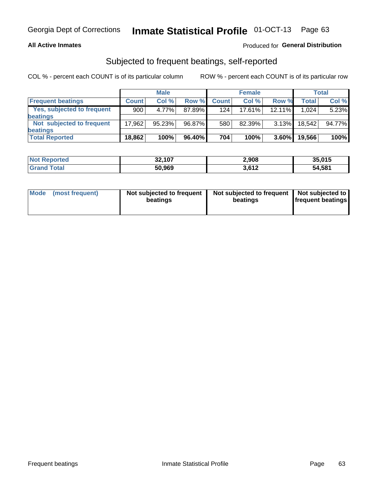#### **All Active Inmates**

### Produced for General Distribution

### Subjected to frequent beatings, self-reported

COL % - percent each COUNT is of its particular column

|                            |              | <b>Male</b> |        |              | <b>Female</b> |          |              | Total  |
|----------------------------|--------------|-------------|--------|--------------|---------------|----------|--------------|--------|
| <b>Frequent beatings</b>   | <b>Count</b> | Col %       | Row %  | <b>Count</b> | Col %         | Row %    | <b>Total</b> | Col%   |
| Yes, subjected to frequent | 900          | 4.77%       | 87.89% | 124          | 17.61%        | 12.11%   | 1.024        | 5.23%  |
| <b>beatings</b>            |              |             |        |              |               |          |              |        |
| Not subjected to frequent  | 17,962       | 95.23%      | 96.87% | 580          | 82.39%        | $3.13\%$ | 18.542       | 94.77% |
| <b>beatings</b>            |              |             |        |              |               |          |              |        |
| <b>Total Reported</b>      | 18,862       | 100%        | 96.40% | 704          | 100%          | $3.60\%$ | 19,566       | 100%   |

| <b>Not Reported</b> | 32,107 | 2,908 | 35,015 |
|---------------------|--------|-------|--------|
| <b>Grand Total</b>  | 50,969 | 3,612 | 54,581 |

| Mode (most frequent) | Not subjected to frequent<br>beatings | Not subjected to frequent<br>beatings | Not subjected to<br><b>frequent beatings</b> |
|----------------------|---------------------------------------|---------------------------------------|----------------------------------------------|
|                      |                                       |                                       |                                              |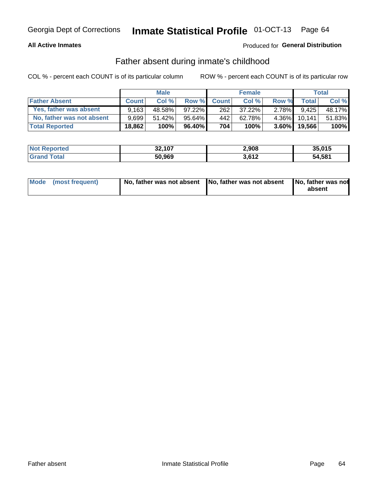### **All Active Inmates**

### **Produced for General Distribution**

### Father absent during inmate's childhood

COL % - percent each COUNT is of its particular column

|                           |              | <b>Male</b> |           |              | <b>Female</b> |          |              | <b>Total</b> |
|---------------------------|--------------|-------------|-----------|--------------|---------------|----------|--------------|--------------|
| <b>Father Absent</b>      | <b>Count</b> | Col%        | Row %     | <b>Count</b> | Col %         | Row %    | <b>Total</b> | Col %        |
| Yes, father was absent    | 9.163        | 48.58%      | $97.22\%$ | 262          | $37.22\%$     | 2.78%I   | 9.425        | 48.17%       |
| No, father was not absent | 9.699        | $51.42\%$   | 95.64%I   | 442          | 62.78%        | $4.36\%$ | 10.141       | 51.83%       |
| <b>Total Reported</b>     | 18,862       | 100%        | $96.40\%$ | 704          | 100%          | $3.60\%$ | 19,566       | 100%         |

| <b>Not Reported</b> | 32,107 | 2,908 | 35,015 |
|---------------------|--------|-------|--------|
| <b>Grand Total</b>  | 50,969 | 3,612 | 54,581 |

|  | Mode (most frequent) | No, father was not absent No, father was not absent |  | No, father was not<br>absent |
|--|----------------------|-----------------------------------------------------|--|------------------------------|
|--|----------------------|-----------------------------------------------------|--|------------------------------|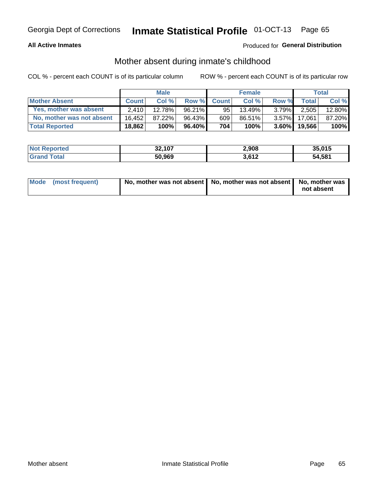#### **All Active Inmates**

### Produced for General Distribution

### Mother absent during inmate's childhood

COL % - percent each COUNT is of its particular column

|                           | <b>Male</b>  |        |        | <b>Female</b> |        |          | Total  |        |
|---------------------------|--------------|--------|--------|---------------|--------|----------|--------|--------|
| <b>Mother Absent</b>      | <b>Count</b> | Col%   | Row %  | <b>Count</b>  | Col %  | Row %    | Total  | Col %  |
| Yes, mother was absent    | 2.410        | 12.78% | 96.21% | 95            | 13.49% | $3.79\%$ | 2,505  | 12.80% |
| No, mother was not absent | 16.452       | 87.22% | 96.43% | 609           | 86.51% | $3.57\%$ | 17.061 | 87.20% |
| <b>Total Reported</b>     | 18,862       | 100%   | 96.40% | 704           | 100%   | $3.60\%$ | 19,566 | 100%   |

| <b>Not Reported</b> | 32,107 | 2,908 | 35.015 |
|---------------------|--------|-------|--------|
| Total               | 50,969 | 3,612 | 54,581 |

| Mode (most frequent) | No, mother was not absent   No, mother was not absent   No, mother was | not absent |
|----------------------|------------------------------------------------------------------------|------------|
|                      |                                                                        |            |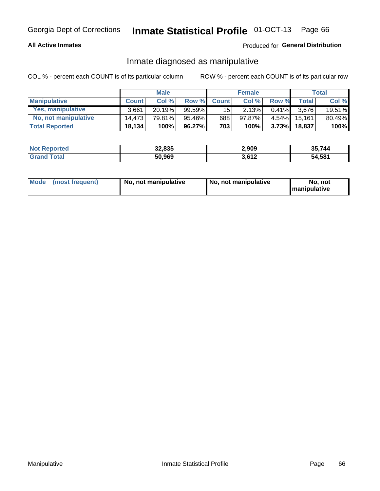#### **All Active Inmates**

### Produced for General Distribution

### Inmate diagnosed as manipulative

COL % - percent each COUNT is of its particular column

|                       | <b>Male</b>  |        |           | <b>Female</b>   |        |          | Total        |        |
|-----------------------|--------------|--------|-----------|-----------------|--------|----------|--------------|--------|
| <b>Manipulative</b>   | <b>Count</b> | Col %  | Row %     | <b>Count</b>    | Col%   | Row %    | <b>Total</b> | Col %  |
| Yes, manipulative     | 3.661        | 20.19% | 99.59%    | 15 <sup>1</sup> | 2.13%  | 0.41%    | 3.676        | 19.51% |
| No, not manipulative  | 14.473       | 79.81% | $95.46\%$ | 688             | 97.87% | $4.54\%$ | 15.161       | 80.49% |
| <b>Total Reported</b> | 18,134       | 100%   | 96.27%    | 703             | 100%   | 3.73%    | 18.837       | 100%   |

| <b>Not Reported</b> | 32,835 | 2,909 | 35,744 |
|---------------------|--------|-------|--------|
| <b>Grand Total</b>  | 50,969 | 3,612 | 54,581 |

|  | Mode (most frequent) | No. not manipulative | No, not manipulative | No. not<br><b>I</b> manipulative |
|--|----------------------|----------------------|----------------------|----------------------------------|
|--|----------------------|----------------------|----------------------|----------------------------------|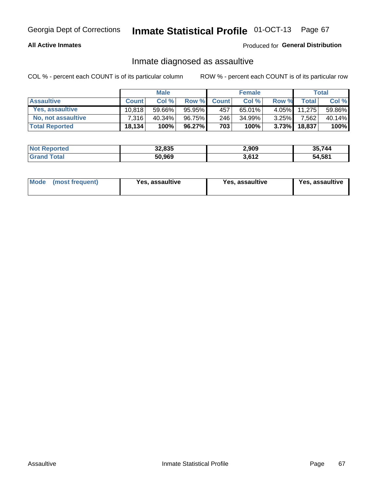#### **All Active Inmates**

#### Produced for General Distribution

### Inmate diagnosed as assaultive

COL % - percent each COUNT is of its particular column

|                       | <b>Male</b>  |           |        | <b>Female</b> |           |          | Total  |        |
|-----------------------|--------------|-----------|--------|---------------|-----------|----------|--------|--------|
| <b>Assaultive</b>     | <b>Count</b> | Col %     | Row %  | <b>Count</b>  | Col %     | Row %    | Totall | Col %  |
| Yes, assaultive       | 10.818       | 59.66%    | 95.95% | 457           | $65.01\%$ | $4.05\%$ | 11,275 | 59.86% |
| No, not assaultive    | 7.316        | $40.34\%$ | 96.75% | 246           | 34.99%    | $3.25\%$ | 7,562  | 40.14% |
| <b>Total Reported</b> | 18,134       | 100%      | 96.27% | 703           | 100%      | $3.73\%$ | 18,837 | 100%   |

| <b>Not Reported</b> | 32,835 | 2,909 | 35.744 |
|---------------------|--------|-------|--------|
| Total               | 50,969 | 3,612 | 54,581 |

| Mode (most frequent)<br>Yes, assaultive | Yes, assaultive | <b>Yes, assaultive</b> |
|-----------------------------------------|-----------------|------------------------|
|-----------------------------------------|-----------------|------------------------|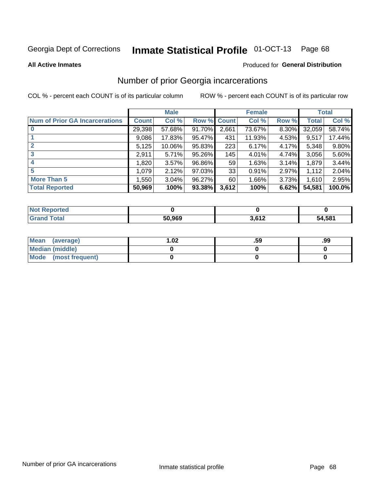#### Inmate Statistical Profile 01-OCT-13 Page 68

#### **All Active Inmates**

#### Produced for General Distribution

### Number of prior Georgia incarcerations

COL % - percent each COUNT is of its particular column

|                                       |              | <b>Male</b> |             |       | <b>Female</b> |       |        | <b>Total</b> |
|---------------------------------------|--------------|-------------|-------------|-------|---------------|-------|--------|--------------|
| <b>Num of Prior GA Incarcerations</b> | <b>Count</b> | Col %       | Row % Count |       | Col %         | Row % | Total  | Col %        |
|                                       | 29,398       | 57.68%      | 91.70%      | 2,661 | 73.67%        | 8.30% | 32,059 | 58.74%       |
|                                       | 9,086        | 17.83%      | 95.47%      | 431   | 11.93%        | 4.53% | 9,517  | 17.44%       |
| $\overline{2}$                        | 5,125        | 10.06%      | 95.83%      | 223   | 6.17%         | 4.17% | 5,348  | 9.80%        |
| 3                                     | 2,911        | 5.71%       | 95.26%      | 145   | 4.01%         | 4.74% | 3,056  | 5.60%        |
| $\boldsymbol{4}$                      | 1,820        | 3.57%       | 96.86%      | 59    | 1.63%         | 3.14% | 1,879  | 3.44%        |
| 5                                     | 1,079        | 2.12%       | 97.03%      | 33    | 0.91%         | 2.97% | 1,112  | 2.04%        |
| <b>More Than 5</b>                    | 1.550        | 3.04%       | 96.27%      | 60    | 1.66%         | 3.73% | 1.610  | 2.95%        |
| <b>Total Reported</b>                 | 50,969       | 100%        | $93.38\%$   | 3,612 | 100%          | 6.62% | 54,581 | 100.0%       |

| orted<br>NO.      |        |       |        |
|-------------------|--------|-------|--------|
| <b>otal</b><br>Gr | 50,969 | . 640 | 54.581 |

| Mean (average)       | $\overline{.02}$ | .59 | .99 |
|----------------------|------------------|-----|-----|
| Median (middle)      |                  |     |     |
| Mode (most frequent) |                  |     |     |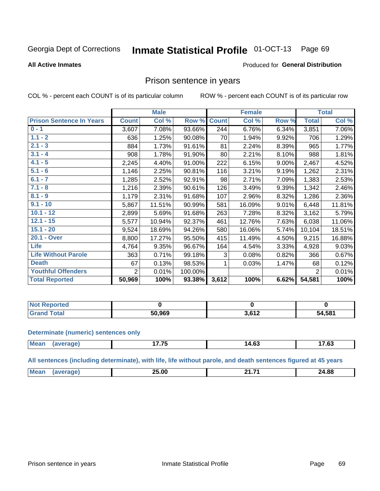#### Inmate Statistical Profile 01-OCT-13 Page 69

#### **All Active Inmates**

#### Produced for General Distribution

### Prison sentence in years

COL % - percent each COUNT is of its particular column

ROW % - percent each COUNT is of its particular row

|                                 | <b>Male</b>    |        |         | <b>Female</b> |        |       | <b>Total</b>   |        |
|---------------------------------|----------------|--------|---------|---------------|--------|-------|----------------|--------|
| <b>Prison Sentence In Years</b> | <b>Count</b>   | Col %  | Row %   | <b>Count</b>  | Col %  | Row % | <b>Total</b>   | Col %  |
| $0 - 1$                         | 3,607          | 7.08%  | 93.66%  | 244           | 6.76%  | 6.34% | 3,851          | 7.06%  |
| $1.1 - 2$                       | 636            | 1.25%  | 90.08%  | 70            | 1.94%  | 9.92% | 706            | 1.29%  |
| $2.1 - 3$                       | 884            | 1.73%  | 91.61%  | 81            | 2.24%  | 8.39% | 965            | 1.77%  |
| $3.1 - 4$                       | 908            | 1.78%  | 91.90%  | 80            | 2.21%  | 8.10% | 988            | 1.81%  |
| $4.1 - 5$                       | 2,245          | 4.40%  | 91.00%  | 222           | 6.15%  | 9.00% | 2,467          | 4.52%  |
| $5.1 - 6$                       | 1,146          | 2.25%  | 90.81%  | 116           | 3.21%  | 9.19% | 1,262          | 2.31%  |
| $6.1 - 7$                       | 1,285          | 2.52%  | 92.91%  | 98            | 2.71%  | 7.09% | 1,383          | 2.53%  |
| $7.1 - 8$                       | 1,216          | 2.39%  | 90.61%  | 126           | 3.49%  | 9.39% | 1,342          | 2.46%  |
| $8.1 - 9$                       | 1,179          | 2.31%  | 91.68%  | 107           | 2.96%  | 8.32% | 1,286          | 2.36%  |
| $9.1 - 10$                      | 5,867          | 11.51% | 90.99%  | 581           | 16.09% | 9.01% | 6,448          | 11.81% |
| $10.1 - 12$                     | 2,899          | 5.69%  | 91.68%  | 263           | 7.28%  | 8.32% | 3,162          | 5.79%  |
| $12.1 - 15$                     | 5,577          | 10.94% | 92.37%  | 461           | 12.76% | 7.63% | 6,038          | 11.06% |
| $15.1 - 20$                     | 9,524          | 18.69% | 94.26%  | 580           | 16.06% | 5.74% | 10,104         | 18.51% |
| 20.1 - Over                     | 8,800          | 17.27% | 95.50%  | 415           | 11.49% | 4.50% | 9,215          | 16.88% |
| Life                            | 4,764          | 9.35%  | 96.67%  | 164           | 4.54%  | 3.33% | 4,928          | 9.03%  |
| <b>Life Without Parole</b>      | 363            | 0.71%  | 99.18%  | 3             | 0.08%  | 0.82% | 366            | 0.67%  |
| <b>Death</b>                    | 67             | 0.13%  | 98.53%  |               | 0.03%  | 1.47% | 68             | 0.12%  |
| <b>Youthful Offenders</b>       | $\overline{2}$ | 0.01%  | 100.00% |               |        |       | $\overline{2}$ | 0.01%  |
| <b>Total Reported</b>           | 50,969         | 100%   | 93.38%  | 3,612         | 100%   | 6.62% | 54,581         | 100%   |

| oorted<br>I NOT |        |                       |        |
|-----------------|--------|-----------------------|--------|
| CT              | 50.969 | <b>1 בים</b> כ<br>. . | 54,581 |

#### **Determinate (numeric) sentences only**

| <b>Mear</b> | $\rightarrow$ $\rightarrow$ $\rightarrow$<br>. . | $\overline{ }$<br>า4.6.<br>___ | $ \sim$<br>. სა |
|-------------|--------------------------------------------------|--------------------------------|-----------------|
|             |                                                  |                                |                 |

All sentences (including determinate), with life, life without parole, and death sentences figured at 45 years

| Me | 25.00<br>____ | . . | 24.88<br>$ -$ |
|----|---------------|-----|---------------|
|    |               |     |               |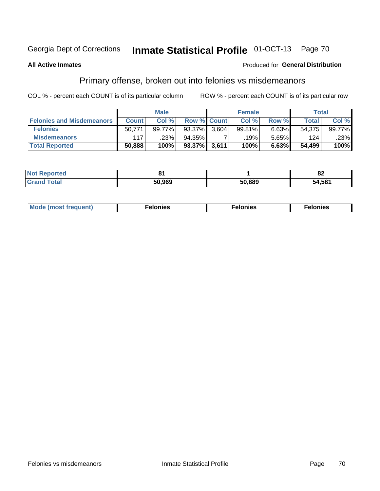#### Inmate Statistical Profile 01-OCT-13 Page 70

#### **All Active Inmates**

#### **Produced for General Distribution**

## Primary offense, broken out into felonies vs misdemeanors

COL % - percent each COUNT is of its particular column

|                                  | <b>Male</b>  |        |                    | <b>Female</b> |        |       | Total        |        |
|----------------------------------|--------------|--------|--------------------|---------------|--------|-------|--------------|--------|
| <b>Felonies and Misdemeanors</b> | <b>Count</b> | Col %  | <b>Row % Count</b> |               | Col %  | Row % | <b>Total</b> | Col %  |
| <b>Felonies</b>                  | 50.771       | 99.77% | $93.37\%$          | 3.604         | 99.81% | 6.63% | 54.375       | 99.77% |
| <b>Misdemeanors</b>              | 117          | .23%   | 94.35%             |               | .19%'  | 5.65% | 124          | .23%   |
| <b>Total Reported</b>            | 50,888       | 100%   | 93.37%             | 3,611         | 100%   | 6.63% | 54,499       | 100%   |

| <b>Not</b><br>Reported |        |        | $\mathbf{f}$<br>ОZ |
|------------------------|--------|--------|--------------------|
| <b>Grand</b><br>™otal  | 50.969 | 50,889 | 54,581             |

| M      | .    | nes | onies |
|--------|------|-----|-------|
| nuenti | ____ | .   | .     |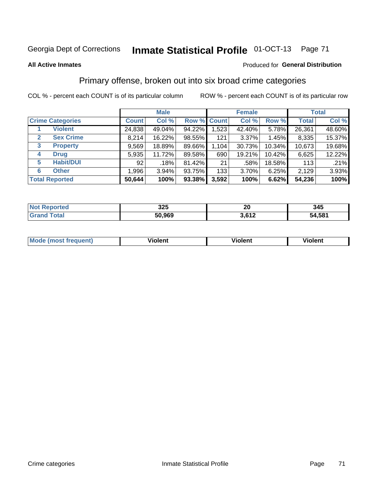## Georgia Dept of Corrections **Inmate Statistical Profile** 01-OCT-13 Page 71

#### **All Active Inmates**

#### Produced for **General Distribution**

## Primary offense, broken out into six broad crime categories

COL % - percent each COUNT is of its particular column ROW % - percent each COUNT is of its particular row

|                                 | <b>Male</b>  |        |           | <b>Female</b> |          |        | <b>Total</b> |        |
|---------------------------------|--------------|--------|-----------|---------------|----------|--------|--------------|--------|
| <b>Crime Categories</b>         | <b>Count</b> | Col %  |           | Row % Count   | Col %    | Row %  | <b>Total</b> | Col %  |
| <b>Violent</b>                  | 24,838       | 49.04% | 94.22%    | 1,523         | 42.40%   | 5.78%  | 26,361       | 48.60% |
| <b>Sex Crime</b><br>2           | 8,214        | 16.22% | 98.55%    | 121           | $3.37\%$ | 1.45%  | 8,335        | 15.37% |
| $\mathbf{3}$<br><b>Property</b> | 9,569        | 18.89% | 89.66%    | 1,104         | 30.73%   | 10.34% | 10,673       | 19.68% |
| <b>Drug</b><br>4                | 5,935        | 11.72% | 89.58%    | 690           | 19.21%   | 10.42% | 6,625        | 12.22% |
| <b>Habit/DUI</b><br>5           | 92           | .18%   | 81.42%    | 21            | .58%     | 18.58% | 113          | .21%   |
| <b>Other</b><br>6               | 1,996        | 3.94%  | 93.75%    | 133           | 3.70%    | 6.25%  | 2,129        | 3.93%  |
| <b>Total Reported</b>           | 50,644       | 100%   | $93.38\%$ | 3,592         | 100%     | 6.62%  | 54,236       | 100%   |

| 'teo<br>NO  | 325    | 20            | 345                    |  |  |
|-------------|--------|---------------|------------------------|--|--|
| <b>Tata</b> | 50,969 | 0.42<br>או טו | .58 <sup>4</sup><br>54 |  |  |

| Mo<br>uent)<br>nos | .<br>/iolent | <br>Violent | - --<br><b>Tiolent</b> |
|--------------------|--------------|-------------|------------------------|
|                    |              |             |                        |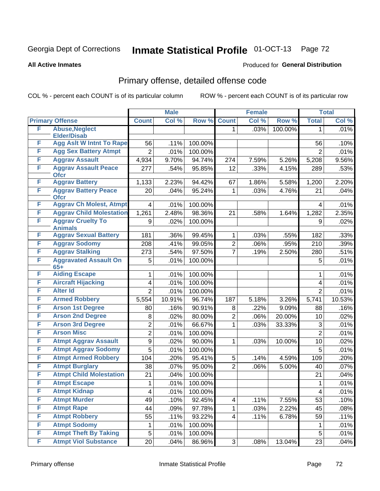## Georgia Dept of Corrections **Inmate Statistical Profile** 01-OCT-13 Page 72

#### **All Active Inmates**

#### Produced for **General Distribution**

## Primary offense, detailed offense code

COL % - percent each COUNT is of its particular column ROW % - percent each COUNT is of its particular row

|   |                                            |                         | <b>Male</b> |         |                | <b>Female</b> |         |                | <b>Total</b> |
|---|--------------------------------------------|-------------------------|-------------|---------|----------------|---------------|---------|----------------|--------------|
|   | <b>Primary Offense</b>                     | <b>Count</b>            | Col %       | Row %   | <b>Count</b>   | Col %         | Row %   | <b>Total</b>   | Col %        |
| F | <b>Abuse, Neglect</b>                      |                         |             |         | 1.             | .03%          | 100.00% | 1              | .01%         |
|   | <b>Elder/Disab</b>                         |                         |             |         |                |               |         |                |              |
| F | <b>Agg Aslt W Intnt To Rape</b>            | 56                      | .11%        | 100.00% |                |               |         | 56             | .10%         |
| F | <b>Agg Sex Battery Atmpt</b>               | $\overline{2}$          | .01%        | 100.00% |                |               |         | $\overline{2}$ | .01%         |
| F | <b>Aggrav Assault</b>                      | 4,934                   | 9.70%       | 94.74%  | 274            | 7.59%         | 5.26%   | 5,208          | 9.56%        |
| F | <b>Aggrav Assault Peace</b><br><b>Ofcr</b> | 277                     | .54%        | 95.85%  | 12             | .33%          | 4.15%   | 289            | .53%         |
| F | <b>Aggrav Battery</b>                      | 1,133                   | 2.23%       | 94.42%  | 67             | 1.86%         | 5.58%   | 1,200          | 2.20%        |
| F | <b>Aggrav Battery Peace</b><br><b>Ofcr</b> | 20                      | .04%        | 95.24%  | 1              | .03%          | 4.76%   | 21             | .04%         |
| F | <b>Aggrav Ch Molest, Atmpt</b>             | 4                       | .01%        | 100.00% |                |               |         | 4              | .01%         |
| F | <b>Aggrav Child Molestation</b>            | 1,261                   | 2.48%       | 98.36%  | 21             | .58%          | 1.64%   | 1,282          | 2.35%        |
| F | <b>Aggrav Cruelty To</b>                   | 9                       | .02%        | 100.00% |                |               |         | 9              | .02%         |
|   | <b>Animals</b>                             |                         |             |         |                |               |         |                |              |
| F | <b>Aggrav Sexual Battery</b>               | 181                     | .36%        | 99.45%  | 1              | .03%          | .55%    | 182            | .33%         |
| F | <b>Aggrav Sodomy</b>                       | 208                     | .41%        | 99.05%  | $\overline{2}$ | .06%          | .95%    | 210            | .39%         |
| F | <b>Aggrav Stalking</b>                     | 273                     | .54%        | 97.50%  | $\overline{7}$ | .19%          | 2.50%   | 280            | .51%         |
| F | <b>Aggravated Assault On</b><br>$65+$      | 5                       | .01%        | 100.00% |                |               |         | 5              | .01%         |
| F | <b>Aiding Escape</b>                       | 1                       | .01%        | 100.00% |                |               |         | 1              | .01%         |
| F | <b>Aircraft Hijacking</b>                  | 4                       | .01%        | 100.00% |                |               |         | 4              | .01%         |
| F | <b>Alter Id</b>                            | $\overline{2}$          | .01%        | 100.00% |                |               |         | $\overline{2}$ | .01%         |
| F | <b>Armed Robbery</b>                       | 5,554                   | 10.91%      | 96.74%  | 187            | 5.18%         | 3.26%   | 5,741          | 10.53%       |
| F | <b>Arson 1st Degree</b>                    | 80                      | .16%        | 90.91%  | 8              | .22%          | 9.09%   | 88             | .16%         |
| F | <b>Arson 2nd Degree</b>                    | 8                       | .02%        | 80.00%  | $\overline{2}$ | .06%          | 20.00%  | 10             | .02%         |
| F | <b>Arson 3rd Degree</b>                    | $\overline{c}$          | .01%        | 66.67%  | 1              | .03%          | 33.33%  | 3              | .01%         |
| F | <b>Arson Misc</b>                          | $\overline{2}$          | .01%        | 100.00% |                |               |         | $\overline{2}$ | .01%         |
| F | <b>Atmpt Aggrav Assault</b>                | 9                       | .02%        | 90.00%  | 1              | .03%          | 10.00%  | 10             | .02%         |
| F | <b>Atmpt Aggrav Sodomy</b>                 | 5                       | .01%        | 100.00% |                |               |         | 5              | .01%         |
| F | <b>Atmpt Armed Robbery</b>                 | 104                     | .20%        | 95.41%  | 5              | .14%          | 4.59%   | 109            | .20%         |
| F | <b>Atmpt Burglary</b>                      | 38                      | .07%        | 95.00%  | $\overline{2}$ | .06%          | 5.00%   | 40             | .07%         |
| F | <b>Atmpt Child Molestation</b>             | 21                      | .04%        | 100.00% |                |               |         | 21             | .04%         |
| F | <b>Atmpt Escape</b>                        | $\mathbf{1}$            | .01%        | 100.00% |                |               |         | 1              | .01%         |
| F | <b>Atmpt Kidnap</b>                        | $\overline{\mathbf{4}}$ | .01%        | 100.00% |                |               |         | 4              | .01%         |
| F | <b>Atmpt Murder</b>                        | 49                      | .10%        | 92.45%  | 4              | .11%          | 7.55%   | 53             | .10%         |
| F | <b>Atmpt Rape</b>                          | 44                      | .09%        | 97.78%  | $\mathbf 1$    | .03%          | 2.22%   | 45             | .08%         |
| F | <b>Atmpt Robbery</b>                       | 55                      | .11%        | 93.22%  | 4              | .11%          | 6.78%   | 59             | .11%         |
| F | <b>Atmpt Sodomy</b>                        | 1                       | .01%        | 100.00% |                |               |         | 1              | .01%         |
| F | <b>Atmpt Theft By Taking</b>               | 5                       | .01%        | 100.00% |                |               |         | 5              | .01%         |
| F | <b>Atmpt Viol Substance</b>                | 20                      | .04%        | 86.96%  | 3 <sup>1</sup> | .08%          | 13.04%  | 23             | .04%         |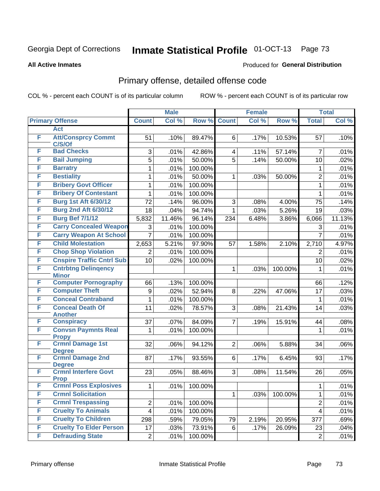#### **All Active Inmates**

### Produced for **General Distribution**

### Primary offense, detailed offense code

|   |                                            |                         | <b>Male</b> |         |                | <b>Female</b> |         |                | <b>Total</b> |
|---|--------------------------------------------|-------------------------|-------------|---------|----------------|---------------|---------|----------------|--------------|
|   | <b>Primary Offense</b>                     | <b>Count</b>            | Col %       | Row %   | <b>Count</b>   | Col %         | Row %   | <b>Total</b>   | Col %        |
|   | <b>Act</b>                                 |                         |             |         |                |               |         |                |              |
| F | <b>Att/Consprcy Commt</b><br>C/S/Of        | 51                      | .10%        | 89.47%  | 6              | .17%          | 10.53%  | 57             | .10%         |
| F | <b>Bad Checks</b>                          | 3                       | .01%        | 42.86%  | 4              | .11%          | 57.14%  | $\overline{7}$ | .01%         |
| F | <b>Bail Jumping</b>                        | 5                       | .01%        | 50.00%  | $\overline{5}$ | .14%          | 50.00%  | 10             | .02%         |
| F | <b>Barratry</b>                            | 1                       | .01%        | 100.00% |                |               |         | 1              | .01%         |
| F | <b>Bestiality</b>                          | 1                       | .01%        | 50.00%  | $\mathbf 1$    | .03%          | 50.00%  | $\overline{2}$ | .01%         |
| F | <b>Bribery Govt Officer</b>                | 1                       | .01%        | 100.00% |                |               |         | $\mathbf{1}$   | .01%         |
| F | <b>Bribery Of Contestant</b>               | 1                       | .01%        | 100.00% |                |               |         | $\mathbf{1}$   | .01%         |
| F | <b>Burg 1st Aft 6/30/12</b>                | 72                      | .14%        | 96.00%  | 3              | .08%          | 4.00%   | 75             | .14%         |
| F | <b>Burg 2nd Aft 6/30/12</b>                | 18                      | .04%        | 94.74%  | 1              | .03%          | 5.26%   | 19             | .03%         |
| F | <b>Burg Bef 7/1/12</b>                     | 5,832                   | 11.46%      | 96.14%  | 234            | 6.48%         | 3.86%   | 6,066          | 11.13%       |
| F | <b>Carry Concealed Weapon</b>              | 3                       | .01%        | 100.00% |                |               |         | 3              | .01%         |
| F | <b>Carry Weapon At School</b>              | $\overline{7}$          | .01%        | 100.00% |                |               |         | $\overline{7}$ | .01%         |
| F | <b>Child Molestation</b>                   | 2,653                   | 5.21%       | 97.90%  | 57             | 1.58%         | 2.10%   | 2,710          | 4.97%        |
| F | <b>Chop Shop Violation</b>                 | $\overline{2}$          | .01%        | 100.00% |                |               |         | $\overline{2}$ | .01%         |
| F | <b>Cnspire Traffic Cntrl Sub</b>           | 10                      | .02%        | 100.00% |                |               |         | 10             | .02%         |
| F | <b>Cntrbtng Delingency</b><br><b>Minor</b> |                         |             |         | 1              | .03%          | 100.00% | 1              | .01%         |
| F | <b>Computer Pornography</b>                | 66                      | .13%        | 100.00% |                |               |         | 66             | .12%         |
| F | <b>Computer Theft</b>                      | 9                       | .02%        | 52.94%  | 8              | .22%          | 47.06%  | 17             | .03%         |
| F | <b>Conceal Contraband</b>                  | 1                       | .01%        | 100.00% |                |               |         | 1              | .01%         |
| F | <b>Conceal Death Of</b><br><b>Another</b>  | 11                      | .02%        | 78.57%  | 3              | .08%          | 21.43%  | 14             | .03%         |
| F | <b>Conspiracy</b>                          | 37                      | .07%        | 84.09%  | $\overline{7}$ | .19%          | 15.91%  | 44             | .08%         |
| F | <b>Convsn Paymnts Real</b>                 | 1                       | .01%        | 100.00% |                |               |         | $\mathbf{1}$   | .01%         |
|   | <b>Propy</b>                               |                         |             |         |                |               |         |                |              |
| F | <b>Crmnl Damage 1st</b><br><b>Degree</b>   | 32                      | .06%        | 94.12%  | 2              | .06%          | 5.88%   | 34             | .06%         |
| F | <b>Crmnl Damage 2nd</b>                    | 87                      | .17%        | 93.55%  | 6              | .17%          | 6.45%   | 93             | .17%         |
|   | <b>Degree</b>                              |                         |             |         |                |               |         |                |              |
| F | <b>Crmnl Interfere Govt</b>                | 23                      | .05%        | 88.46%  | 3 <sup>1</sup> | .08%          | 11.54%  | 26             | .05%         |
|   | <b>Prop</b>                                |                         |             |         |                |               |         |                |              |
| F | <b>Crmnl Poss Explosives</b>               | $\mathbf 1$             | .01%        | 100.00% |                |               |         | $\mathbf{1}$   | .01%         |
| F | <b>Crmnl Solicitation</b>                  |                         |             |         | $\mathbf 1$    | .03%          | 100.00% | $\mathbf{1}$   | .01%         |
| F | <b>Crmnl Trespassing</b>                   | $\overline{\mathbf{c}}$ | .01%        | 100.00% |                |               |         | $\overline{c}$ | .01%         |
| F | <b>Cruelty To Animals</b>                  | $\overline{\mathbf{4}}$ | .01%        | 100.00% |                |               |         | 4              | .01%         |
| F | <b>Cruelty To Children</b>                 | 298                     | .59%        | 79.05%  | 79             | 2.19%         | 20.95%  | 377            | .69%         |
| F | <b>Cruelty To Elder Person</b>             | 17                      | .03%        | 73.91%  | 6              | .17%          | 26.09%  | 23             | .04%         |
| F | <b>Defrauding State</b>                    | $\overline{2}$          | .01%        | 100.00% |                |               |         | $\overline{c}$ | .01%         |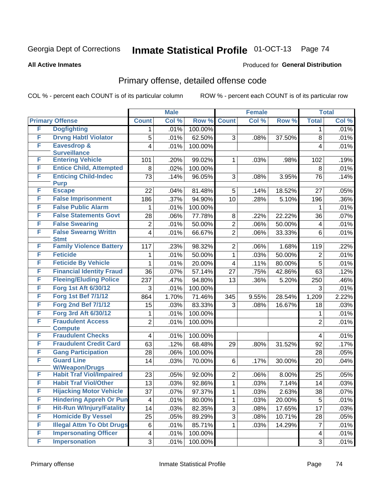#### **All Active Inmates**

#### Produced for **General Distribution**

### Primary offense, detailed offense code

|   |                                  |                         | <b>Male</b> |         |                         | <b>Female</b> |        |                         | <b>Total</b> |
|---|----------------------------------|-------------------------|-------------|---------|-------------------------|---------------|--------|-------------------------|--------------|
|   | <b>Primary Offense</b>           | <b>Count</b>            | Col %       | Row %   | <b>Count</b>            | Col %         | Row %  | <b>Total</b>            | Col %        |
| F | <b>Dogfighting</b>               | 1                       | .01%        | 100.00% |                         |               |        | 1                       | .01%         |
| F | <b>Drvng Habtl Violator</b>      | 5                       | .01%        | 62.50%  | 3                       | .08%          | 37.50% | 8                       | .01%         |
| F | <b>Eavesdrop &amp;</b>           | 4                       | .01%        | 100.00% |                         |               |        | $\overline{\mathbf{4}}$ | .01%         |
|   | <b>Surveillance</b>              |                         |             |         |                         |               |        |                         |              |
| F | <b>Entering Vehicle</b>          | 101                     | .20%        | 99.02%  | $\mathbf{1}$            | .03%          | .98%   | 102                     | .19%         |
| F | <b>Entice Child, Attempted</b>   | 8                       | .02%        | 100.00% |                         |               |        | 8                       | .01%         |
| F | <b>Enticing Child-Indec</b>      | 73                      | .14%        | 96.05%  | 3                       | .08%          | 3.95%  | 76                      | .14%         |
| F | <b>Purp</b><br><b>Escape</b>     | 22                      | .04%        | 81.48%  | 5                       | .14%          | 18.52% | 27                      | .05%         |
| F | <b>False Imprisonment</b>        | 186                     | .37%        | 94.90%  | 10                      | .28%          | 5.10%  | 196                     | $.36\%$      |
| F | <b>False Public Alarm</b>        | 1                       | .01%        | 100.00% |                         |               |        | 1                       | .01%         |
| F | <b>False Statements Govt</b>     | 28                      | .06%        | 77.78%  | 8                       | .22%          | 22.22% | 36                      | .07%         |
| F | <b>False Swearing</b>            |                         |             |         |                         |               |        |                         |              |
| F | <b>False Swearng Writtn</b>      | $\overline{2}$          | .01%        | 50.00%  | $\overline{2}$          | .06%          | 50.00% | 4                       | .01%         |
|   | <b>Stmt</b>                      | $\overline{\mathbf{4}}$ | .01%        | 66.67%  | $\overline{2}$          | .06%          | 33.33% | 6                       | .01%         |
| F | <b>Family Violence Battery</b>   | 117                     | .23%        | 98.32%  | $\overline{2}$          | .06%          | 1.68%  | 119                     | .22%         |
| F | <b>Feticide</b>                  | 1.                      | .01%        | 50.00%  | $\mathbf{1}$            | .03%          | 50.00% | $\overline{2}$          | .01%         |
| F | <b>Feticide By Vehicle</b>       | 1                       | .01%        | 20.00%  | $\overline{\mathbf{4}}$ | .11%          | 80.00% | 5                       | .01%         |
| F | <b>Financial Identity Fraud</b>  | 36                      | .07%        | 57.14%  | 27                      | .75%          | 42.86% | 63                      | .12%         |
| F | <b>Fleeing/Eluding Police</b>    | 237                     | .47%        | 94.80%  | 13                      | .36%          | 5.20%  | 250                     | .46%         |
| F | <b>Forg 1st Aft 6/30/12</b>      | 3                       | .01%        | 100.00% |                         |               |        | 3                       | .01%         |
| F | <b>Forg 1st Bef 7/1/12</b>       | 864                     | 1.70%       | 71.46%  | 345                     | 9.55%         | 28.54% | 1,209                   | 2.22%        |
| F | <b>Forg 2nd Bef 7/1/12</b>       | 15                      | .03%        | 83.33%  | 3                       | .08%          | 16.67% | 18                      | .03%         |
| F | Forg 3rd Aft 6/30/12             | 1                       | .01%        | 100.00% |                         |               |        | 1                       | .01%         |
| F | <b>Fraudulent Access</b>         | $\overline{2}$          | .01%        | 100.00% |                         |               |        | $\overline{2}$          | .01%         |
|   | <b>Compute</b>                   |                         |             |         |                         |               |        |                         |              |
| F | <b>Fraudulent Checks</b>         | $\overline{4}$          | .01%        | 100.00% |                         |               |        | 4                       | .01%         |
| F | <b>Fraudulent Credit Card</b>    | 63                      | .12%        | 68.48%  | 29                      | .80%          | 31.52% | 92                      | .17%         |
| F | <b>Gang Participation</b>        | 28                      | .06%        | 100.00% |                         |               |        | 28                      | .05%         |
| F | <b>Guard Line</b>                | 14                      | .03%        | 70.00%  | 6                       | .17%          | 30.00% | 20                      | .04%         |
|   | <b>W/Weapon/Drugs</b>            |                         |             |         |                         |               |        |                         |              |
| F | <b>Habit Traf Viol/Impaired</b>  | 23                      | .05%        | 92.00%  | $\overline{2}$          | .06%          | 8.00%  | 25                      | .05%         |
| F | <b>Habit Traf Viol/Other</b>     | 13                      | .03%        | 92.86%  | $\mathbf{1}$            | .03%          | 7.14%  | 14                      | .03%         |
| F | <b>Hijacking Motor Vehicle</b>   | 37                      | .07%        | 97.37%  | 1                       | .03%          | 2.63%  | 38                      | .07%         |
| F | <b>Hindering Appreh Or Pun</b>   | 4                       | .01%        | 80.00%  | $\mathbf 1$             | .03%          | 20.00% | 5                       | .01%         |
| F | <b>Hit-Run W/Injury/Fatality</b> | 14                      | .03%        | 82.35%  | 3                       | .08%          | 17.65% | 17                      | .03%         |
| F | <b>Homicide By Vessel</b>        | 25                      | .05%        | 89.29%  | 3                       | .08%          | 10.71% | 28                      | .05%         |
| F | <b>Illegal Attm To Obt Drugs</b> | 6                       | .01%        | 85.71%  | $\mathbf{1}$            | .03%          | 14.29% | $\overline{7}$          | .01%         |
| F | <b>Impersonating Officer</b>     | 4                       | .01%        | 100.00% |                         |               |        | 4                       | .01%         |
| F | <b>Impersonation</b>             | 3                       | .01%        | 100.00% |                         |               |        | 3                       | .01%         |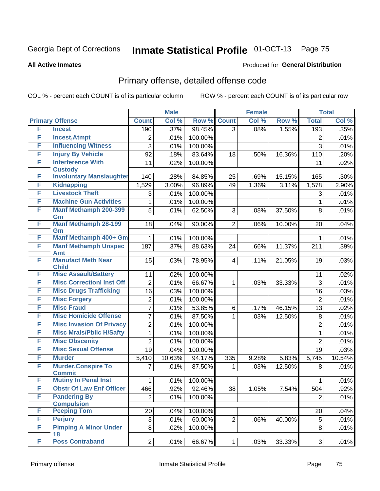#### **All Active Inmates**

#### Produced for **General Distribution**

### Primary offense, detailed offense code

|        |                                                        |                       | <b>Male</b>  |                   |                | <b>Female</b> |        |                       | <b>Total</b> |
|--------|--------------------------------------------------------|-----------------------|--------------|-------------------|----------------|---------------|--------|-----------------------|--------------|
|        | <b>Primary Offense</b>                                 | <b>Count</b>          | Col %        | Row %             | <b>Count</b>   | Col %         | Row %  | <b>Total</b>          | Col %        |
| F      | <b>Incest</b>                                          | 190                   | .37%         | 98.45%            | $\overline{3}$ | .08%          | 1.55%  | 193                   | .35%         |
| F      | <b>Incest, Atmpt</b>                                   | $\overline{2}$        | .01%         | 100.00%           |                |               |        | 2                     | .01%         |
| F      | <b>Influencing Witness</b>                             | $\overline{3}$        | .01%         | 100.00%           |                |               |        | $\overline{3}$        | .01%         |
| F      | <b>Injury By Vehicle</b>                               | 92                    | .18%         | 83.64%            | 18             | .50%          | 16.36% | 110                   | .20%         |
| F      | <b>Interference With</b>                               | 11                    | .02%         | 100.00%           |                |               |        | 11                    | .02%         |
|        | <b>Custody</b>                                         |                       |              |                   |                |               |        |                       |              |
| F<br>F | <b>Involuntary Manslaughter</b>                        | 140                   | .28%         | 84.85%            | 25             | .69%          | 15.15% | 165                   | .30%         |
| F      | <b>Kidnapping</b><br><b>Livestock Theft</b>            | 1,529                 | 3.00%        | 96.89%            | 49             | 1.36%         | 3.11%  | 1,578                 | 2.90%        |
| F      |                                                        | 3                     | .01%         | 100.00%           |                |               |        | 3                     | .01%         |
| F      | <b>Machine Gun Activities</b>                          | 1                     | .01%         | 100.00%           |                |               |        | 1                     | .01%         |
|        | <b>Manf Methamph 200-399</b><br>Gm                     | 5                     | .01%         | 62.50%            | 3              | .08%          | 37.50% | 8                     | .01%         |
| F      | <b>Manf Methamph 28-199</b>                            | 18                    | .04%         | 90.00%            | $\overline{2}$ | .06%          | 10.00% | 20                    | .04%         |
|        | Gm                                                     |                       |              |                   |                |               |        |                       |              |
| F      | Manf Methamph 400+ Gm                                  | 1                     | .01%         | 100.00%           |                |               |        | 1                     | .01%         |
| F      | <b>Manf Methamph Unspec</b>                            | 187                   | .37%         | 88.63%            | 24             | .66%          | 11.37% | 211                   | .39%         |
| F      | <b>Amt</b><br><b>Manufact Meth Near</b>                | 15                    | .03%         | 78.95%            | $\overline{4}$ | .11%          | 21.05% | 19                    | .03%         |
|        | <b>Child</b>                                           |                       |              |                   |                |               |        |                       |              |
| F      | <b>Misc Assault/Battery</b>                            | 11                    | .02%         | 100.00%           |                |               |        | 11                    | .02%         |
| F      | <b>Misc CorrectionI Inst Off</b>                       | $\overline{2}$        | .01%         | 66.67%            | $\mathbf{1}$   | .03%          | 33.33% | $\overline{3}$        | .01%         |
| F      | <b>Misc Drugs Trafficking</b>                          | 16                    | .03%         | 100.00%           |                |               |        | 16                    | .03%         |
| F      | <b>Misc Forgery</b>                                    | $\overline{2}$        | .01%         | 100.00%           |                |               |        | $\overline{2}$        | .01%         |
| F      | <b>Misc Fraud</b>                                      | $\overline{7}$        | .01%         | 53.85%            | 6              | .17%          | 46.15% | 13                    | .02%         |
| F      | <b>Misc Homicide Offense</b>                           | 7                     | .01%         | 87.50%            | $\mathbf{1}$   | .03%          | 12.50% | $\, 8$                | .01%         |
| F      | <b>Misc Invasion Of Privacy</b>                        | $\overline{2}$        | .01%         | 100.00%           |                |               |        | $\overline{2}$        | .01%         |
| F      | <b>Misc Mrals/Pblic H/Safty</b>                        | 1                     | .01%         | 100.00%           |                |               |        | $\mathbf{1}$          | .01%         |
| F      | <b>Misc Obscenity</b>                                  | $\overline{2}$        | .01%         | 100.00%           |                |               |        | $\overline{2}$        | .01%         |
| F      | <b>Misc Sexual Offense</b>                             | 19                    | .04%         | 100.00%           |                |               |        | 19                    | .03%         |
| F      | <b>Murder</b>                                          | 5,410                 | 10.63%       | 94.17%            | 335            | 9.28%         | 5.83%  | 5,745                 | 10.54%       |
| F      | <b>Murder, Conspire To</b>                             | 7                     | .01%         | 87.50%            | 1              | .03%          | 12.50% | 8                     | .01%         |
| F      | <b>Commit</b><br><b>Mutiny In Penal Inst</b>           |                       |              |                   |                |               |        |                       |              |
| F      |                                                        | 1                     | .01%         | 100.00%           |                |               |        | 1                     | .01%         |
| F      | <b>Obstr Of Law Enf Officer</b><br><b>Pandering By</b> | 466<br>$\overline{2}$ | .92%<br>.01% | 92.46%<br>100.00% | 38             | 1.05%         | 7.54%  | 504<br>$\overline{2}$ | .92%         |
|        | <b>Compulsion</b>                                      |                       |              |                   |                |               |        |                       | .01%         |
| F      | <b>Peeping Tom</b>                                     | 20                    | .04%         | 100.00%           |                |               |        | 20                    | .04%         |
| F      | <b>Perjury</b>                                         | 3                     | .01%         | 60.00%            | $\overline{2}$ | .06%          | 40.00% | 5                     | .01%         |
| F      | <b>Pimping A Minor Under</b>                           | 8                     | .02%         | 100.00%           |                |               |        | 8                     | .01%         |
|        | 18                                                     |                       |              |                   |                |               |        |                       |              |
| F      | <b>Poss Contraband</b>                                 | $\overline{2}$        | .01%         | 66.67%            | $\mathbf{1}$   | .03%          | 33.33% | 3                     | .01%         |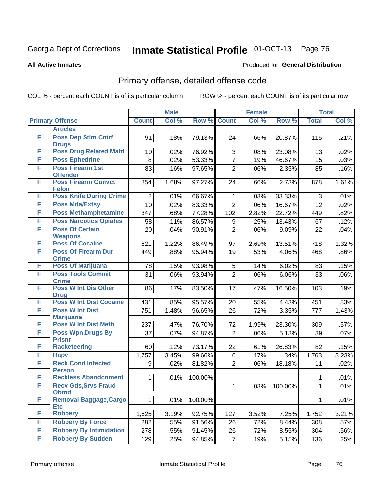#### **All Active Inmates**

#### Produced for **General Distribution**

### Primary offense, detailed offense code

|   |                                             |                | <b>Male</b> |         |                | <b>Female</b> |         |                | <b>Total</b> |
|---|---------------------------------------------|----------------|-------------|---------|----------------|---------------|---------|----------------|--------------|
|   | <b>Primary Offense</b>                      | <b>Count</b>   | Col %       | Row %   | <b>Count</b>   | Col %         | Row %   | <b>Total</b>   | Col %        |
|   | <b>Articles</b>                             |                |             |         |                |               |         |                |              |
| F | <b>Poss Dep Stim Cntrf</b><br><b>Drugs</b>  | 91             | .18%        | 79.13%  | 24             | .66%          | 20.87%  | 115            | .21%         |
| F | <b>Poss Drug Related Matri</b>              | 10             | .02%        | 76.92%  | 3              | .08%          | 23.08%  | 13             | .02%         |
| F | <b>Poss Ephedrine</b>                       | 8              | .02%        | 53.33%  | $\overline{7}$ | .19%          | 46.67%  | 15             | .03%         |
| F | <b>Poss Firearm 1st</b><br><b>Offender</b>  | 83             | .16%        | 97.65%  | $\overline{2}$ | .06%          | 2.35%   | 85             | .16%         |
| F | <b>Poss Firearm Convct</b><br><b>Felon</b>  | 854            | 1.68%       | 97.27%  | 24             | .66%          | 2.73%   | 878            | 1.61%        |
| F | <b>Poss Knife During Crime</b>              | $\overline{2}$ | .01%        | 66.67%  | $\mathbf 1$    | .03%          | 33.33%  | 3              | .01%         |
| F | <b>Poss Mda/Extsy</b>                       | 10             | .02%        | 83.33%  | $\overline{2}$ | .06%          | 16.67%  | 12             | .02%         |
| F | <b>Poss Methamphetamine</b>                 | 347            | .68%        | 77.28%  | 102            | 2.82%         | 22.72%  | 449            | .82%         |
| F | <b>Poss Narcotics Opiates</b>               | 58             | .11%        | 86.57%  | 9              | .25%          | 13.43%  | 67             | .12%         |
| F | <b>Poss Of Certain</b><br><b>Weapons</b>    | 20             | .04%        | 90.91%  | $\overline{2}$ | .06%          | 9.09%   | 22             | .04%         |
| F | <b>Poss Of Cocaine</b>                      | 621            | 1.22%       | 86.49%  | 97             | 2.69%         | 13.51%  | 718            | 1.32%        |
| F | <b>Poss Of Firearm Dur</b><br><b>Crime</b>  | 449            | .88%        | 95.94%  | 19             | .53%          | 4.06%   | 468            | $.86\%$      |
| F | <b>Poss Of Marijuana</b>                    | 78             | .15%        | 93.98%  | 5              | .14%          | 6.02%   | 83             | .15%         |
| F | <b>Poss Tools Commit</b><br><b>Crime</b>    | 31             | .06%        | 93.94%  | $\overline{2}$ | .06%          | 6.06%   | 33             | $.06\%$      |
| F | <b>Poss W Int Dis Other</b><br><b>Drug</b>  | 86             | .17%        | 83.50%  | 17             | .47%          | 16.50%  | 103            | .19%         |
| F | <b>Poss W Int Dist Cocaine</b>              | 431            | .85%        | 95.57%  | 20             | .55%          | 4.43%   | 451            | .83%         |
| F | <b>Poss W Int Dist</b><br><b>Marijuana</b>  | 751            | 1.48%       | 96.65%  | 26             | .72%          | 3.35%   | 777            | 1.43%        |
| F | <b>Poss W Int Dist Meth</b>                 | 237            | .47%        | 76.70%  | 72             | 1.99%         | 23.30%  | 309            | .57%         |
| F | Poss Wpn, Drugs By<br><b>Prisnr</b>         | 37             | .07%        | 94.87%  | $\overline{2}$ | .06%          | 5.13%   | 39             | .07%         |
| F | <b>Racketeering</b>                         | 60             | .12%        | 73.17%  | 22             | .61%          | 26.83%  | 82             | .15%         |
| F | Rape                                        | 1,757          | 3.45%       | 99.66%  | 6              | .17%          | .34%    | 1,763          | 3.23%        |
| F | <b>Reck Cond Infected</b><br><b>Person</b>  | 9              | .02%        | 81.82%  | $\overline{2}$ | .06%          | 18.18%  | 11             | .02%         |
| F | <b>Reckless Abandonment</b>                 | 1              | .01%        | 100.00% |                |               |         | 1              | .01%         |
| F | <b>Recv Gds, Srvs Fraud</b><br><b>Obtnd</b> |                |             |         | $\mathbf{1}$   | .03%          | 100.00% | $\overline{1}$ | .01%         |
| F | <b>Removal Baggage, Cargo</b><br><b>Etc</b> | $\mathbf{1}$   | .01%        | 100.00% |                |               |         | 1              | .01%         |
| F | <b>Robbery</b>                              | 1,625          | 3.19%       | 92.75%  | 127            | 3.52%         | 7.25%   | 1,752          | 3.21%        |
| F | <b>Robbery By Force</b>                     | 282            | .55%        | 91.56%  | 26             | .72%          | 8.44%   | 308            | .57%         |
| F | <b>Robbery By Intimidation</b>              | 278            | .55%        | 91.45%  | 26             | .72%          | 8.55%   | 304            | .56%         |
| F | <b>Robbery By Sudden</b>                    | 129            | .25%        | 94.85%  | $\overline{7}$ | .19%          | 5.15%   | 136            | .25%         |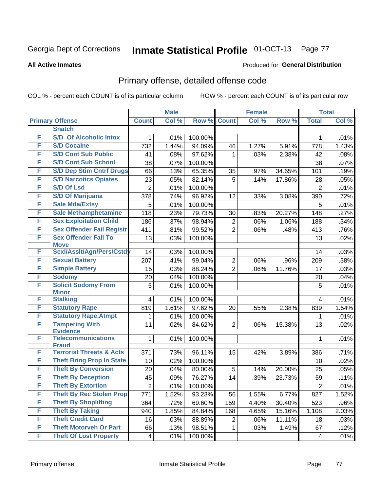#### **All Active Inmates**

#### Produced for **General Distribution**

### Primary offense, detailed offense code

|   |                                            |                  | <b>Male</b> |         |                | <b>Female</b> |        | <b>Total</b>   |         |
|---|--------------------------------------------|------------------|-------------|---------|----------------|---------------|--------|----------------|---------|
|   | <b>Primary Offense</b>                     | <b>Count</b>     | Col %       | Row %   | <b>Count</b>   | Col %         | Row %  | <b>Total</b>   | Col %   |
|   | <b>Snatch</b>                              |                  |             |         |                |               |        |                |         |
| F | <b>S/D Of Alcoholic Intox</b>              | 1                | .01%        | 100.00% |                |               |        | 1              | .01%    |
| F | <b>S/D Cocaine</b>                         | 732              | 1.44%       | 94.09%  | 46             | 1.27%         | 5.91%  | 778            | 1.43%   |
| F | <b>S/D Cont Sub Public</b>                 | 41               | .08%        | 97.62%  | 1              | .03%          | 2.38%  | 42             | .08%    |
| F | <b>S/D Cont Sub School</b>                 | 38               | .07%        | 100.00% |                |               |        | 38             | .07%    |
| F | <b>S/D Dep Stim Cntrf Drugs</b>            | 66               | .13%        | 65.35%  | 35             | .97%          | 34.65% | 101            | .19%    |
| F | <b>S/D Narcotics Opiates</b>               | 23               | .05%        | 82.14%  | 5              | .14%          | 17.86% | 28             | .05%    |
| F | <b>S/D Of Lsd</b>                          | $\overline{2}$   | .01%        | 100.00% |                |               |        | $\overline{2}$ | .01%    |
| F | <b>S/D Of Marijuana</b>                    | 378              | .74%        | 96.92%  | 12             | .33%          | 3.08%  | 390            | .72%    |
| F | <b>Sale Mda/Extsy</b>                      | 5                | .01%        | 100.00% |                |               |        | 5              | .01%    |
| F | <b>Sale Methamphetamine</b>                | 118              | .23%        | 79.73%  | 30             | .83%          | 20.27% | 148            | .27%    |
| F | <b>Sex Exploitation Child</b>              | 186              | .37%        | 98.94%  | $\overline{2}$ | .06%          | 1.06%  | 188            | .34%    |
| F | <b>Sex Offender Fail Registr</b>           | 411              | .81%        | 99.52%  | $\overline{2}$ | .06%          | .48%   | 413            | .76%    |
| F | <b>Sex Offender Fail To</b><br><b>Move</b> | 13               | .03%        | 100.00% |                |               |        | 13             | .02%    |
| F | Sexl/Asslt/Agn/Pers/Cstd                   | 14               | .03%        | 100.00% |                |               |        | 14             | .03%    |
| F | <b>Sexual Battery</b>                      | 207              | .41%        | 99.04%  | $\overline{c}$ | .06%          | .96%   | 209            | .38%    |
| F | <b>Simple Battery</b>                      | 15               | .03%        | 88.24%  | $\overline{2}$ | .06%          | 11.76% | 17             | .03%    |
| F | <b>Sodomy</b>                              | 20               | .04%        | 100.00% |                |               |        | 20             | .04%    |
| F | <b>Solicit Sodomy From</b><br><b>Minor</b> | 5                | .01%        | 100.00% |                |               |        | 5              | .01%    |
| F | <b>Stalking</b>                            | 4                | .01%        | 100.00% |                |               |        | 4              | .01%    |
| F | <b>Statutory Rape</b>                      | 819              | 1.61%       | 97.62%  | 20             | .55%          | 2.38%  | 839            | 1.54%   |
| F | <b>Statutory Rape, Atmpt</b>               | 1                | .01%        | 100.00% |                |               |        | 1              | .01%    |
| F | <b>Tampering With</b><br><b>Evidence</b>   | 11               | .02%        | 84.62%  | $\overline{2}$ | .06%          | 15.38% | 13             | .02%    |
| F | <b>Telecommunications</b><br><b>Fraud</b>  | 1                | .01%        | 100.00% |                |               |        | 1              | .01%    |
| F | <b>Terrorist Threats &amp; Acts</b>        | 371              | .73%        | 96.11%  | 15             | .42%          | 3.89%  | 386            | .71%    |
| F | <b>Theft Bring Prop In State</b>           | 10               | .02%        | 100.00% |                |               |        | 10             | .02%    |
| F | <b>Theft By Conversion</b>                 | 20               | .04%        | 80.00%  | 5              | .14%          | 20.00% | 25             | .05%    |
| F | <b>Theft By Deception</b>                  | 45               | .09%        | 76.27%  | 14             | .39%          | 23.73% | 59             | .11%    |
| F | <b>Theft By Extortion</b>                  | $\left 2\right $ | .01%        | 100.00% |                |               |        | $\overline{2}$ | .01%    |
| F | <b>Theft By Rec Stolen Prop</b>            | 771              | 1.52%       | 93.23%  | 56             | 1.55%         | 6.77%  | 827            | 1.52%   |
| F | <b>Theft By Shoplifting</b>                | 364              | .72%        | 69.60%  | 159            | 4.40%         | 30.40% | 523            | $.96\%$ |
| F | <b>Theft By Taking</b>                     | 940              | 1.85%       | 84.84%  | 168            | 4.65%         | 15.16% | 1,108          | 2.03%   |
| F | <b>Theft Credit Card</b>                   | 16               | .03%        | 88.89%  | $\overline{2}$ | .06%          | 11.11% | 18             | .03%    |
| F | <b>Theft Motorveh Or Part</b>              | 66               | .13%        | 98.51%  | $\mathbf{1}$   | .03%          | 1.49%  | 67             | .12%    |
| F | <b>Theft Of Lost Property</b>              | 4                | .01%        | 100.00% |                |               |        | $\overline{4}$ | .01%    |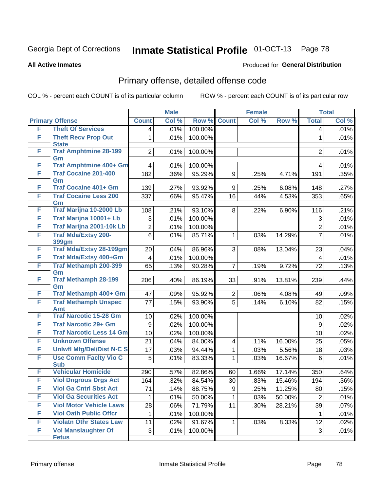**All Active Inmates**

### Produced for **General Distribution**

### Primary offense, detailed offense code

|   |                                            |                | <b>Male</b> |         |                         | <b>Female</b> |        |                | <b>Total</b> |
|---|--------------------------------------------|----------------|-------------|---------|-------------------------|---------------|--------|----------------|--------------|
|   | <b>Primary Offense</b>                     | <b>Count</b>   | Col %       | Row %   | <b>Count</b>            | Col %         | Row %  | <b>Total</b>   | Col %        |
| F | <b>Theft Of Services</b>                   | 4              | .01%        | 100.00% |                         |               |        | 4              | .01%         |
| F | <b>Theft Recv Prop Out</b><br><b>State</b> | 1              | .01%        | 100.00% |                         |               |        | $\mathbf{1}$   | .01%         |
| F | <b>Traf Amphtmine 28-199</b><br>Gm         | $\overline{2}$ | .01%        | 100.00% |                         |               |        | $\overline{2}$ | .01%         |
| F | <b>Traf Amphtmine 400+ Gm</b>              | 4              | .01%        | 100.00% |                         |               |        | 4              | .01%         |
| F | <b>Traf Cocaine 201-400</b><br>Gm          | 182            | .36%        | 95.29%  | 9                       | .25%          | 4.71%  | 191            | .35%         |
| F | <b>Traf Cocaine 401+ Gm</b>                | 139            | .27%        | 93.92%  | 9                       | .25%          | 6.08%  | 148            | .27%         |
| F | <b>Traf Cocaine Less 200</b><br>Gm         | 337            | .66%        | 95.47%  | 16                      | .44%          | 4.53%  | 353            | .65%         |
| F | Traf Marijna 10-2000 Lb                    | 108            | .21%        | 93.10%  | 8                       | .22%          | 6.90%  | 116            | .21%         |
| F | Traf Marijna 10001+ Lb                     | 3              | .01%        | 100.00% |                         |               |        | 3              | .01%         |
| F | Traf Marijna 2001-10k Lb                   | $\overline{2}$ | .01%        | 100.00% |                         |               |        | $\overline{c}$ | .01%         |
| F | <b>Traf Mda/Extsy 200-</b><br>399gm        | 6              | .01%        | 85.71%  | $\mathbf{1}$            | .03%          | 14.29% | $\overline{7}$ | .01%         |
| F | <b>Traf Mda/Extsy 28-199gm</b>             | 20             | .04%        | 86.96%  | 3                       | .08%          | 13.04% | 23             | .04%         |
| F | Traf Mda/Extsy 400+Gm                      | $\overline{4}$ | .01%        | 100.00% |                         |               |        | 4              | .01%         |
| F | <b>Traf Methamph 200-399</b><br>Gm         | 65             | .13%        | 90.28%  | $\overline{7}$          | .19%          | 9.72%  | 72             | .13%         |
| F | <b>Traf Methamph 28-199</b><br>Gm          | 206            | .40%        | 86.19%  | 33                      | .91%          | 13.81% | 239            | .44%         |
| F | Traf Methamph 400+ Gm                      | 47             | .09%        | 95.92%  | $\overline{2}$          | .06%          | 4.08%  | 49             | .09%         |
| F | <b>Traf Methamph Unspec</b><br>Amt         | 77             | .15%        | 93.90%  | $\overline{5}$          | .14%          | 6.10%  | 82             | .15%         |
| F | <b>Traf Narcotic 15-28 Gm</b>              | 10             | .02%        | 100.00% |                         |               |        | 10             | .02%         |
| F | <b>Traf Narcotic 29+ Gm</b>                | 9              | .02%        | 100.00% |                         |               |        | 9              | .02%         |
| F | <b>Traf Narcotic Less 14 Gm</b>            | 10             | .02%        | 100.00% |                         |               |        | 10             | .02%         |
| F | <b>Unknown Offense</b>                     | 21             | .04%        | 84.00%  | $\overline{\mathbf{4}}$ | .11%          | 16.00% | 25             | .05%         |
| F | <b>Uniwfl Mfg/Del/Dist N-C S</b>           | 17             | .03%        | 94.44%  | $\mathbf{1}$            | .03%          | 5.56%  | 18             | .03%         |
| F | <b>Use Comm Facity Vio C</b><br><b>Sub</b> | 5              | .01%        | 83.33%  | 1                       | .03%          | 16.67% | 6              | .01%         |
| F | <b>Vehicular Homicide</b>                  | 290            | .57%        | 82.86%  | 60                      | 1.66%         | 17.14% | 350            | .64%         |
| F | <b>Viol Dngrous Drgs Act</b>               | 164            | .32%        | 84.54%  | 30                      | .83%          | 15.46% | 194            | .36%         |
| F | <b>Viol Ga Cntrl Sbst Act</b>              | 71             | .14%        | 88.75%  | 9 <sup>°</sup>          | .25%          | 11.25% | 80             | .15%         |
| F | <b>Viol Ga Securities Act</b>              | 1              | .01%        | 50.00%  | 1                       | .03%          | 50.00% | $\overline{2}$ | .01%         |
| F | <b>Viol Motor Vehicle Laws</b>             | 28             | .06%        | 71.79%  | 11                      | .30%          | 28.21% | 39             | .07%         |
| F | <b>Viol Oath Public Offcr</b>              | 1              | .01%        | 100.00% |                         |               |        | 1              | .01%         |
| F | <b>Violatn Othr States Law</b>             | 11             | .02%        | 91.67%  | $\mathbf{1}$            | .03%          | 8.33%  | 12             | .02%         |
| F | <b>Vol Manslaughter Of</b><br><b>Fetus</b> | 3              | .01%        | 100.00% |                         |               |        | 3              | .01%         |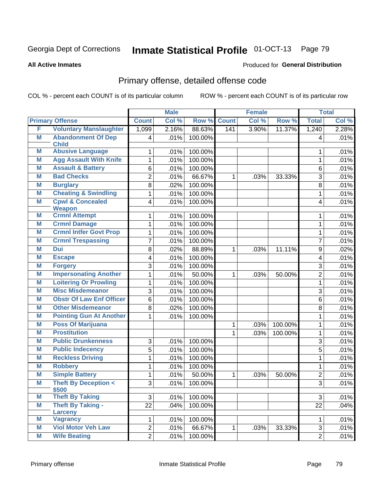#### **All Active Inmates**

#### Produced for **General Distribution**

### Primary offense, detailed offense code

|   |                                              |                         | <b>Male</b> |         |              | <b>Female</b> |         |                | <b>Total</b> |
|---|----------------------------------------------|-------------------------|-------------|---------|--------------|---------------|---------|----------------|--------------|
|   | <b>Primary Offense</b>                       | <b>Count</b>            | Col %       | Row %   | <b>Count</b> | Col %         | Row %   | <b>Total</b>   | Col %        |
| F | <b>Voluntary Manslaughter</b>                | 1,099                   | 2.16%       | 88.63%  | 141          | 3.90%         | 11.37%  | 1,240          | 2.28%        |
| M | <b>Abandonment Of Dep</b><br><b>Child</b>    | 4                       | .01%        | 100.00% |              |               |         | 4              | .01%         |
| M | <b>Abusive Language</b>                      | 1                       | .01%        | 100.00% |              |               |         | 1              | .01%         |
| M | <b>Agg Assault With Knife</b>                | $\mathbf{1}$            | .01%        | 100.00% |              |               |         | $\mathbf{1}$   | .01%         |
| M | <b>Assault &amp; Battery</b>                 | 6                       | .01%        | 100.00% |              |               |         | 6              | .01%         |
| M | <b>Bad Checks</b>                            | $\overline{2}$          | .01%        | 66.67%  | 1            | .03%          | 33.33%  | 3              | .01%         |
| M | <b>Burglary</b>                              | 8                       | .02%        | 100.00% |              |               |         | 8              | .01%         |
| M | <b>Cheating &amp; Swindling</b>              | $\mathbf 1$             | .01%        | 100.00% |              |               |         | $\mathbf{1}$   | .01%         |
| M | <b>Cpwl &amp; Concealed</b><br><b>Weapon</b> | $\overline{\mathbf{4}}$ | .01%        | 100.00% |              |               |         | 4              | .01%         |
| M | <b>Crmnl Attempt</b>                         | 1                       | .01%        | 100.00% |              |               |         | 1              | .01%         |
| M | <b>Crmnl Damage</b>                          | 1                       | .01%        | 100.00% |              |               |         | $\mathbf 1$    | .01%         |
| M | <b>Crmnl Intfer Govt Prop</b>                | 1                       | .01%        | 100.00% |              |               |         | 1              | .01%         |
| M | <b>Crmnl Trespassing</b>                     | $\overline{7}$          | .01%        | 100.00% |              |               |         | $\overline{7}$ | .01%         |
| M | <b>Dui</b>                                   | 8                       | .02%        | 88.89%  | 1            | .03%          | 11.11%  | 9              | .02%         |
| M | <b>Escape</b>                                | 4                       | .01%        | 100.00% |              |               |         | 4              | .01%         |
| M | <b>Forgery</b>                               | 3                       | .01%        | 100.00% |              |               |         | 3              | .01%         |
| M | <b>Impersonating Another</b>                 | $\mathbf{1}$            | .01%        | 50.00%  | $\mathbf 1$  | .03%          | 50.00%  | $\overline{2}$ | .01%         |
| M | <b>Loitering Or Prowling</b>                 | $\mathbf{1}$            | .01%        | 100.00% |              |               |         | $\mathbf{1}$   | .01%         |
| M | <b>Misc Misdemeanor</b>                      | 3                       | .01%        | 100.00% |              |               |         | 3              | .01%         |
| M | <b>Obstr Of Law Enf Officer</b>              | 6                       | .01%        | 100.00% |              |               |         | 6              | .01%         |
| M | <b>Other Misdemeanor</b>                     | 8                       | .02%        | 100.00% |              |               |         | 8              | .01%         |
| M | <b>Pointing Gun At Another</b>               | 1                       | .01%        | 100.00% |              |               |         | 1              | .01%         |
| Μ | <b>Poss Of Marijuana</b>                     |                         |             |         | 1            | .03%          | 100.00% | $\mathbf 1$    | .01%         |
| M | <b>Prostitution</b>                          |                         |             |         | 1            | .03%          | 100.00% | 1              | .01%         |
| M | <b>Public Drunkenness</b>                    | 3                       | .01%        | 100.00% |              |               |         | 3              | .01%         |
| M | <b>Public Indecency</b>                      | $\overline{5}$          | .01%        | 100.00% |              |               |         | 5              | .01%         |
| M | <b>Reckless Driving</b>                      | 1                       | .01%        | 100.00% |              |               |         | 1              | .01%         |
| M | <b>Robbery</b>                               | 1                       | .01%        | 100.00% |              |               |         | 1              | .01%         |
| M | <b>Simple Battery</b>                        | 1                       | .01%        | 50.00%  | 1            | .03%          | 50.00%  | $\overline{2}$ | .01%         |
| M | <b>Theft By Deception &lt;</b><br>\$500      | 3                       | .01%        | 100.00% |              |               |         | 3              | .01%         |
| M | <b>Theft By Taking</b>                       | 3                       | .01%        | 100.00% |              |               |         | 3              | .01%         |
| M | <b>Theft By Taking -</b><br>Larceny          | 22                      | .04%        | 100.00% |              |               |         | 22             | .04%         |
| M | <b>Vagrancy</b>                              | 1                       | .01%        | 100.00% |              |               |         | 1              | .01%         |
| M | <b>Viol Motor Veh Law</b>                    | $\overline{2}$          | .01%        | 66.67%  | $\mathbf{1}$ | .03%          | 33.33%  | 3              | .01%         |
| M | <b>Wife Beating</b>                          | $\overline{2}$          | .01%        | 100.00% |              |               |         | $\overline{2}$ | .01%         |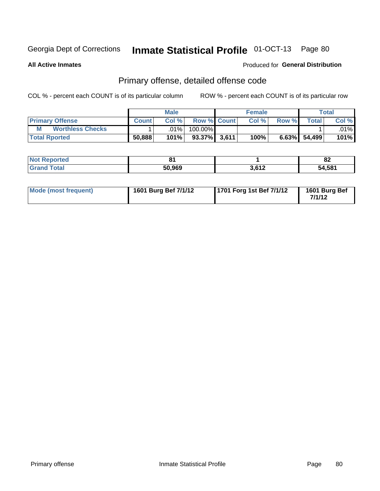**All Active Inmates**

#### Produced for **General Distribution**

### Primary offense, detailed offense code

|                              |              | <b>Male</b> |                    |       | <b>Female</b> |       |                    | <b>Total</b> |
|------------------------------|--------------|-------------|--------------------|-------|---------------|-------|--------------------|--------------|
| <b>Primary Offense</b>       | <b>Count</b> | Col%        | <b>Row % Count</b> |       | Col %         | Row % | Total <sub>1</sub> | Col %        |
| M<br><b>Worthless Checks</b> |              | .01%        | 100.00%            |       |               |       |                    | $.01\%$      |
| <b>Total Rported</b>         | 50,888       | 101%        | 93.37%I            | 3,611 | 100%          | 6.63% | 54,499             | 101%         |

| ported<br>' NOT | п.     |                         | o-<br>O4 |
|-----------------|--------|-------------------------|----------|
| <b>otal</b>     | 50,969 | 3.612<br>$\blacksquare$ | 54,581   |

| Mode (most frequent) | 1601 Burg Bef 7/1/12 | 1701 Forg 1st Bef 7/1/12 | 1601 Burg Bef<br>7/1/12 |
|----------------------|----------------------|--------------------------|-------------------------|
|----------------------|----------------------|--------------------------|-------------------------|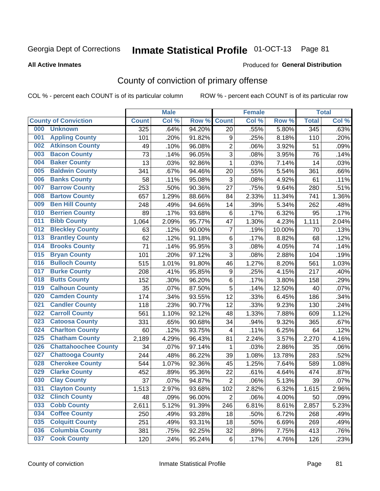#### **All Active Inmates**

#### Produced for **General Distribution**

### County of conviction of primary offense

|     |                             |              | <b>Male</b> |        |                          | <b>Female</b> |        |              | <b>Total</b> |
|-----|-----------------------------|--------------|-------------|--------|--------------------------|---------------|--------|--------------|--------------|
|     | <b>County of Conviction</b> | <b>Count</b> | Col %       | Row %  | <b>Count</b>             | Col %         | Row %  | <b>Total</b> | Col %        |
| 000 | <b>Unknown</b>              | 325          | .64%        | 94.20% | 20                       | .55%          | 5.80%  | 345          | .63%         |
| 001 | <b>Appling County</b>       | 101          | .20%        | 91.82% | 9                        | .25%          | 8.18%  | 110          | .20%         |
| 002 | <b>Atkinson County</b>      | 49           | .10%        | 96.08% | $\overline{2}$           | .06%          | 3.92%  | 51           | .09%         |
| 003 | <b>Bacon County</b>         | 73           | .14%        | 96.05% | $\sqrt{3}$               | .08%          | 3.95%  | 76           | .14%         |
| 004 | <b>Baker County</b>         | 13           | .03%        | 92.86% | $\mathbf{1}$             | .03%          | 7.14%  | 14           | .03%         |
| 005 | <b>Baldwin County</b>       | 341          | .67%        | 94.46% | 20                       | .55%          | 5.54%  | 361          | .66%         |
| 006 | <b>Banks County</b>         | 58           | .11%        | 95.08% | $\mathfrak{S}$           | .08%          | 4.92%  | 61           | .11%         |
| 007 | <b>Barrow County</b>        | 253          | .50%        | 90.36% | 27                       | .75%          | 9.64%  | 280          | .51%         |
| 008 | <b>Bartow County</b>        | 657          | 1.29%       | 88.66% | 84                       | 2.33%         | 11.34% | 741          | 1.36%        |
| 009 | <b>Ben Hill County</b>      | 248          | .49%        | 94.66% | 14                       | .39%          | 5.34%  | 262          | .48%         |
| 010 | <b>Berrien County</b>       | 89           | .17%        | 93.68% | 6                        | .17%          | 6.32%  | 95           | .17%         |
| 011 | <b>Bibb County</b>          | 1,064        | 2.09%       | 95.77% | 47                       | 1.30%         | 4.23%  | 1,111        | 2.04%        |
| 012 | <b>Bleckley County</b>      | 63           | .12%        | 90.00% | $\overline{7}$           | .19%          | 10.00% | 70           | .13%         |
| 013 | <b>Brantley County</b>      | 62           | .12%        | 91.18% | 6                        | .17%          | 8.82%  | 68           | .12%         |
| 014 | <b>Brooks County</b>        | 71           | .14%        | 95.95% | $\mathbf{3}$             | .08%          | 4.05%  | 74           | .14%         |
| 015 | <b>Bryan County</b>         | 101          | .20%        | 97.12% | 3                        | .08%          | 2.88%  | 104          | .19%         |
| 016 | <b>Bulloch County</b>       | 515          | 1.01%       | 91.80% | 46                       | 1.27%         | 8.20%  | 561          | 1.03%        |
| 017 | <b>Burke County</b>         | 208          | .41%        | 95.85% | 9                        | .25%          | 4.15%  | 217          | .40%         |
| 018 | <b>Butts County</b>         | 152          | .30%        | 96.20% | 6                        | .17%          | 3.80%  | 158          | .29%         |
| 019 | <b>Calhoun County</b>       | 35           | .07%        | 87.50% | 5                        | .14%          | 12.50% | 40           | .07%         |
| 020 | <b>Camden County</b>        | 174          | .34%        | 93.55% | 12                       | .33%          | 6.45%  | 186          | .34%         |
| 021 | <b>Candler County</b>       | 118          | .23%        | 90.77% | 12                       | .33%          | 9.23%  | 130          | .24%         |
| 022 | <b>Carroll County</b>       | 561          | 1.10%       | 92.12% | 48                       | 1.33%         | 7.88%  | 609          | 1.12%        |
| 023 | <b>Catoosa County</b>       | 331          | .65%        | 90.68% | 34                       | .94%          | 9.32%  | 365          | .67%         |
| 024 | <b>Charlton County</b>      | 60           | .12%        | 93.75% | $\overline{\mathcal{A}}$ | .11%          | 6.25%  | 64           | .12%         |
| 025 | <b>Chatham County</b>       | 2,189        | 4.29%       | 96.43% | 81                       | 2.24%         | 3.57%  | 2,270        | 4.16%        |
| 026 | <b>Chattahoochee County</b> | 34           | .07%        | 97.14% | 1                        | .03%          | 2.86%  | 35           | .06%         |
| 027 | <b>Chattooga County</b>     | 244          | .48%        | 86.22% | 39                       | 1.08%         | 13.78% | 283          | .52%         |
| 028 | <b>Cherokee County</b>      | 544          | 1.07%       | 92.36% | 45                       | 1.25%         | 7.64%  | 589          | 1.08%        |
| 029 | <b>Clarke County</b>        | 452          | .89%        | 95.36% | 22                       | .61%          | 4.64%  | 474          | .87%         |
| 030 | <b>Clay County</b>          | 37           | .07%        | 94.87% | $\sqrt{2}$               | .06%          | 5.13%  | 39           | .07%         |
| 031 | <b>Clayton County</b>       | 1,513        | 2.97%       | 93.68% | 102                      | 2.82%         | 6.32%  | 1,615        | 2.96%        |
| 032 | <b>Clinch County</b>        | 48           | .09%        | 96.00% | $\overline{2}$           | .06%          | 4.00%  | 50           | .09%         |
| 033 | <b>Cobb County</b>          | 2,611        | 5.12%       | 91.39% | 246                      | 6.81%         | 8.61%  | 2,857        | 5.23%        |
| 034 | <b>Coffee County</b>        | 250          | .49%        | 93.28% | 18                       | .50%          | 6.72%  | 268          | .49%         |
| 035 | <b>Colquitt County</b>      | 251          | .49%        | 93.31% | 18                       | .50%          | 6.69%  | 269          | .49%         |
| 036 | <b>Columbia County</b>      | 381          | .75%        | 92.25% | 32                       | .89%          | 7.75%  | 413          | .76%         |
| 037 | <b>Cook County</b>          | 120          | .24%        | 95.24% | 6                        | .17%          | 4.76%  | 126          | .23%         |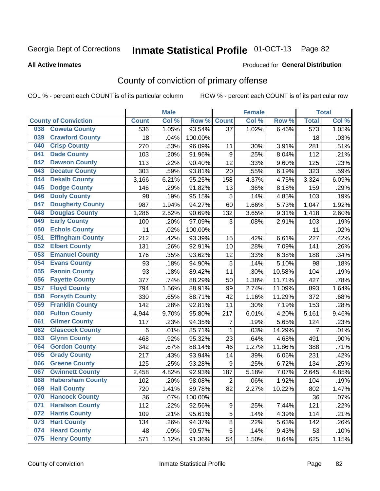#### **All Active Inmates**

#### Produced for **General Distribution**

### County of conviction of primary offense

|                                |              | <b>Male</b> |         |                | <b>Female</b> |        |                  | <b>Total</b> |
|--------------------------------|--------------|-------------|---------|----------------|---------------|--------|------------------|--------------|
| <b>County of Conviction</b>    | <b>Count</b> | Col %       | Row %   | <b>Count</b>   | Col %         | Row %  | <b>Total</b>     | Col %        |
| <b>Coweta County</b><br>038    | 536          | 1.05%       | 93.54%  | 37             | 1.02%         | 6.46%  | $\overline{573}$ | 1.05%        |
| <b>Crawford County</b><br>039  | 18           | .04%        | 100.00% |                |               |        | 18               | .03%         |
| <b>Crisp County</b><br>040     | 270          | .53%        | 96.09%  | 11             | .30%          | 3.91%  | 281              | .51%         |
| <b>Dade County</b><br>041      | 103          | .20%        | 91.96%  | 9              | .25%          | 8.04%  | 112              | .21%         |
| <b>Dawson County</b><br>042    | 113          | .22%        | 90.40%  | 12             | .33%          | 9.60%  | 125              | .23%         |
| 043<br><b>Decatur County</b>   | 303          | .59%        | 93.81%  | 20             | .55%          | 6.19%  | 323              | .59%         |
| <b>Dekalb County</b><br>044    | 3,166        | 6.21%       | 95.25%  | 158            | 4.37%         | 4.75%  | 3,324            | 6.09%        |
| <b>Dodge County</b><br>045     | 146          | .29%        | 91.82%  | 13             | .36%          | 8.18%  | 159              | .29%         |
| <b>Dooly County</b><br>046     | 98           | .19%        | 95.15%  | 5              | .14%          | 4.85%  | 103              | .19%         |
| 047<br><b>Dougherty County</b> | 987          | 1.94%       | 94.27%  | 60             | 1.66%         | 5.73%  | 1,047            | 1.92%        |
| <b>Douglas County</b><br>048   | 1,286        | 2.52%       | 90.69%  | 132            | 3.65%         | 9.31%  | 1,418            | 2.60%        |
| <b>Early County</b><br>049     | 100          | .20%        | 97.09%  | 3              | .08%          | 2.91%  | 103              | .19%         |
| <b>Echols County</b><br>050    | 11           | .02%        | 100.00% |                |               |        | 11               | .02%         |
| 051<br><b>Effingham County</b> | 212          | .42%        | 93.39%  | 15             | .42%          | 6.61%  | 227              | .42%         |
| <b>Elbert County</b><br>052    | 131          | .26%        | 92.91%  | 10             | .28%          | 7.09%  | 141              | .26%         |
| <b>Emanuel County</b><br>053   | 176          | .35%        | 93.62%  | 12             | .33%          | 6.38%  | 188              | .34%         |
| <b>Evans County</b><br>054     | 93           | .18%        | 94.90%  | 5              | .14%          | 5.10%  | 98               | .18%         |
| <b>Fannin County</b><br>055    | 93           | .18%        | 89.42%  | 11             | .30%          | 10.58% | 104              | .19%         |
| <b>Fayette County</b><br>056   | 377          | .74%        | 88.29%  | 50             | 1.38%         | 11.71% | 427              | .78%         |
| <b>Floyd County</b><br>057     | 794          | 1.56%       | 88.91%  | 99             | 2.74%         | 11.09% | 893              | 1.64%        |
| <b>Forsyth County</b><br>058   | 330          | .65%        | 88.71%  | 42             | 1.16%         | 11.29% | 372              | .68%         |
| <b>Franklin County</b><br>059  | 142          | .28%        | 92.81%  | 11             | .30%          | 7.19%  | 153              | .28%         |
| <b>Fulton County</b><br>060    | 4,944        | 9.70%       | 95.80%  | 217            | 6.01%         | 4.20%  | 5,161            | 9.46%        |
| <b>Gilmer County</b><br>061    | 117          | .23%        | 94.35%  | 7              | .19%          | 5.65%  | 124              | .23%         |
| <b>Glascock County</b><br>062  | $\,6$        | .01%        | 85.71%  | $\mathbf{1}$   | .03%          | 14.29% | $\overline{7}$   | .01%         |
| 063<br><b>Glynn County</b>     | 468          | .92%        | 95.32%  | 23             | .64%          | 4.68%  | 491              | .90%         |
| <b>Gordon County</b><br>064    | 342          | .67%        | 88.14%  | 46             | 1.27%         | 11.86% | 388              | .71%         |
| <b>Grady County</b><br>065     | 217          | .43%        | 93.94%  | 14             | .39%          | 6.06%  | 231              | .42%         |
| <b>Greene County</b><br>066    | 125          | .25%        | 93.28%  | 9              | .25%          | 6.72%  | 134              | .25%         |
| <b>Gwinnett County</b><br>067  | 2,458        | 4.82%       | 92.93%  | 187            | 5.18%         | 7.07%  | 2,645            | 4.85%        |
| <b>Habersham County</b><br>068 | 102          | .20%        | 98.08%  | $\overline{2}$ | .06%          | 1.92%  | 104              | .19%         |
| 069<br><b>Hall County</b>      | 720          | 1.41%       | 89.78%  | 82             | 2.27%         | 10.22% | 802              | 1.47%        |
| <b>Hancock County</b><br>070   | 36           | .07%        | 100.00% |                |               |        | 36               | .07%         |
| <b>Haralson County</b><br>071  | 112          | .22%        | 92.56%  | 9              | .25%          | 7.44%  | 121              | .22%         |
| <b>Harris County</b><br>072    | 109          | .21%        | 95.61%  | 5              | .14%          | 4.39%  | 114              | .21%         |
| <b>Hart County</b><br>073      | 134          | .26%        | 94.37%  | 8              | .22%          | 5.63%  | 142              | .26%         |
| <b>Heard County</b><br>074     | 48           | .09%        | 90.57%  | 5              | .14%          | 9.43%  | 53               | .10%         |
| <b>Henry County</b><br>075     | 571          | 1.12%       | 91.36%  | 54             | 1.50%         | 8.64%  | 625              | 1.15%        |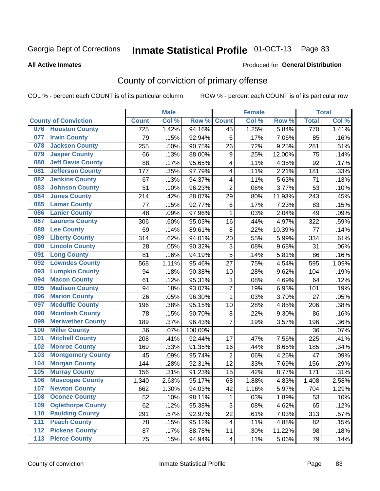#### **All Active Inmates**

#### Produced for **General Distribution**

### County of conviction of primary offense

|     |                             |              | <b>Male</b> |         |                           | <b>Female</b> |        |              | <b>Total</b> |
|-----|-----------------------------|--------------|-------------|---------|---------------------------|---------------|--------|--------------|--------------|
|     | <b>County of Conviction</b> | <b>Count</b> | Col %       | Row %   | <b>Count</b>              | Col %         | Row %  | <b>Total</b> | Col %        |
| 076 | <b>Houston County</b>       | 725          | 1.42%       | 94.16%  | 45                        | 1.25%         | 5.84%  | 770          | 1.41%        |
| 077 | <b>Irwin County</b>         | 79           | .15%        | 92.94%  | 6                         | .17%          | 7.06%  | 85           | .16%         |
| 078 | <b>Jackson County</b>       | 255          | .50%        | 90.75%  | 26                        | .72%          | 9.25%  | 281          | .51%         |
| 079 | <b>Jasper County</b>        | 66           | .13%        | 88.00%  | $\boldsymbol{9}$          | .25%          | 12.00% | 75           | .14%         |
| 080 | <b>Jeff Davis County</b>    | 88           | .17%        | 95.65%  | 4                         | .11%          | 4.35%  | 92           | .17%         |
| 081 | <b>Jefferson County</b>     | 177          | .35%        | 97.79%  | 4                         | .11%          | 2.21%  | 181          | .33%         |
| 082 | <b>Jenkins County</b>       | 67           | .13%        | 94.37%  | 4                         | .11%          | 5.63%  | 71           | .13%         |
| 083 | <b>Johnson County</b>       | 51           | .10%        | 96.23%  | $\overline{2}$            | .06%          | 3.77%  | 53           | .10%         |
| 084 | <b>Jones County</b>         | 214          | .42%        | 88.07%  | 29                        | .80%          | 11.93% | 243          | .45%         |
| 085 | <b>Lamar County</b>         | 77           | .15%        | 92.77%  | 6                         | .17%          | 7.23%  | 83           | .15%         |
| 086 | <b>Lanier County</b>        | 48           | .09%        | 97.96%  | 1                         | .03%          | 2.04%  | 49           | .09%         |
| 087 | <b>Laurens County</b>       | 306          | .60%        | 95.03%  | 16                        | .44%          | 4.97%  | 322          | .59%         |
| 088 | <b>Lee County</b>           | 69           | .14%        | 89.61%  | 8                         | .22%          | 10.39% | 77           | .14%         |
| 089 | <b>Liberty County</b>       | 314          | .62%        | 94.01%  | 20                        | .55%          | 5.99%  | 334          | .61%         |
| 090 | <b>Lincoln County</b>       | 28           | .05%        | 90.32%  | $\ensuremath{\mathsf{3}}$ | .08%          | 9.68%  | 31           | .06%         |
| 091 | <b>Long County</b>          | 81           | .16%        | 94.19%  | 5                         | .14%          | 5.81%  | 86           | .16%         |
| 092 | <b>Lowndes County</b>       | 568          | 1.11%       | 95.46%  | 27                        | .75%          | 4.54%  | 595          | 1.09%        |
| 093 | <b>Lumpkin County</b>       | 94           | .18%        | 90.38%  | 10                        | .28%          | 9.62%  | 104          | .19%         |
| 094 | <b>Macon County</b>         | 61           | .12%        | 95.31%  | $\ensuremath{\mathsf{3}}$ | .08%          | 4.69%  | 64           | .12%         |
| 095 | <b>Madison County</b>       | 94           | .18%        | 93.07%  | $\overline{7}$            | .19%          | 6.93%  | 101          | .19%         |
| 096 | <b>Marion County</b>        | 26           | .05%        | 96.30%  | $\mathbf{1}$              | .03%          | 3.70%  | 27           | .05%         |
| 097 | <b>Mcduffie County</b>      | 196          | .38%        | 95.15%  | 10                        | .28%          | 4.85%  | 206          | .38%         |
| 098 | <b>Mcintosh County</b>      | 78           | .15%        | 90.70%  | 8                         | .22%          | 9.30%  | 86           | .16%         |
| 099 | <b>Meriwether County</b>    | 189          | .37%        | 96.43%  | 7                         | .19%          | 3.57%  | 196          | .36%         |
| 100 | <b>Miller County</b>        | 36           | .07%        | 100.00% |                           |               |        | 36           | .07%         |
| 101 | <b>Mitchell County</b>      | 208          | .41%        | 92.44%  | 17                        | .47%          | 7.56%  | 225          | .41%         |
| 102 | <b>Monroe County</b>        | 169          | .33%        | 91.35%  | 16                        | .44%          | 8.65%  | 185          | .34%         |
| 103 | <b>Montgomery County</b>    | 45           | .09%        | 95.74%  | $\overline{2}$            | .06%          | 4.26%  | 47           | .09%         |
| 104 | <b>Morgan County</b>        | 144          | .28%        | 92.31%  | 12                        | .33%          | 7.69%  | 156          | .29%         |
| 105 | <b>Murray County</b>        | 156          | .31%        | 91.23%  | 15                        | .42%          | 8.77%  | 171          | .31%         |
| 106 | <b>Muscogee County</b>      | 1,340        | 2.63%       | 95.17%  | 68                        | 1.88%         | 4.83%  | 1,408        | 2.58%        |
| 107 | <b>Newton County</b>        | 662          | 1.30%       | 94.03%  | 42                        | 1.16%         | 5.97%  | 704          | 1.29%        |
| 108 | <b>Oconee County</b>        | 52           | .10%        | 98.11%  | 1                         | .03%          | 1.89%  | 53           | .10%         |
| 109 | <b>Oglethorpe County</b>    | 62           | .12%        | 95.38%  | 3                         | .08%          | 4.62%  | 65           | .12%         |
| 110 | <b>Paulding County</b>      | 291          | .57%        | 92.97%  | 22                        | .61%          | 7.03%  | 313          | .57%         |
| 111 | <b>Peach County</b>         | 78           | .15%        | 95.12%  | 4                         | .11%          | 4.88%  | 82           | .15%         |
| 112 | <b>Pickens County</b>       | 87           | .17%        | 88.78%  | 11                        | .30%          | 11.22% | 98           | .18%         |
| 113 | <b>Pierce County</b>        | 75           | .15%        | 94.94%  | 4                         | .11%          | 5.06%  | 79           | .14%         |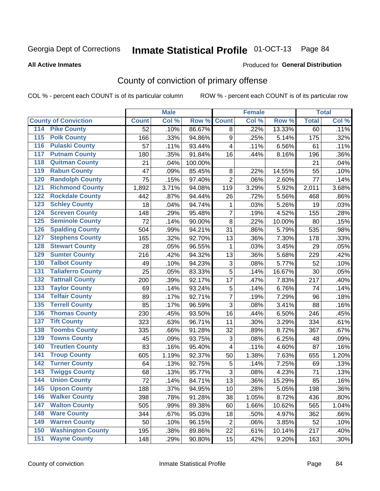#### **All Active Inmates**

#### Produced for **General Distribution**

### County of conviction of primary offense

|                                        |                 | <b>Male</b> |         |                           | <b>Female</b> |        |              | <b>Total</b> |
|----------------------------------------|-----------------|-------------|---------|---------------------------|---------------|--------|--------------|--------------|
| <b>County of Conviction</b>            | <b>Count</b>    | Col %       | Row %   | <b>Count</b>              | Col %         | Row %  | <b>Total</b> | Col %        |
| <b>Pike County</b><br>114              | $\overline{52}$ | .10%        | 86.67%  | 8                         | .22%          | 13.33% | 60           | .11%         |
| <b>Polk County</b><br>$\overline{115}$ | 166             | .33%        | 94.86%  | 9                         | .25%          | 5.14%  | 175          | .32%         |
| <b>Pulaski County</b><br>116           | 57              | .11%        | 93.44%  | 4                         | .11%          | 6.56%  | 61           | .11%         |
| <b>Putnam County</b><br>117            | 180             | .35%        | 91.84%  | 16                        | .44%          | 8.16%  | 196          | .36%         |
| 118<br><b>Quitman County</b>           | 21              | .04%        | 100.00% |                           |               |        | 21           | .04%         |
| <b>Rabun County</b><br>119             | 47              | .09%        | 85.45%  | $\,8\,$                   | .22%          | 14.55% | 55           | .10%         |
| <b>Randolph County</b><br>120          | 75              | .15%        | 97.40%  | $\overline{2}$            | .06%          | 2.60%  | 77           | .14%         |
| <b>Richmond County</b><br>121          | 1,892           | 3.71%       | 94.08%  | 119                       | 3.29%         | 5.92%  | 2,011        | 3.68%        |
| <b>Rockdale County</b><br>122          | 442             | .87%        | 94.44%  | 26                        | .72%          | 5.56%  | 468          | .86%         |
| <b>Schley County</b><br>123            | 18              | .04%        | 94.74%  | 1                         | .03%          | 5.26%  | 19           | .03%         |
| <b>Screven County</b><br>124           | 148             | .29%        | 95.48%  | $\overline{7}$            | .19%          | 4.52%  | 155          | .28%         |
| <b>Seminole County</b><br>125          | 72              | .14%        | 90.00%  | 8                         | .22%          | 10.00% | 80           | .15%         |
| 126<br><b>Spalding County</b>          | 504             | .99%        | 94.21%  | 31                        | .86%          | 5.79%  | 535          | .98%         |
| 127<br><b>Stephens County</b>          | 165             | .32%        | 92.70%  | 13                        | .36%          | 7.30%  | 178          | .33%         |
| <b>Stewart County</b><br>128           | 28              | .05%        | 96.55%  | 1                         | .03%          | 3.45%  | 29           | .05%         |
| <b>Sumter County</b><br>129            | 216             | .42%        | 94.32%  | 13                        | .36%          | 5.68%  | 229          | .42%         |
| <b>Talbot County</b><br>130            | 49              | .10%        | 94.23%  | 3                         | .08%          | 5.77%  | 52           | .10%         |
| <b>Taliaferro County</b><br>131        | 25              | .05%        | 83.33%  | 5                         | .14%          | 16.67% | 30           | .05%         |
| <b>Tattnall County</b><br>132          | 200             | .39%        | 92.17%  | 17                        | .47%          | 7.83%  | 217          | .40%         |
| <b>Taylor County</b><br>133            | 69              | .14%        | 93.24%  | 5                         | .14%          | 6.76%  | 74           | .14%         |
| <b>Telfair County</b><br>134           | 89              | .17%        | 92.71%  | $\overline{7}$            | .19%          | 7.29%  | 96           | .18%         |
| <b>Terrell County</b><br>135           | 85              | .17%        | 96.59%  | 3                         | .08%          | 3.41%  | 88           | .16%         |
| <b>Thomas County</b><br>136            | 230             | .45%        | 93.50%  | 16                        | .44%          | 6.50%  | 246          | .45%         |
| <b>Tift County</b><br>137              | 323             | .63%        | 96.71%  | 11                        | .30%          | 3.29%  | 334          | .61%         |
| <b>Toombs County</b><br>138            | 335             | .66%        | 91.28%  | 32                        | .89%          | 8.72%  | 367          | .67%         |
| <b>Towns County</b><br>139             | 45              | .09%        | 93.75%  | $\ensuremath{\mathsf{3}}$ | .08%          | 6.25%  | 48           | .09%         |
| <b>Treutlen County</b><br>140          | 83              | .16%        | 95.40%  | 4                         | .11%          | 4.60%  | 87           | .16%         |
| <b>Troup County</b><br>141             | 605             | 1.19%       | 92.37%  | 50                        | 1.38%         | 7.63%  | 655          | 1.20%        |
| <b>Turner County</b><br>142            | 64              | .13%        | 92.75%  | 5                         | .14%          | 7.25%  | 69           | .13%         |
| <b>Twiggs County</b><br>143            | 68              | .13%        | 95.77%  | 3                         | .08%          | 4.23%  | 71           | .13%         |
| <b>Union County</b><br>144             | 72              | .14%        | 84.71%  | 13                        | .36%          | 15.29% | 85           | .16%         |
| 145<br><b>Upson County</b>             | 188             | .37%        | 94.95%  | 10                        | .28%          | 5.05%  | 198          | .36%         |
| <b>Walker County</b><br>146            | 398             | .78%        | 91.28%  | 38                        | 1.05%         | 8.72%  | 436          | .80%         |
| <b>Walton County</b><br>147            | 505             | .99%        | 89.38%  | 60                        | 1.66%         | 10.62% | 565          | 1.04%        |
| <b>Ware County</b><br>148              | 344             | .67%        | 95.03%  | 18                        | .50%          | 4.97%  | 362          | .66%         |
| <b>Warren County</b><br>149            | 50              | .10%        | 96.15%  | $\overline{2}$            | .06%          | 3.85%  | 52           | .10%         |
| <b>Washington County</b><br>150        | 195             | .38%        | 89.86%  | 22                        | .61%          | 10.14% | 217          | .40%         |
| <b>Wayne County</b><br>151             | 148             | .29%        | 90.80%  | 15                        | .42%          | 9.20%  | 163          | .30%         |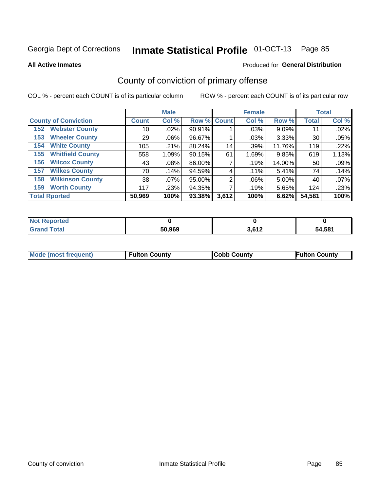**All Active Inmates**

#### Produced for **General Distribution**

### County of conviction of primary offense

|                                |              | <b>Male</b> |             |       | <b>Female</b> |          |              | <b>Total</b> |
|--------------------------------|--------------|-------------|-------------|-------|---------------|----------|--------------|--------------|
| <b>County of Conviction</b>    | <b>Count</b> | Col %       | Row % Count |       | Col %         | Row %    | <b>Total</b> | Col %        |
| <b>Webster County</b><br>152   | 10           | $.02\%$     | 90.91%      |       | .03%          | $9.09\%$ | 11           | .02%         |
| <b>Wheeler County</b><br>153   | 29           | $.06\%$     | 96.67%      |       | .03%          | 3.33%    | 30           | .05%         |
| <b>White County</b><br>154     | 105          | .21%        | 88.24%      | 14    | .39%          | 11.76%   | 119          | .22%         |
| <b>Whitfield County</b><br>155 | 558          | 1.09%       | 90.15%      | 61    | 1.69%         | 9.85%    | 619          | 1.13%        |
| <b>Wilcox County</b><br>156    | 43           | $.08\%$     | 86.00%      |       | .19%          | 14.00%   | 50           | .09%         |
| <b>Wilkes County</b><br>157    | 70           | .14%        | 94.59%      | 4     | $.11\%$       | 5.41%    | 74           | .14%         |
| <b>Wilkinson County</b><br>158 | 38           | $.07\%$     | 95.00%      | 2     | .06%          | 5.00%    | 40           | .07%         |
| <b>Worth County</b><br>159     | 117          | .23%        | 94.35%      |       | .19%          | 5.65%    | 124          | .23%         |
| <b>Total Rported</b>           | 50,969       | 100%        | 93.38%      | 3,612 | 100%          | 6.62%    | 54,581       | 100%         |

| <b>Not Reported</b> |        |               |        |
|---------------------|--------|---------------|--------|
| Total               | 50,969 | 2000<br>0.014 | 54,581 |

| Mode (most frequent) | <b>Fulton County</b> | <b>Cobb County</b> | <b>Fulton County</b> |
|----------------------|----------------------|--------------------|----------------------|
|                      |                      |                    |                      |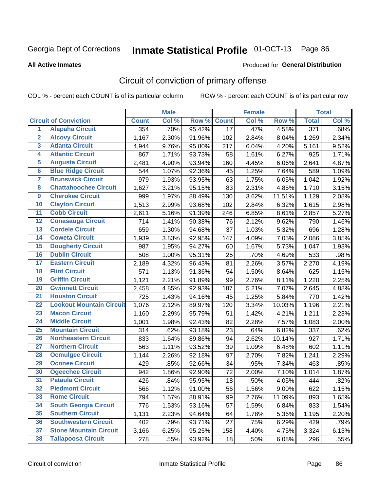#### **All Active Inmates**

#### Produced for **General Distribution**

### Circuit of conviction of primary offense

|                         |                                 |              | <b>Male</b> |        |                 | <b>Female</b> |          |                  | <b>Total</b> |
|-------------------------|---------------------------------|--------------|-------------|--------|-----------------|---------------|----------|------------------|--------------|
|                         | <b>Circuit of Conviction</b>    | <b>Count</b> | Col %       | Row %  | <b>Count</b>    | Col %         | Row %    | <b>Total</b>     | Col %        |
| $\overline{1}$          | <b>Alapaha Circuit</b>          | 354          | .70%        | 95.42% | $\overline{17}$ | .47%          | 4.58%    | $\overline{371}$ | .68%         |
| $\overline{2}$          | <b>Alcovy Circuit</b>           | 1,167        | 2.30%       | 91.96% | 102             | 2.84%         | 8.04%    | 1,269            | 2.34%        |
| 3                       | <b>Atlanta Circuit</b>          | 4,944        | 9.76%       | 95.80% | 217             | 6.04%         | 4.20%    | 5,161            | 9.52%        |
| 4                       | <b>Atlantic Circuit</b>         | 867          | 1.71%       | 93.73% | 58              | 1.61%         | 6.27%    | 925              | 1.71%        |
| 5                       | <b>Augusta Circuit</b>          | 2,481        | 4.90%       | 93.94% | 160             | 4.45%         | 6.06%    | 2,641            | 4.87%        |
| 6                       | <b>Blue Ridge Circuit</b>       | 544          | 1.07%       | 92.36% | 45              | 1.25%         | 7.64%    | 589              | 1.09%        |
| $\overline{\mathbf{7}}$ | <b>Brunswick Circuit</b>        | 979          | 1.93%       | 93.95% | 63              | 1.75%         | 6.05%    | 1,042            | 1.92%        |
| 8                       | <b>Chattahoochee Circuit</b>    | 1,627        | 3.21%       | 95.15% | 83              | 2.31%         | 4.85%    | 1,710            | 3.15%        |
| $\overline{9}$          | <b>Cherokee Circuit</b>         | 999          | 1.97%       | 88.49% | 130             | 3.62%         | 11.51%   | 1,129            | 2.08%        |
| 10                      | <b>Clayton Circuit</b>          | 1,513        | 2.99%       | 93.68% | 102             | 2.84%         | 6.32%    | 1,615            | 2.98%        |
| 11                      | <b>Cobb Circuit</b>             | 2,611        | 5.16%       | 91.39% | 246             | 6.85%         | 8.61%    | 2,857            | 5.27%        |
| 12                      | <b>Conasauga Circuit</b>        | 714          | 1.41%       | 90.38% | 76              | 2.12%         | 9.62%    | 790              | 1.46%        |
| 13                      | <b>Cordele Circuit</b>          | 659          | 1.30%       | 94.68% | 37              | 1.03%         | 5.32%    | 696              | 1.28%        |
| 14                      | <b>Coweta Circuit</b>           | 1,939        | 3.83%       | 92.95% | 147             | 4.09%         | 7.05%    | 2,086            | 3.85%        |
| 15                      | <b>Dougherty Circuit</b>        | 987          | 1.95%       | 94.27% | 60              | 1.67%         | 5.73%    | 1,047            | 1.93%        |
| 16                      | <b>Dublin Circuit</b>           | 508          | 1.00%       | 95.31% | 25              | .70%          | 4.69%    | 533              | .98%         |
| 17                      | <b>Eastern Circuit</b>          | 2,189        | 4.32%       | 96.43% | 81              | 2.26%         | 3.57%    | 2,270            | 4.19%        |
| 18                      | <b>Flint Circuit</b>            | 571          | 1.13%       | 91.36% | 54              | 1.50%         | 8.64%    | 625              | 1.15%        |
| 19                      | <b>Griffin Circuit</b>          | 1,121        | 2.21%       | 91.89% | 99              | 2.76%         | 8.11%    | 1,220            | 2.25%        |
| 20                      | <b>Gwinnett Circuit</b>         | 2,458        | 4.85%       | 92.93% | 187             | 5.21%         | 7.07%    | 2,645            | 4.88%        |
| $\overline{21}$         | <b>Houston Circuit</b>          | 725          | 1.43%       | 94.16% | 45              | 1.25%         | 5.84%    | 770              | 1.42%        |
| $\overline{22}$         | <b>Lookout Mountain Circuit</b> | 1,076        | 2.12%       | 89.97% | 120             | 3.34%         | 10.03%   | 1,196            | 2.21%        |
| 23                      | <b>Macon Circuit</b>            | 1,160        | 2.29%       | 95.79% | 51              | 1.42%         | 4.21%    | 1,211            | 2.23%        |
| 24                      | <b>Middle Circuit</b>           | 1,001        | 1.98%       | 92.43% | 82              | 2.28%         | 7.57%    | 1,083            | 2.00%        |
| 25                      | <b>Mountain Circuit</b>         | 314          | .62%        | 93.18% | 23              | .64%          | 6.82%    | 337              | .62%         |
| 26                      | <b>Northeastern Circuit</b>     | 833          | 1.64%       | 89.86% | 94              | 2.62%         | 10.14%   | 927              | 1.71%        |
| $\overline{27}$         | <b>Northern Circuit</b>         | 563          | 1.11%       | 93.52% | 39              | 1.09%         | 6.48%    | 602              | 1.11%        |
| 28                      | <b>Ocmulgee Circuit</b>         | 1,144        | 2.26%       | 92.18% | 97              | 2.70%         | 7.82%    | 1,241            | 2.29%        |
| 29                      | <b>Oconee Circuit</b>           | 429          | .85%        | 92.66% | 34              | .95%          | 7.34%    | 463              | .85%         |
| 30                      | <b>Ogeechee Circuit</b>         | 942          | 1.86%       | 92.90% | 72              | 2.00%         | 7.10%    | 1,014            | 1.87%        |
| $\overline{31}$         | <b>Pataula Circuit</b>          | 426          | .84%        | 95.95% | 18              | .50%          | 4.05%    | 444              | .82%         |
| 32                      | <b>Piedmont Circuit</b>         | 566          | 1.12%       | 91.00% | 56              | 1.56%         | $9.00\%$ | 622              | 1.15%        |
| 33                      | <b>Rome Circuit</b>             | 794          | 1.57%       | 88.91% | 99              | 2.76%         | 11.09%   | 893              | 1.65%        |
| 34                      | <b>South Georgia Circuit</b>    | 776          | 1.53%       | 93.16% | 57              | 1.59%         | 6.84%    | 833              | 1.54%        |
| 35                      | <b>Southern Circuit</b>         | 1,131        | 2.23%       | 94.64% | 64              | 1.78%         | 5.36%    | 1,195            | 2.20%        |
| 36                      | <b>Southwestern Circuit</b>     | 402          | .79%        | 93.71% | 27              | .75%          | 6.29%    | 429              | .79%         |
| 37                      | <b>Stone Mountain Circuit</b>   | 3,166        | 6.25%       | 95.25% | 158             | 4.40%         | 4.75%    | 3,324            | 6.13%        |
| 38                      | <b>Tallapoosa Circuit</b>       | 278          | .55%        | 93.92% | 18              | .50%          | 6.08%    | 296              | .55%         |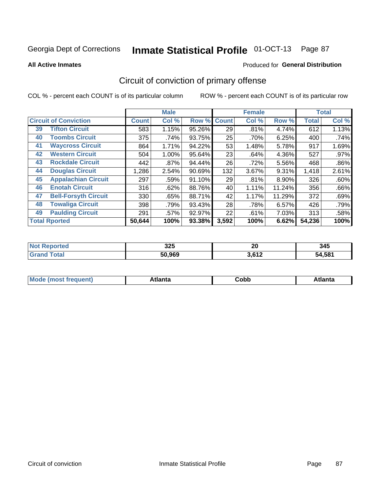#### **All Active Inmates**

#### Produced for **General Distribution**

### Circuit of conviction of primary offense

|    |                              |              | <b>Male</b> |        |              | <b>Female</b> |          |              | <b>Total</b> |
|----|------------------------------|--------------|-------------|--------|--------------|---------------|----------|--------------|--------------|
|    | <b>Circuit of Conviction</b> | <b>Count</b> | Col %       | Row %  | <b>Count</b> | Col %         | Row %    | <b>Total</b> | Col %        |
| 39 | <b>Tifton Circuit</b>        | 583          | 1.15%       | 95.26% | 29           | .81%          | 4.74%    | 612          | 1.13%        |
| 40 | <b>Toombs Circuit</b>        | 375          | .74%        | 93.75% | 25           | .70%          | 6.25%    | 400          | .74%         |
| 41 | <b>Waycross Circuit</b>      | 864          | 1.71%       | 94.22% | 53           | 1.48%         | 5.78%    | 917          | 1.69%        |
| 42 | <b>Western Circuit</b>       | 504          | 1.00%       | 95.64% | 23           | .64%          | 4.36%    | 527          | .97%         |
| 43 | <b>Rockdale Circuit</b>      | 442          | $.87\%$     | 94.44% | 26           | .72%          | 5.56%    | 468          | $.86\%$      |
| 44 | <b>Douglas Circuit</b>       | 1,286        | 2.54%       | 90.69% | 132          | 3.67%         | 9.31%    | 1,418        | 2.61%        |
| 45 | <b>Appalachian Circuit</b>   | 297          | .59%        | 91.10% | 29           | .81%          | $8.90\%$ | 326          | .60%         |
| 46 | <b>Enotah Circuit</b>        | 316          | .62%        | 88.76% | 40           | 1.11%         | 11.24%   | 356          | .66%         |
| 47 | <b>Bell-Forsyth Circuit</b>  | 330          | .65%        | 88.71% | 42           | 1.17%         | 11.29%   | 372          | .69%         |
| 48 | <b>Towaliga Circuit</b>      | 398          | .79%        | 93.43% | 28           | .78%          | 6.57%    | 426          | .79%         |
| 49 | <b>Paulding Circuit</b>      | 291          | .57%        | 92.97% | 22           | .61%          | 7.03%    | 313          | .58%         |
|    | <b>Total Rported</b>         | 50,644       | 100%        | 93.38% | 3,592        | 100%          | 6.62%    | 54,236       | 100%         |

| rеr | つつに<br>ື້ | 01<br>ZU    | 345          |
|-----|-----------|-------------|--------------|
|     | 50.969    | 2000<br>. . | 1.581<br>מר. |

| Mc | <b>Innie</b> | ∩h⊦<br>⊂opp | $1 - 1$<br>™LC |
|----|--------------|-------------|----------------|
|----|--------------|-------------|----------------|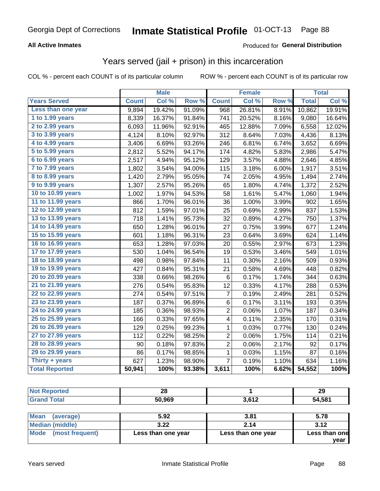### **All Active Inmates**

### Produced for **General Distribution**

### Years served (jail + prison) in this incarceration

|                       |              | <b>Male</b> |        |                 | <b>Female</b> |                  |              | <b>Total</b> |
|-----------------------|--------------|-------------|--------|-----------------|---------------|------------------|--------------|--------------|
| <b>Years Served</b>   | <b>Count</b> | Col %       | Row %  | <b>Count</b>    | Col %         | Row <sup>%</sup> | <b>Total</b> | Col %        |
| Less than one year    | 9,894        | 19.42%      | 91.09% | 968             | 26.81%        | 8.91%            | 10,862       | 19.91%       |
| 1 to 1.99 years       | 8,339        | 16.37%      | 91.84% | 741             | 20.52%        | 8.16%            | 9,080        | 16.64%       |
| 2 to 2.99 years       | 6,093        | 11.96%      | 92.91% | 465             | 12.88%        | 7.09%            | 6,558        | 12.02%       |
| 3 to 3.99 years       | 4,124        | 8.10%       | 92.97% | 312             | 8.64%         | 7.03%            | 4,436        | 8.13%        |
| 4 to 4.99 years       | 3,406        | 6.69%       | 93.26% | 246             | 6.81%         | 6.74%            | 3,652        | 6.69%        |
| 5 to 5.99 years       | 2,812        | 5.52%       | 94.17% | 174             | 4.82%         | 5.83%            | 2,986        | 5.47%        |
| 6 to 6.99 years       | 2,517        | 4.94%       | 95.12% | 129             | 3.57%         | 4.88%            | 2,646        | 4.85%        |
| 7 to 7.99 years       | 1,802        | 3.54%       | 94.00% | 115             | 3.18%         | 6.00%            | 1,917        | 3.51%        |
| 8 to 8.99 years       | 1,420        | 2.79%       | 95.05% | 74              | 2.05%         | 4.95%            | 1,494        | 2.74%        |
| 9 to 9.99 years       | 1,307        | 2.57%       | 95.26% | 65              | 1.80%         | 4.74%            | 1,372        | 2.52%        |
| 10 to 10.99 years     | 1,002        | 1.97%       | 94.53% | 58              | 1.61%         | 5.47%            | 1,060        | 1.94%        |
| 11 to 11.99 years     | 866          | 1.70%       | 96.01% | 36              | 1.00%         | 3.99%            | 902          | 1.65%        |
| 12 to 12.99 years     | 812          | 1.59%       | 97.01% | 25              | 0.69%         | 2.99%            | 837          | 1.53%        |
| 13 to 13.99 years     | 718          | 1.41%       | 95.73% | 32              | 0.89%         | 4.27%            | 750          | 1.37%        |
| 14 to 14.99 years     | 650          | 1.28%       | 96.01% | 27              | 0.75%         | 3.99%            | 677          | 1.24%        |
| 15 to 15.99 years     | 601          | 1.18%       | 96.31% | 23              | 0.64%         | 3.69%            | 624          | 1.14%        |
| 16 to 16.99 years     | 653          | 1.28%       | 97.03% | 20              | 0.55%         | 2.97%            | 673          | 1.23%        |
| 17 to 17.99 years     | 530          | 1.04%       | 96.54% | 19              | 0.53%         | 3.46%            | 549          | 1.01%        |
| 18 to 18.99 years     | 498          | 0.98%       | 97.84% | 11              | 0.30%         | 2.16%            | 509          | 0.93%        |
| 19 to 19.99 years     | 427          | 0.84%       | 95.31% | 21              | 0.58%         | 4.69%            | 448          | 0.82%        |
| 20 to 20.99 years     | 338          | 0.66%       | 98.26% | $6\phantom{1}6$ | 0.17%         | 1.74%            | 344          | 0.63%        |
| 21 to 21.99 years     | 276          | 0.54%       | 95.83% | 12              | 0.33%         | 4.17%            | 288          | 0.53%        |
| 22 to 22.99 years     | 274          | 0.54%       | 97.51% | 7               | 0.19%         | 2.49%            | 281          | 0.52%        |
| 23 to 23.99 years     | 187          | 0.37%       | 96.89% | 6               | 0.17%         | 3.11%            | 193          | 0.35%        |
| 24 to 24.99 years     | 185          | 0.36%       | 98.93% | $\overline{2}$  | 0.06%         | 1.07%            | 187          | 0.34%        |
| 25 to 25.99 years     | 166          | 0.33%       | 97.65% | 4               | 0.11%         | 2.35%            | 170          | 0.31%        |
| 26 to 26.99 years     | 129          | 0.25%       | 99.23% | 1               | 0.03%         | 0.77%            | 130          | 0.24%        |
| 27 to 27.99 years     | 112          | 0.22%       | 98.25% | $\overline{c}$  | 0.06%         | 1.75%            | 114          | 0.21%        |
| 28 to 28.99 years     | 90           | 0.18%       | 97.83% | $\overline{2}$  | 0.06%         | 2.17%            | 92           | 0.17%        |
| 29 to 29.99 years     | 86           | 0.17%       | 98.85% | 1               | 0.03%         | 1.15%            | 87           | 0.16%        |
| Thirty + years        | 627          | 1.23%       | 98.90% | $\overline{7}$  | 0.19%         | 1.10%            | 634          | 1.16%        |
| <b>Total Reported</b> | 50,941       | 100%        | 93.38% | 3,611           | 100%          | 6.62%            | 54,552       | 100%         |

| <b>Not Reported</b>     | 28     |            | 29     |
|-------------------------|--------|------------|--------|
| <b>Grand Total</b>      | 50,969 | 3,612      | 54,581 |
|                         |        |            |        |
| <b>INN</b> - - - -<br>. | E AA   | <b>AA4</b> | $-70$  |

| l Mean<br>(average)  | 5.92               | 3.81               | 5.78          |
|----------------------|--------------------|--------------------|---------------|
| Median (middle)      | 3.22               | 2.14               | 3.12          |
| Mode (most frequent) | Less than one year | Less than one year | Less than one |
|                      |                    |                    | vear          |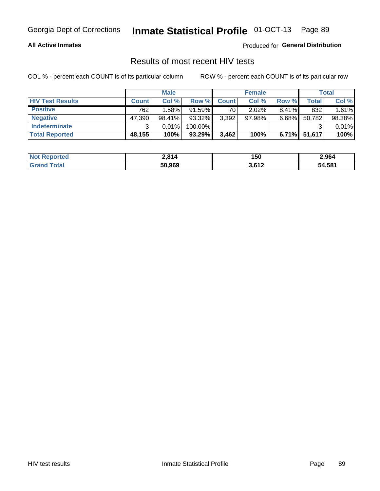#### **All Active Inmates**

Produced for **General Distribution**

### Results of most recent HIV tests

|                         | <b>Male</b>  |           |         | <b>Female</b> |           |          | Total        |        |
|-------------------------|--------------|-----------|---------|---------------|-----------|----------|--------------|--------|
| <b>HIV Test Results</b> | <b>Count</b> | Col%      | Row %I  | <b>Count</b>  | Col %     | Row %    | Total        | Col %  |
| <b>Positive</b>         | 762          | 1.58%     | 91.59%  | 70            | $2.02\%$  | $8.41\%$ | 832          | 1.61%  |
| <b>Negative</b>         | 47,390       | $98.41\%$ | 93.32%  | 3,392         | $97.98\%$ | 6.68%    | 50,782       | 98.38% |
| Indeterminate           | ີ            | 0.01%     | 100.00% |               |           |          |              | 0.01%  |
| <b>Total Reported</b>   | 48,155       | 100%      | 93.29%  | 3,462         | 100%      |          | 6.71% 51,617 | 100%   |

| <b>Not Reported</b>    | 2,814  | 150   | 2,964  |
|------------------------|--------|-------|--------|
| <b>Total</b><br>'Grand | 50,969 | 3,612 | 54,581 |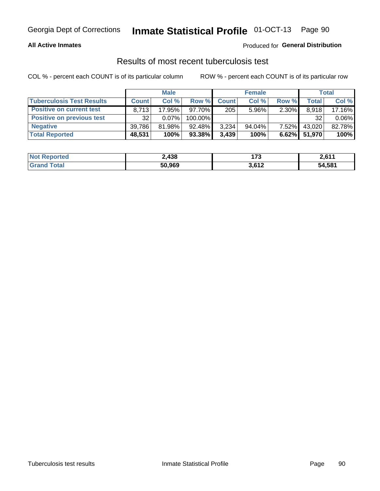#### **All Active Inmates**

### Produced for **General Distribution**

### Results of most recent tuberculosis test

|                                  | <b>Male</b>  |          |           | <b>Female</b> |           |          | Total   |          |
|----------------------------------|--------------|----------|-----------|---------------|-----------|----------|---------|----------|
| <b>Tuberculosis Test Results</b> | <b>Count</b> | Col%     | Row %I    | <b>Count</b>  | Col %     | Row %    | Total i | Col %    |
| <b>Positive on current test</b>  | 8.713        | 17.95%   | $97.70\%$ | 205           | $5.96\%$  | 2.30%    | 8,918   | 17.16%   |
| <b>Positive on previous test</b> | 32           | $0.07\%$ | 100.00%   |               |           |          | 32      | $0.06\%$ |
| <b>Negative</b>                  | 39,786       | 81.98%   | 92.48%    | 3,234         | $94.04\%$ | $7.52\%$ | 43,020  | 82.78%   |
| <b>Total Reported</b>            | 48,531       | 100%     | 93.38%    | 3,439         | 100%      | $6.62\%$ | 51,970  | 100%     |

| <b>Not Reported</b> | 2,438  | 172<br>$\cdots$ | $2.61^*$ |
|---------------------|--------|-----------------|----------|
| Total<br>Grand      | 50,969 | 3,612           | 54,581   |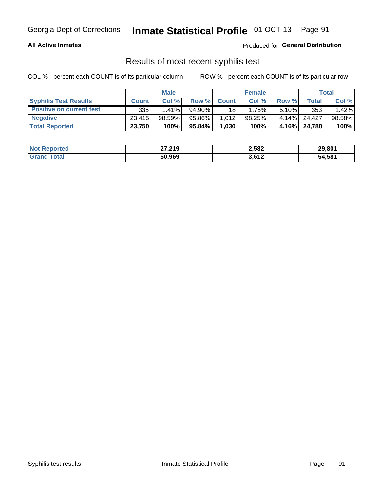#### **All Active Inmates**

Produced for **General Distribution**

### Results of most recent syphilis test

|                                 | <b>Male</b>  |           |        | <b>Female</b> |        |          | Total        |        |
|---------------------------------|--------------|-----------|--------|---------------|--------|----------|--------------|--------|
| <b>Syphilis Test Results</b>    | <b>Count</b> | Col%      | Row %  | <b>Count</b>  | Col %  | Row %    | Total I      | Col %  |
| <b>Positive on current test</b> | 335          | $1.41\%$  | 94.90% | 18            | 1.75%  | $5.10\%$ | 353          | 1.42%  |
| <b>Negative</b>                 | 23.415       | $98.59\%$ | 95.86% | 1,012         | 98.25% |          | 4.14% 24.427 | 98.58% |
| <b>Total Reported</b>           | 23,750       | 100%      | 95.84% | 1,030         | 100%   |          | 4.16% 24,780 | 100%   |

| <b>Not Reported</b> | 27,219 | 2,582 | 29,801 |
|---------------------|--------|-------|--------|
| <b>Grand Total</b>  | 50,969 | 3,612 | 54,581 |